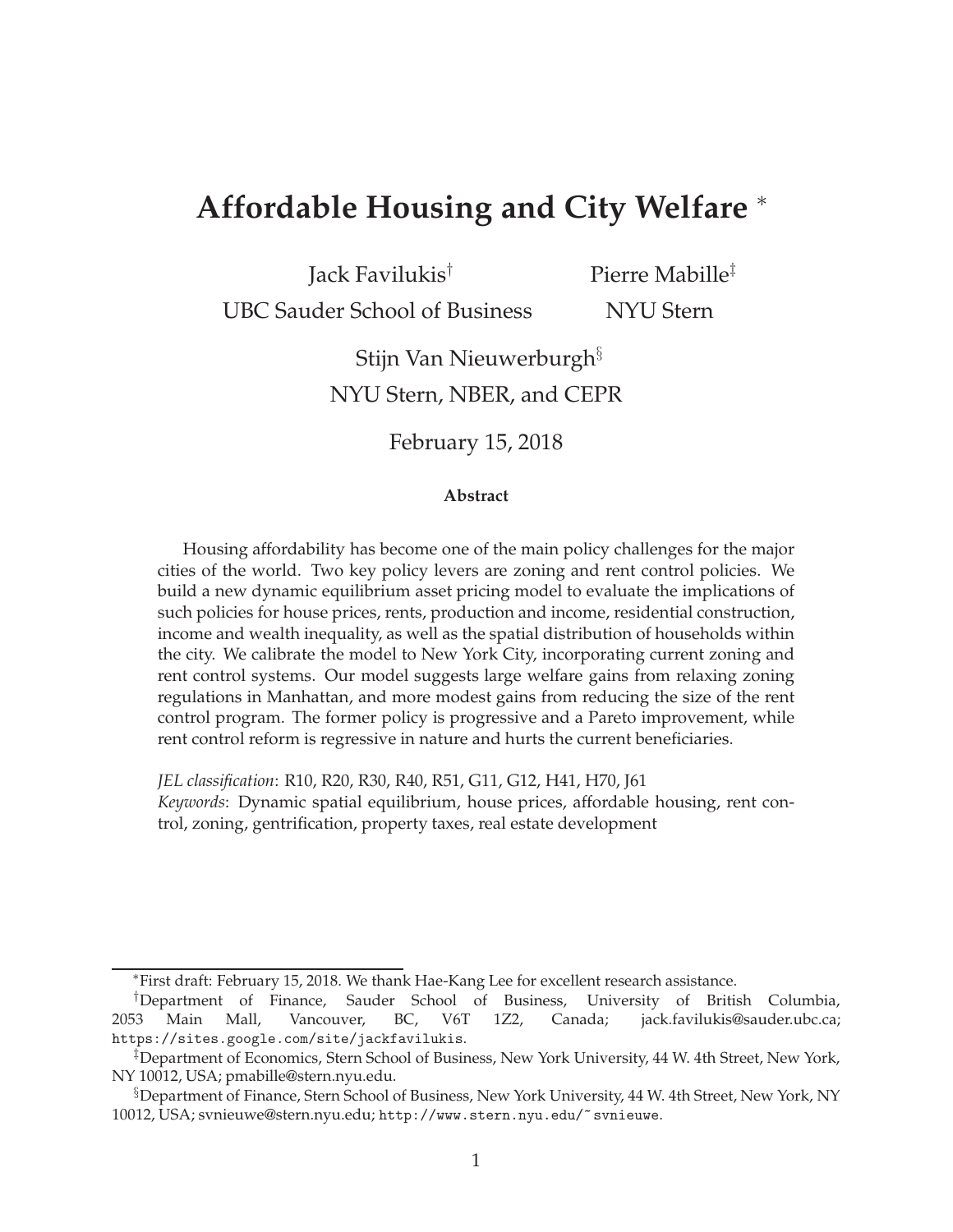# **Affordable Housing and City Welfare** <sup>∗</sup>

Jack Favilukis†

UBC Sauder School of Business

Pierre Mabille‡ NYU Stern

Stijn Van Nieuwerburgh§

NYU Stern, NBER, and CEPR

February 15, 2018

#### **Abstract**

Housing affordability has become one of the main policy challenges for the major cities of the world. Two key policy levers are zoning and rent control policies. We build a new dynamic equilibrium asset pricing model to evaluate the implications of such policies for house prices, rents, production and income, residential construction, income and wealth inequality, as well as the spatial distribution of households within the city. We calibrate the model to New York City, incorporating current zoning and rent control systems. Our model suggests large welfare gains from relaxing zoning regulations in Manhattan, and more modest gains from reducing the size of the rent control program. The former policy is progressive and a Pareto improvement, while rent control reform is regressive in nature and hurts the current beneficiaries.

*JEL classification*: R10, R20, R30, R40, R51, G11, G12, H41, H70, J61 *Keywords*: Dynamic spatial equilibrium, house prices, affordable housing, rent control, zoning, gentrification, property taxes, real estate development

<sup>∗</sup>First draft: February 15, 2018. We thank Hae-Kang Lee for excellent research assistance.

<sup>†</sup>Department of Finance, Sauder School of Business, University of British Columbia, 2053 Main Mall, Vancouver, BC, V6T 1Z2, Canada; jack.favilukis@sauder.ubc.ca; https://sites.google.com/site/jackfavilukis.

<sup>‡</sup>Department of Economics, Stern School of Business, New York University, 44 W. 4th Street, New York, NY 10012, USA; pmabille@stern.nyu.edu.

<sup>§</sup>Department of Finance, Stern School of Business, New York University, 44 W. 4th Street, New York, NY 10012, USA; svnieuwe@stern.nyu.edu; http://www.stern.nyu.edu/~svnieuwe.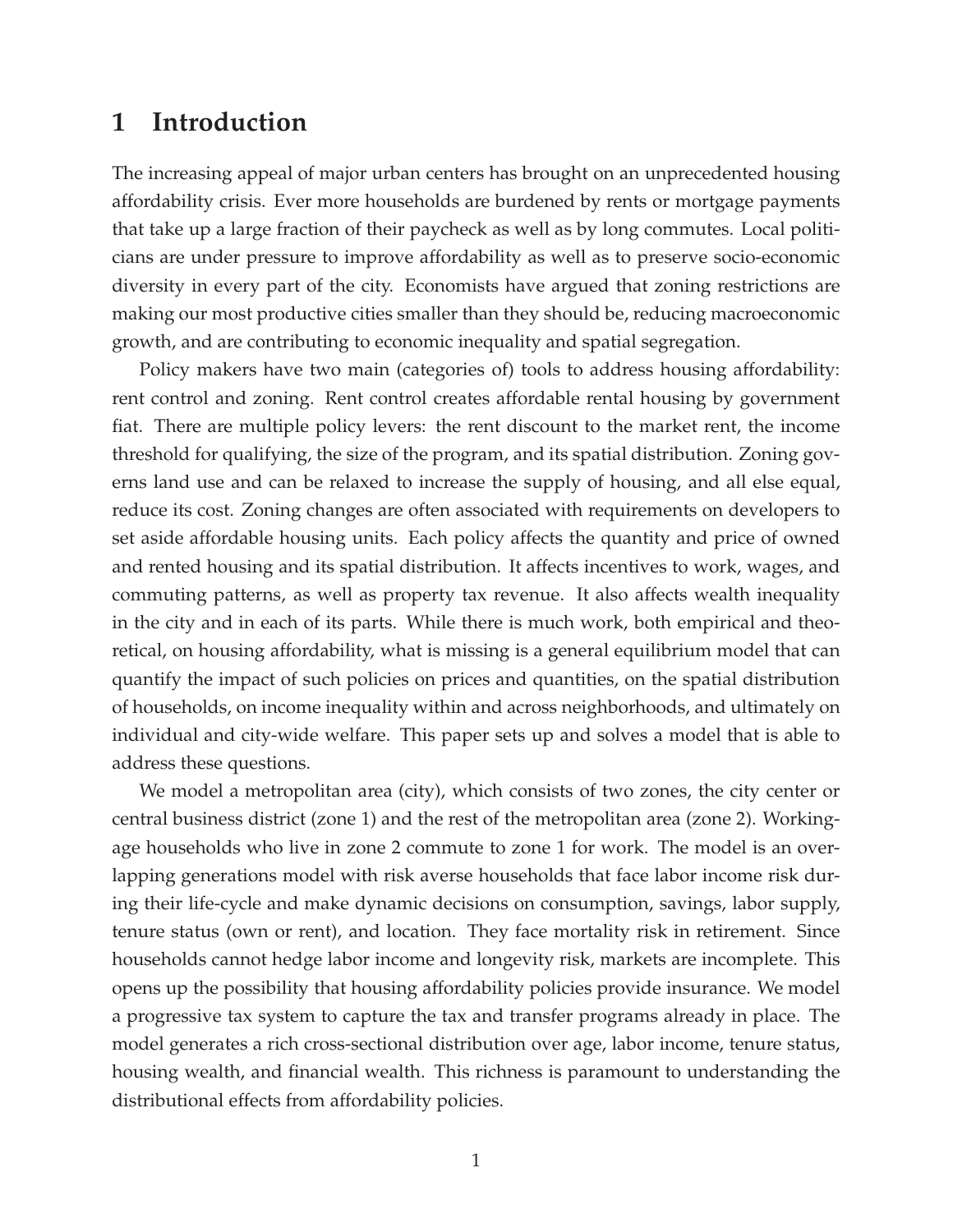### **1 Introduction**

The increasing appeal of major urban centers has brought on an unprecedented housing affordability crisis. Ever more households are burdened by rents or mortgage payments that take up a large fraction of their paycheck as well as by long commutes. Local politicians are under pressure to improve affordability as well as to preserve socio-economic diversity in every part of the city. Economists have argued that zoning restrictions are making our most productive cities smaller than they should be, reducing macroeconomic growth, and are contributing to economic inequality and spatial segregation.

Policy makers have two main (categories of) tools to address housing affordability: rent control and zoning. Rent control creates affordable rental housing by government fiat. There are multiple policy levers: the rent discount to the market rent, the income threshold for qualifying, the size of the program, and its spatial distribution. Zoning governs land use and can be relaxed to increase the supply of housing, and all else equal, reduce its cost. Zoning changes are often associated with requirements on developers to set aside affordable housing units. Each policy affects the quantity and price of owned and rented housing and its spatial distribution. It affects incentives to work, wages, and commuting patterns, as well as property tax revenue. It also affects wealth inequality in the city and in each of its parts. While there is much work, both empirical and theoretical, on housing affordability, what is missing is a general equilibrium model that can quantify the impact of such policies on prices and quantities, on the spatial distribution of households, on income inequality within and across neighborhoods, and ultimately on individual and city-wide welfare. This paper sets up and solves a model that is able to address these questions.

We model a metropolitan area (city), which consists of two zones, the city center or central business district (zone 1) and the rest of the metropolitan area (zone 2). Workingage households who live in zone 2 commute to zone 1 for work. The model is an overlapping generations model with risk averse households that face labor income risk during their life-cycle and make dynamic decisions on consumption, savings, labor supply, tenure status (own or rent), and location. They face mortality risk in retirement. Since households cannot hedge labor income and longevity risk, markets are incomplete. This opens up the possibility that housing affordability policies provide insurance. We model a progressive tax system to capture the tax and transfer programs already in place. The model generates a rich cross-sectional distribution over age, labor income, tenure status, housing wealth, and financial wealth. This richness is paramount to understanding the distributional effects from affordability policies.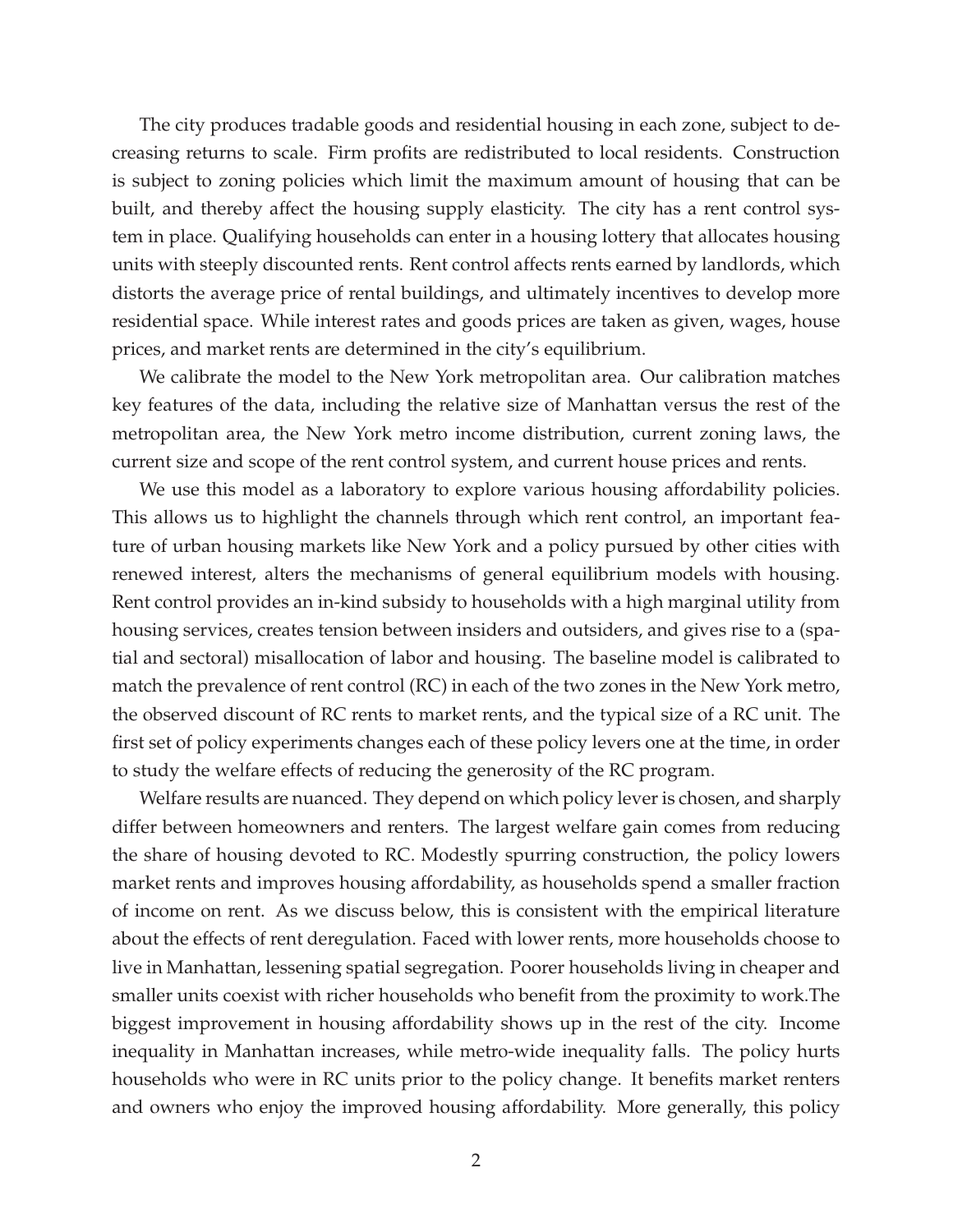The city produces tradable goods and residential housing in each zone, subject to decreasing returns to scale. Firm profits are redistributed to local residents. Construction is subject to zoning policies which limit the maximum amount of housing that can be built, and thereby affect the housing supply elasticity. The city has a rent control system in place. Qualifying households can enter in a housing lottery that allocates housing units with steeply discounted rents. Rent control affects rents earned by landlords, which distorts the average price of rental buildings, and ultimately incentives to develop more residential space. While interest rates and goods prices are taken as given, wages, house prices, and market rents are determined in the city's equilibrium.

We calibrate the model to the New York metropolitan area. Our calibration matches key features of the data, including the relative size of Manhattan versus the rest of the metropolitan area, the New York metro income distribution, current zoning laws, the current size and scope of the rent control system, and current house prices and rents.

We use this model as a laboratory to explore various housing affordability policies. This allows us to highlight the channels through which rent control, an important feature of urban housing markets like New York and a policy pursued by other cities with renewed interest, alters the mechanisms of general equilibrium models with housing. Rent control provides an in-kind subsidy to households with a high marginal utility from housing services, creates tension between insiders and outsiders, and gives rise to a (spatial and sectoral) misallocation of labor and housing. The baseline model is calibrated to match the prevalence of rent control (RC) in each of the two zones in the New York metro, the observed discount of RC rents to market rents, and the typical size of a RC unit. The first set of policy experiments changes each of these policy levers one at the time, in order to study the welfare effects of reducing the generosity of the RC program.

Welfare results are nuanced. They depend on which policy lever is chosen, and sharply differ between homeowners and renters. The largest welfare gain comes from reducing the share of housing devoted to RC. Modestly spurring construction, the policy lowers market rents and improves housing affordability, as households spend a smaller fraction of income on rent. As we discuss below, this is consistent with the empirical literature about the effects of rent deregulation. Faced with lower rents, more households choose to live in Manhattan, lessening spatial segregation. Poorer households living in cheaper and smaller units coexist with richer households who benefit from the proximity to work.The biggest improvement in housing affordability shows up in the rest of the city. Income inequality in Manhattan increases, while metro-wide inequality falls. The policy hurts households who were in RC units prior to the policy change. It benefits market renters and owners who enjoy the improved housing affordability. More generally, this policy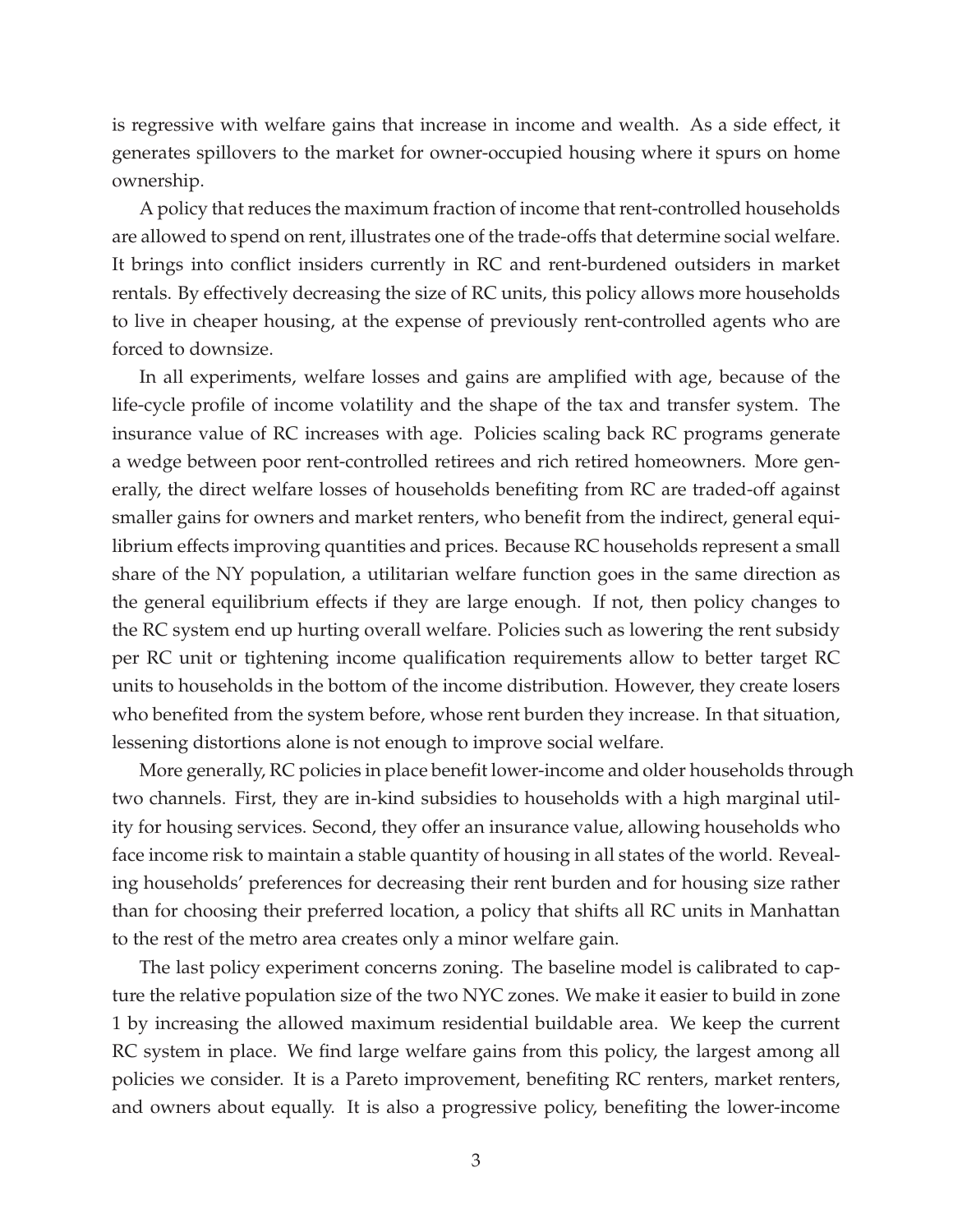is regressive with welfare gains that increase in income and wealth. As a side effect, it generates spillovers to the market for owner-occupied housing where it spurs on home ownership.

A policy that reduces the maximum fraction of income that rent-controlled households are allowed to spend on rent, illustrates one of the trade-offs that determine social welfare. It brings into conflict insiders currently in RC and rent-burdened outsiders in market rentals. By effectively decreasing the size of RC units, this policy allows more households to live in cheaper housing, at the expense of previously rent-controlled agents who are forced to downsize.

In all experiments, welfare losses and gains are amplified with age, because of the life-cycle profile of income volatility and the shape of the tax and transfer system. The insurance value of RC increases with age. Policies scaling back RC programs generate a wedge between poor rent-controlled retirees and rich retired homeowners. More generally, the direct welfare losses of households benefiting from RC are traded-off against smaller gains for owners and market renters, who benefit from the indirect, general equilibrium effects improving quantities and prices. Because RC households represent a small share of the NY population, a utilitarian welfare function goes in the same direction as the general equilibrium effects if they are large enough. If not, then policy changes to the RC system end up hurting overall welfare. Policies such as lowering the rent subsidy per RC unit or tightening income qualification requirements allow to better target RC units to households in the bottom of the income distribution. However, they create losers who benefited from the system before, whose rent burden they increase. In that situation, lessening distortions alone is not enough to improve social welfare.

More generally, RC policies in place benefit lower-income and older households through two channels. First, they are in-kind subsidies to households with a high marginal utility for housing services. Second, they offer an insurance value, allowing households who face income risk to maintain a stable quantity of housing in all states of the world. Revealing households' preferences for decreasing their rent burden and for housing size rather than for choosing their preferred location, a policy that shifts all RC units in Manhattan to the rest of the metro area creates only a minor welfare gain.

The last policy experiment concerns zoning. The baseline model is calibrated to capture the relative population size of the two NYC zones. We make it easier to build in zone 1 by increasing the allowed maximum residential buildable area. We keep the current RC system in place. We find large welfare gains from this policy, the largest among all policies we consider. It is a Pareto improvement, benefiting RC renters, market renters, and owners about equally. It is also a progressive policy, benefiting the lower-income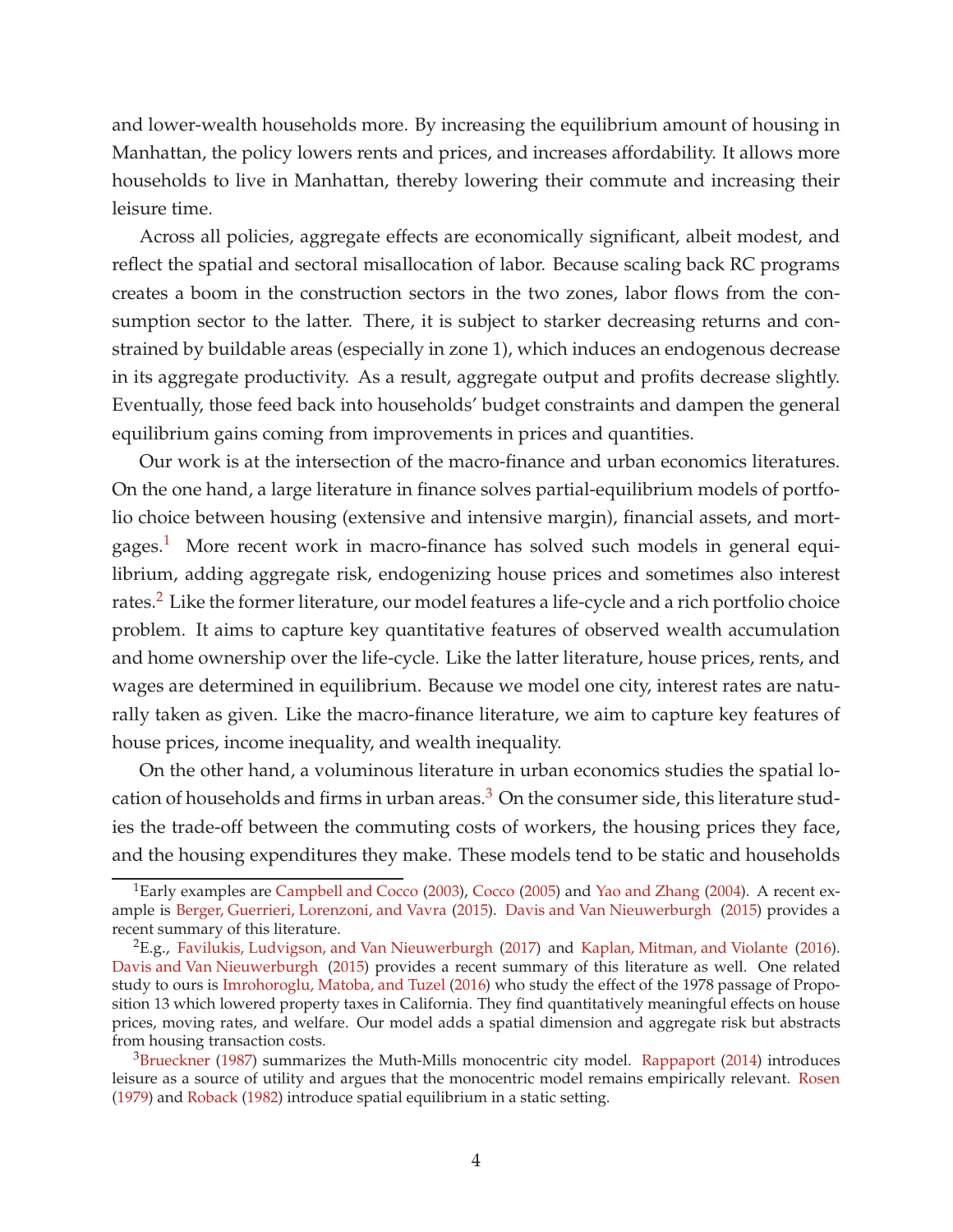and lower-wealth households more. By increasing the equilibrium amount of housing in Manhattan, the policy lowers rents and prices, and increases affordability. It allows more households to live in Manhattan, thereby lowering their commute and increasing their leisure time.

Across all policies, aggregate effects are economically significant, albeit modest, and reflect the spatial and sectoral misallocation of labor. Because scaling back RC programs creates a boom in the construction sectors in the two zones, labor flows from the consumption sector to the latter. There, it is subject to starker decreasing returns and constrained by buildable areas (especially in zone 1), which induces an endogenous decrease in its aggregate productivity. As a result, aggregate output and profits decrease slightly. Eventually, those feed back into households' budget constraints and dampen the general equilibrium gains coming from improvements in prices and quantities.

Our work is at the intersection of the macro-finance and urban economics literatures. On the one hand, a large literature in finance solves partial-equilibrium models of portfolio choice between housing (extensive and intensive margin), financial assets, and mortgages.[1](#page-4-0) More recent work in macro-finance has solved such models in general equilibrium, adding aggregate risk, endogenizing house prices and sometimes also interest rates.<sup>[2](#page-4-1)</sup> Like the former literature, our model features a life-cycle and a rich portfolio choice problem. It aims to capture key quantitative features of observed wealth accumulation and home ownership over the life-cycle. Like the latter literature, house prices, rents, and wages are determined in equilibrium. Because we model one city, interest rates are naturally taken as given. Like the macro-finance literature, we aim to capture key features of house prices, income inequality, and wealth inequality.

On the other hand, a voluminous literature in urban economics studies the spatial location of households and firms in urban areas. $3$  On the consumer side, this literature studies the trade-off between the commuting costs of workers, the housing prices they face, and the housing expenditures they make. These models tend to be static and households

<span id="page-4-0"></span><sup>&</sup>lt;sup>1</sup>Early examples are [Campbell and Cocco](#page-40-0) [\(2003](#page-40-0)), [Cocco](#page-40-1) [\(2005](#page-40-1)) and [Yao and Zhang](#page-41-0) [\(2004](#page-41-0)). A recent example is [Berger, Guerrieri, Lorenzoni, and Vavra](#page-40-2) [\(2015\)](#page-40-2). [Davis and Van Nieuwerburgh](#page-40-3) [\(2015\)](#page-40-3) provides a recent summary of this literature.

<span id="page-4-1"></span> ${}^{2}E.g.,$  Favilukis, Ludvigson, and Van Nieuwerburgh (2017) and [Kaplan, Mitman, and Violante](#page-41-1) [\(2016](#page-41-1)). [Davis and Van Nieuwerburgh](#page-40-3) [\(2015](#page-40-3)) provides a recent summary of this literature as well. One related study to ours is [Imrohoroglu, Matoba, and Tuzel](#page-41-2) [\(2016](#page-41-2)) who study the effect of the 1978 passage of Proposition 13 which lowered property taxes in California. They find quantitatively meaningful effects on house prices, moving rates, and welfare. Our model adds a spatial dimension and aggregate risk but abstracts from housing transaction costs.

<span id="page-4-2"></span> $3Brueckner$  $3Brueckner$  [\(1987](#page-40-4)) summarizes the Muth-Mills monocentric city model. [Rappaport](#page-41-3) [\(2014\)](#page-41-3) introduces leisure as a source of utility and argues that the monocentric model remains empirically relevant. [Rosen](#page-41-4) [\(1979\)](#page-41-4) and [Roback](#page-41-5) [\(1982\)](#page-41-5) introduce spatial equilibrium in a static setting.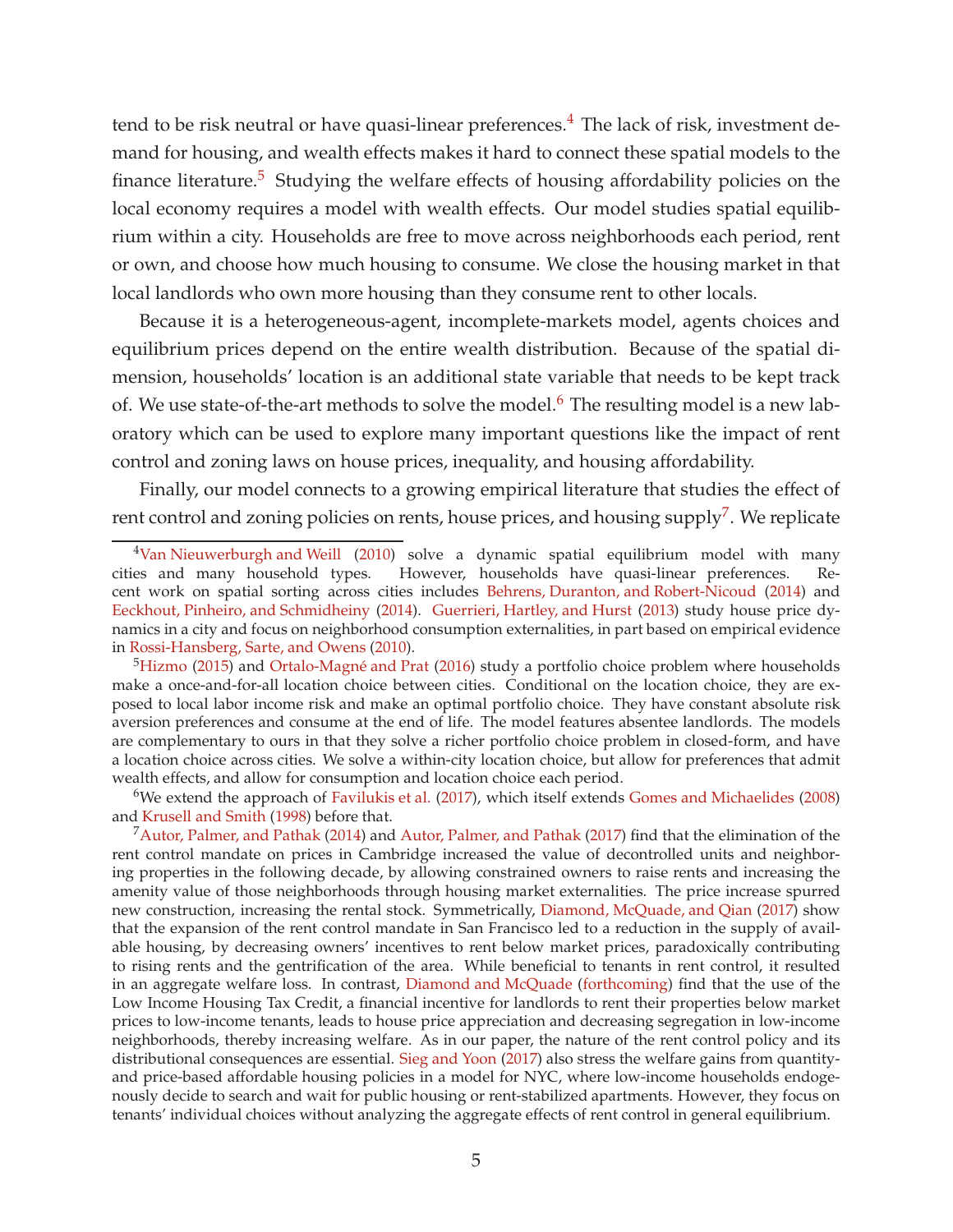tend to be risk neutral or have quasi-linear preferences.<sup>[4](#page-5-0)</sup> The lack of risk, investment demand for housing, and wealth effects makes it hard to connect these spatial models to the finance literature. $5$  Studying the welfare effects of housing affordability policies on the local economy requires a model with wealth effects. Our model studies spatial equilibrium within a city. Households are free to move across neighborhoods each period, rent or own, and choose how much housing to consume. We close the housing market in that local landlords who own more housing than they consume rent to other locals.

Because it is a heterogeneous-agent, incomplete-markets model, agents choices and equilibrium prices depend on the entire wealth distribution. Because of the spatial dimension, households' location is an additional state variable that needs to be kept track of. We use state-of-the-art methods to solve the model.<sup>[6](#page-5-2)</sup> The resulting model is a new laboratory which can be used to explore many important questions like the impact of rent control and zoning laws on house prices, inequality, and housing affordability.

Finally, our model connects to a growing empirical literature that studies the effect of rent control and zoning policies on rents, house prices, and housing  $\text{supply}^7$  $\text{supply}^7$ . We replicate

<span id="page-5-2"></span><sup>6</sup>We extend the approach of Favilukis et al. (2017), which itself extends [Gomes and Michaelides](#page-40-8) [\(2008\)](#page-40-8) and Krusell and Smith (1998) before that.

<span id="page-5-3"></span> $<sup>7</sup>$ [Autor, Palmer, and Pathak](#page-40-10) [\(2014\)](#page-40-9) and Autor, Palmer, and Pathak [\(2017](#page-40-10)) find that the elimination of the</sup> rent control mandate on prices in Cambridge increased the value of decontrolled units and neighboring properties in the following decade, by allowing constrained owners to raise rents and increasing the amenity value of those neighborhoods through housing market externalities. The price increase spurred new construction, increasing the rental stock. Symmetrically, [Diamond, McQuade, and Qian](#page-40-11) [\(2017\)](#page-40-11) show that the expansion of the rent control mandate in San Francisco led to a reduction in the supply of available housing, by decreasing owners' incentives to rent below market prices, paradoxically contributing to rising rents and the gentrification of the area. While beneficial to tenants in rent control, it resulted in an aggregate welfare loss. In contrast, [Diamond and McQuade](#page-40-12) [\(forthcoming](#page-40-12)) find that the use of the Low Income Housing Tax Credit, a financial incentive for landlords to rent their properties below market prices to low-income tenants, leads to house price appreciation and decreasing segregation in low-income neighborhoods, thereby increasing welfare. As in our paper, the nature of the rent control policy and its distributional consequences are essential. [Sieg and Yoon](#page-41-10) [\(2017](#page-41-10)) also stress the welfare gains from quantityand price-based affordable housing policies in a model for NYC, where low-income households endogenously decide to search and wait for public housing or rent-stabilized apartments. However, they focus on tenants' individual choices without analyzing the aggregate effects of rent control in general equilibrium.

<span id="page-5-0"></span> $4$ [Van Nieuwerburgh and Weill](#page-41-6) [\(2010\)](#page-41-6) solve a dynamic spatial equilibrium model with many cities and many household types. However, households have quasi-linear preferences. Re-However, households have quasi-linear preferences. Recent work on spatial sorting across cities includes [Behrens, Duranton, and Robert-Nicoud](#page-40-5) [\(2014\)](#page-40-5) and [Eeckhout, Pinheiro, and Schmidheiny](#page-40-6) [\(2014](#page-40-6)). [Guerrieri, Hartley, and Hurst](#page-40-7) [\(2013\)](#page-40-7) study house price dynamics in a city and focus on neighborhood consumption externalities, in part based on empirical evidence in [Rossi-Hansberg, Sarte, and Owens](#page-41-7) [\(2010](#page-41-7)).

<span id="page-5-1"></span> $5$ [Hizmo](#page-41-8) [\(2015\)](#page-41-8) and Ortalo-Magné and Prat [\(2016\)](#page-41-9) study a portfolio choice problem where households make a once-and-for-all location choice between cities. Conditional on the location choice, they are exposed to local labor income risk and make an optimal portfolio choice. They have constant absolute risk aversion preferences and consume at the end of life. The model features absentee landlords. The models are complementary to ours in that they solve a richer portfolio choice problem in closed-form, and have a location choice across cities. We solve a within-city location choice, but allow for preferences that admit wealth effects, and allow for consumption and location choice each period.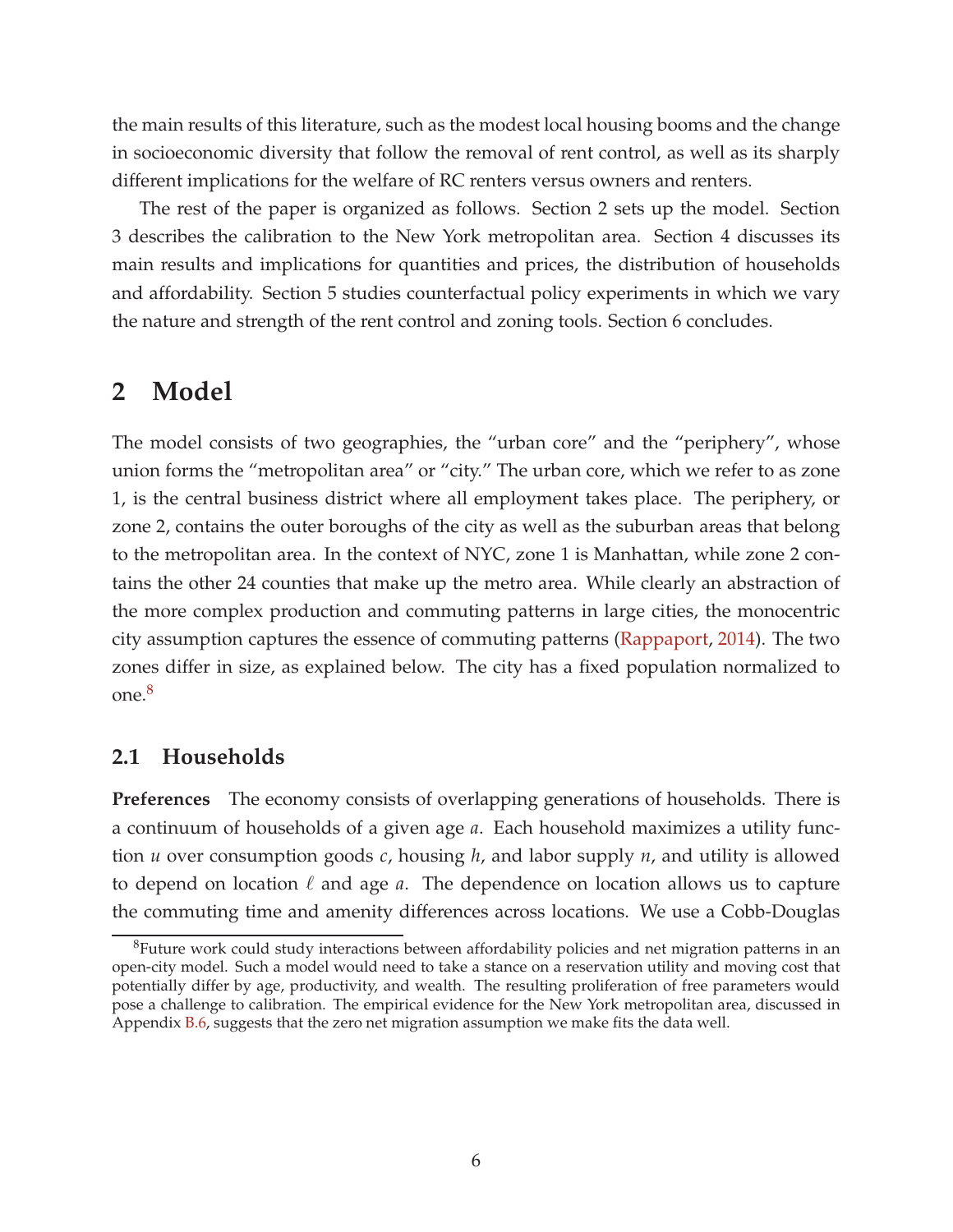the main results of this literature, such as the modest local housing booms and the change in socioeconomic diversity that follow the removal of rent control, as well as its sharply different implications for the welfare of RC renters versus owners and renters.

The rest of the paper is organized as follows. Section 2 sets up the model. Section 3 describes the calibration to the New York metropolitan area. Section 4 discusses its main results and implications for quantities and prices, the distribution of households and affordability. Section 5 studies counterfactual policy experiments in which we vary the nature and strength of the rent control and zoning tools. Section 6 concludes.

### **2 Model**

The model consists of two geographies, the "urban core" and the "periphery", whose union forms the "metropolitan area" or "city." The urban core, which we refer to as zone 1, is the central business district where all employment takes place. The periphery, or zone 2, contains the outer boroughs of the city as well as the suburban areas that belong to the metropolitan area. In the context of NYC, zone 1 is Manhattan, while zone 2 contains the other 24 counties that make up the metro area. While clearly an abstraction of the more complex production and commuting patterns in large cities, the monocentric city assumption captures the essence of commuting patterns [\(Rappaport](#page-41-3), [2014](#page-41-3)). The two zones differ in size, as explained below. The city has a fixed population normalized to one.[8](#page-6-0)

### **2.1 Households**

**Preferences** The economy consists of overlapping generations of households. There is a continuum of households of a given age *a*. Each household maximizes a utility function *u* over consumption goods *c*, housing *h*, and labor supply *n*, and utility is allowed to depend on location  $\ell$  and age  $a$ . The dependence on location allows us to capture the commuting time and amenity differences across locations. We use a Cobb-Douglas

<span id="page-6-0"></span><sup>&</sup>lt;sup>8</sup>Future work could study interactions between affordability policies and net migration patterns in an open-city model. Such a model would need to take a stance on a reservation utility and moving cost that potentially differ by age, productivity, and wealth. The resulting proliferation of free parameters would pose a challenge to calibration. The empirical evidence for the New York metropolitan area, discussed in Appendix [B.6,](#page-51-0) suggests that the zero net migration assumption we make fits the data well.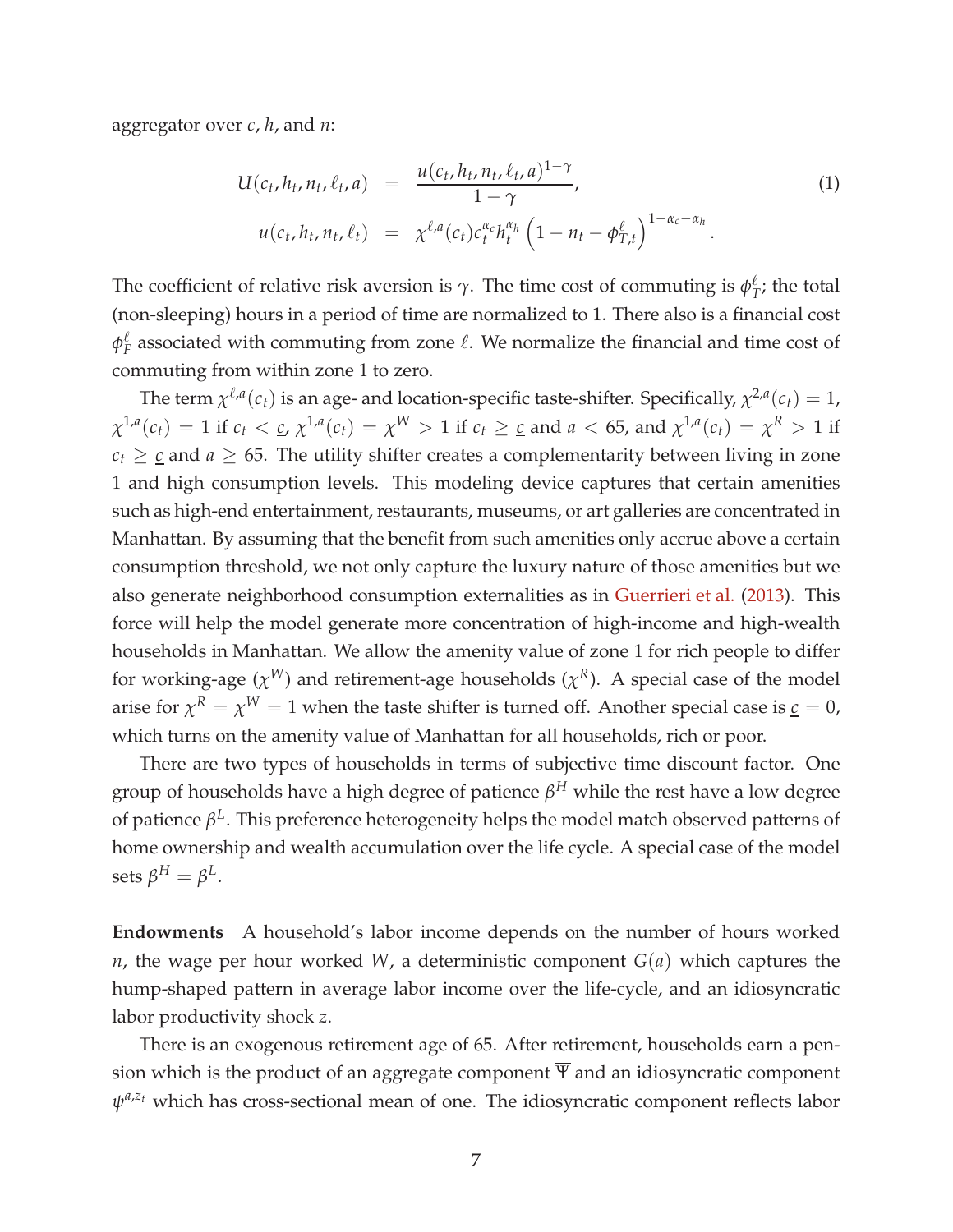aggregator over *c*, *h*, and *n*:

<span id="page-7-0"></span>
$$
U(c_t, h_t, n_t, \ell_t, a) = \frac{u(c_t, h_t, n_t, \ell_t, a)^{1-\gamma}}{1-\gamma},
$$
  
\n
$$
u(c_t, h_t, n_t, \ell_t) = \chi^{\ell, a}(c_t) c_t^{\alpha_c} h_t^{\alpha_h} \left(1 - n_t - \phi_{T,t}^{\ell}\right)^{1 - \alpha_c - \alpha_h}.
$$
\n(1)

The coefficient of relative risk aversion is  $\gamma$ . The time cost of commuting is  $\phi^{\ell}_{\mathcal{I}}$  $T$ <sup> $\ell$ </sup>; the total (non-sleeping) hours in a period of time are normalized to 1. There also is a financial cost *φ* ℓ  $\frac{\ell}{F}$  associated with commuting from zone  $\ell$ . We normalize the financial and time cost of commuting from within zone 1 to zero.

The term  $\chi^{\ell,a}(c_t)$  is an age- and location-specific taste-shifter. Specifically,  $\chi^{2,a}(c_t)=1$ ,  $\chi^{1,a}(c_t)=1$  if  $c_t<\underline{c}$ ,  $\chi^{1,a}(c_t)=\chi^W>1$  if  $c_t\geq \underline{c}$  and  $a<65$ , and  $\chi^{1,a}(c_t)=\chi^R>1$  if  $c_t \geq c$  and  $a \geq 65$ . The utility shifter creates a complementarity between living in zone 1 and high consumption levels. This modeling device captures that certain amenities such as high-end entertainment, restaurants, museums, or art galleries are concentrated in Manhattan. By assuming that the benefit from such amenities only accrue above a certain consumption threshold, we not only capture the luxury nature of those amenities but we also generate neighborhood consumption externalities as in [Guerrieri et al.](#page-40-7) [\(2013](#page-40-7)). This force will help the model generate more concentration of high-income and high-wealth households in Manhattan. We allow the amenity value of zone 1 for rich people to differ for working-age  $(\chi^W)$  and retirement-age households  $(\chi^R)$ . A special case of the model arise for  $\chi^R = \chi^W = 1$  when the taste shifter is turned off. Another special case is <u> $c = 0$ </u>, which turns on the amenity value of Manhattan for all households, rich or poor.

There are two types of households in terms of subjective time discount factor. One group of households have a high degree of patience *β <sup>H</sup>* while the rest have a low degree of patience *β L* . This preference heterogeneity helps the model match observed patterns of home ownership and wealth accumulation over the life cycle. A special case of the model  $\text{sets }\beta^{H}=\beta^{L}.$ 

**Endowments** A household's labor income depends on the number of hours worked *n*, the wage per hour worked *W*, a deterministic component *G*(*a*) which captures the hump-shaped pattern in average labor income over the life-cycle, and an idiosyncratic labor productivity shock *z*.

There is an exogenous retirement age of 65. After retirement, households earn a pension which is the product of an aggregate component  $\overline{\Psi}$  and an idiosyncratic component  $ψ$ <sup>*a,z<sub>t</sub>*</sup> which has cross-sectional mean of one. The idiosyncratic component reflects labor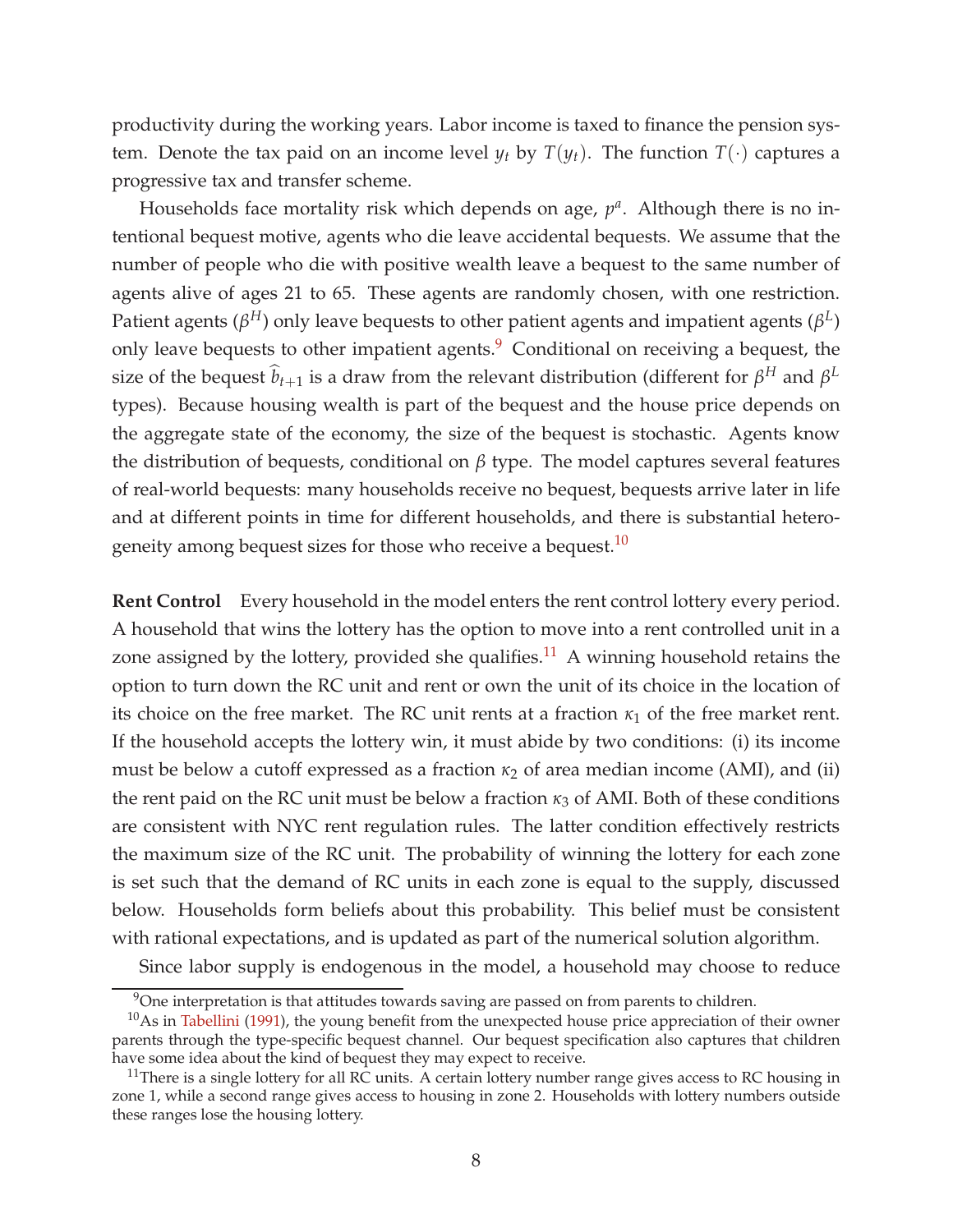productivity during the working years. Labor income is taxed to finance the pension system. Denote the tax paid on an income level  $y_t$  by  $T(y_t)$ . The function  $T(\cdot)$  captures a progressive tax and transfer scheme.

Households face mortality risk which depends on age,  $p^a$ . Although there is no intentional bequest motive, agents who die leave accidental bequests. We assume that the number of people who die with positive wealth leave a bequest to the same number of agents alive of ages 21 to 65. These agents are randomly chosen, with one restriction. Patient agents ( $β^H$ ) only leave bequests to other patient agents and impatient agents ( $β^L$ ) only leave bequests to other impatient agents.<sup>[9](#page-8-0)</sup> Conditional on receiving a bequest, the size of the bequest  $\hat{b}_{t+1}$  is a draw from the relevant distribution (different for  $\beta^H$  and  $\beta^L$ types). Because housing wealth is part of the bequest and the house price depends on the aggregate state of the economy, the size of the bequest is stochastic. Agents know the distribution of bequests, conditional on *β* type. The model captures several features of real-world bequests: many households receive no bequest, bequests arrive later in life and at different points in time for different households, and there is substantial hetero-geneity among bequest sizes for those who receive a bequest.<sup>[10](#page-8-1)</sup>

**Rent Control** Every household in the model enters the rent control lottery every period. A household that wins the lottery has the option to move into a rent controlled unit in a zone assigned by the lottery, provided she qualifies.<sup>[11](#page-8-2)</sup> A winning household retains the option to turn down the RC unit and rent or own the unit of its choice in the location of its choice on the free market. The RC unit rents at a fraction  $\kappa_1$  of the free market rent. If the household accepts the lottery win, it must abide by two conditions: (i) its income must be below a cutoff expressed as a fraction  $\kappa_2$  of area median income (AMI), and (ii) the rent paid on the RC unit must be below a fraction  $\kappa_3$  of AMI. Both of these conditions are consistent with NYC rent regulation rules. The latter condition effectively restricts the maximum size of the RC unit. The probability of winning the lottery for each zone is set such that the demand of RC units in each zone is equal to the supply, discussed below. Households form beliefs about this probability. This belief must be consistent with rational expectations, and is updated as part of the numerical solution algorithm.

Since labor supply is endogenous in the model, a household may choose to reduce

<span id="page-8-0"></span><sup>&</sup>lt;sup>9</sup>One interpretation is that attitudes towards saving are passed on from parents to children.

<span id="page-8-1"></span> $10$ As in [Tabellini](#page-41-11) [\(1991\)](#page-41-11), the young benefit from the unexpected house price appreciation of their owner parents through the type-specific bequest channel. Our bequest specification also captures that children have some idea about the kind of bequest they may expect to receive.

<span id="page-8-2"></span> $11$ There is a single lottery for all RC units. A certain lottery number range gives access to RC housing in zone 1, while a second range gives access to housing in zone 2. Households with lottery numbers outside these ranges lose the housing lottery.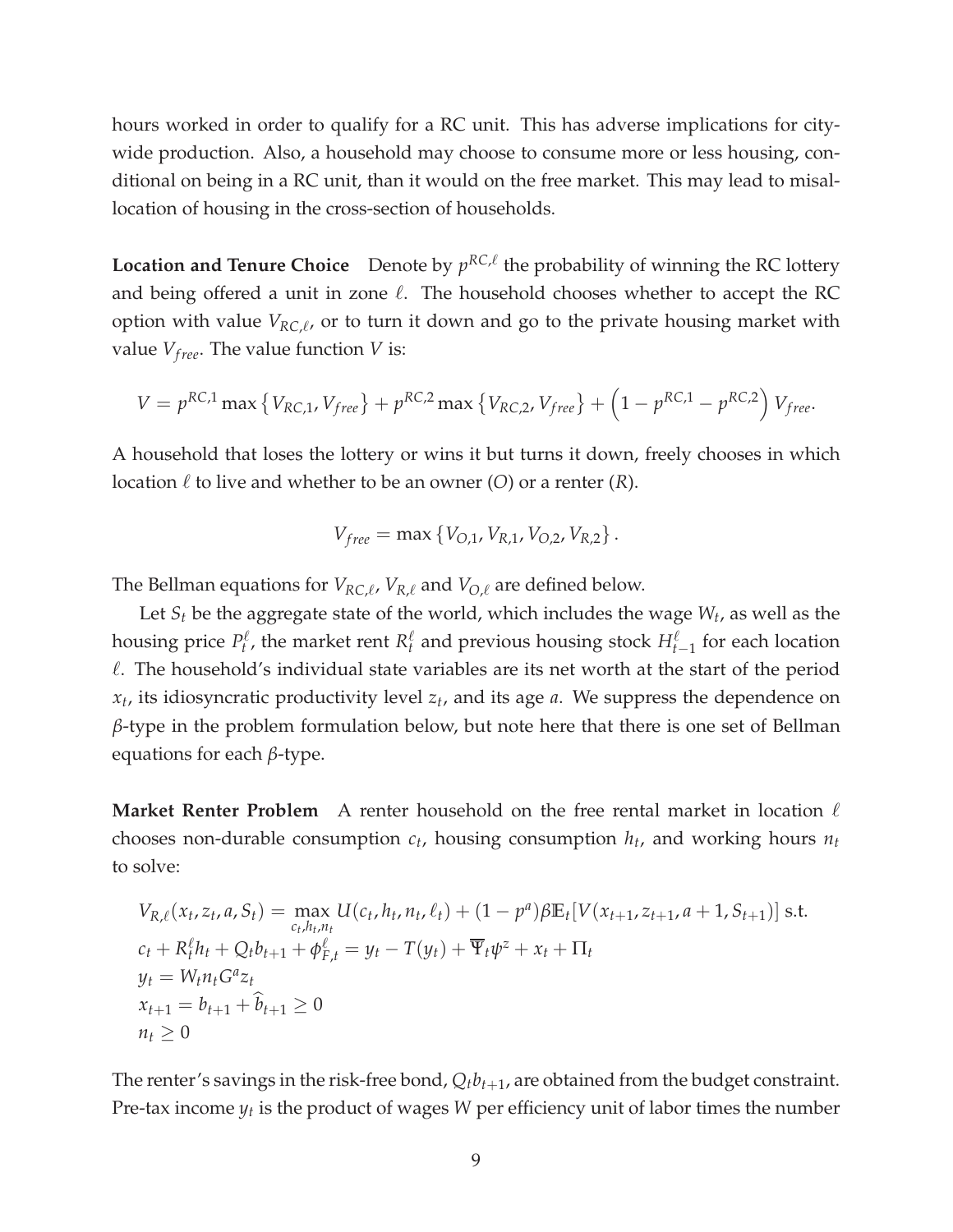hours worked in order to qualify for a RC unit. This has adverse implications for citywide production. Also, a household may choose to consume more or less housing, conditional on being in a RC unit, than it would on the free market. This may lead to misallocation of housing in the cross-section of households.

**Location and Tenure Choice** Denote by  $p^{RC,\ell}$  the probability of winning the RC lottery and being offered a unit in zone  $\ell$ . The household chooses whether to accept the RC option with value *VRC*,<sup>ℓ</sup> , or to turn it down and go to the private housing market with value  $V_{free}$ . The value function *V* is:

$$
V = p^{RC,1} \max \{ V_{RC,1}, V_{free} \} + p^{RC,2} \max \{ V_{RC,2}, V_{free} \} + (1 - p^{RC,1} - p^{RC,2}) V_{free}.
$$

A household that loses the lottery or wins it but turns it down, freely chooses in which location  $\ell$  to live and whether to be an owner (*O*) or a renter (*R*).

$$
V_{free} = \max\{V_{O,1}, V_{R,1}, V_{O,2}, V_{R,2}\}.
$$

The Bellman equations for *VRC*,<sup>ℓ</sup> , *VR*,<sup>ℓ</sup> and *VO*,<sup>ℓ</sup> are defined below.

Let *S<sup>t</sup>* be the aggregate state of the world, which includes the wage *W<sup>t</sup>* , as well as the housing price  $P_t^{\ell}$  $P_t^{\ell}$ , the market rent  $R_t^{\ell}$  $\frac{\ell}{t}$  and previous housing stock  $H_{t-1}^{\ell}$  for each location  $\ell$ . The household's individual state variables are its net worth at the start of the period *xt* , its idiosyncratic productivity level *z<sup>t</sup>* , and its age *a*. We suppress the dependence on *β*-type in the problem formulation below, but note here that there is one set of Bellman equations for each *β*-type.

**Market Renter Problem** A renter household on the free rental market in location  $\ell$ chooses non-durable consumption *c<sup>t</sup>* , housing consumption *h<sup>t</sup>* , and working hours *n<sup>t</sup>* to solve:

$$
V_{R,\ell}(x_t, z_t, a, S_t) = \max_{c_t, h_t, n_t} U(c_t, h_t, n_t, \ell_t) + (1 - p^a) \beta \mathbb{E}_t [V(x_{t+1}, z_{t+1}, a+1, S_{t+1})] \text{ s.t.}
$$
  
\n
$$
c_t + R_t^{\ell} h_t + Q_t b_{t+1} + \phi_{F,t}^{\ell} = y_t - T(y_t) + \overline{\Psi}_t \psi^2 + x_t + \Pi_t
$$
  
\n
$$
y_t = W_t n_t G^a z_t
$$
  
\n
$$
x_{t+1} = b_{t+1} + \widehat{b}_{t+1} \ge 0
$$
  
\n
$$
n_t \ge 0
$$

The renter's savings in the risk-free bond,  $Q_t b_{t+1}$ , are obtained from the budget constraint. Pre-tax income *y<sup>t</sup>* is the product of wages *W* per efficiency unit of labor times the number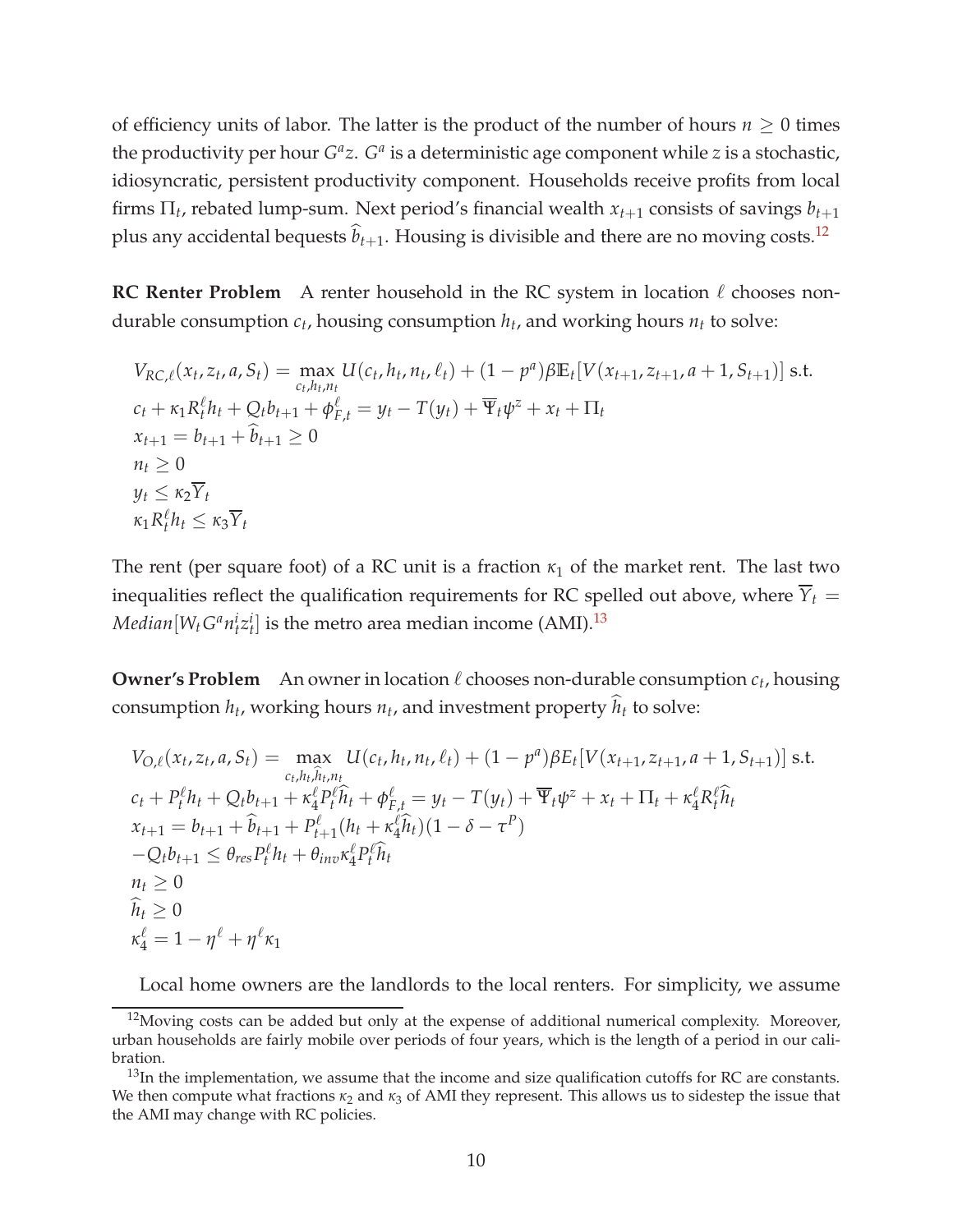of efficiency units of labor. The latter is the product of the number of hours  $n \geq 0$  times the productivity per hour  $G^a z$ .  $G^a$  is a deterministic age component while *z* is a stochastic, idiosyncratic, persistent productivity component. Households receive profits from local firms Π*<sup>t</sup>* , rebated lump-sum. Next period's financial wealth *xt*+<sup>1</sup> consists of savings *bt*+<sup>1</sup> plus any accidental bequests  $\hat{b}_{t+1}$ . Housing is divisible and there are no moving costs.<sup>[12](#page-10-0)</sup>

**RC Renter Problem** A renter household in the RC system in location  $ℓ$  chooses nondurable consumption *c<sup>t</sup>* , housing consumption *h<sup>t</sup>* , and working hours *n<sup>t</sup>* to solve:

$$
V_{RC,\ell}(x_t, z_t, a, S_t) = \max_{c_t, h_t, n_t} U(c_t, h_t, n_t, \ell_t) + (1 - p^a) \beta \mathbb{E}_t [V(x_{t+1}, z_{t+1}, a + 1, S_{t+1})] \text{ s.t.}
$$
  
\n
$$
c_t + \kappa_1 R_t^{\ell} h_t + Q_t b_{t+1} + \phi_{F,t}^{\ell} = y_t - T(y_t) + \overline{\Psi}_t \psi^z + x_t + \Pi_t
$$
  
\n
$$
x_{t+1} = b_{t+1} + \widehat{b}_{t+1} \ge 0
$$
  
\n
$$
n_t \ge 0
$$
  
\n
$$
y_t \le \kappa_2 \overline{Y}_t
$$
  
\n
$$
\kappa_1 R_t^{\ell} h_t \le \kappa_3 \overline{Y}_t
$$

The rent (per square foot) of a RC unit is a fraction  $\kappa_1$  of the market rent. The last two inequalities reflect the qualification requirements for RC spelled out above, where  $\overline{Y}_t$  =  $Median[W_tG^an_t^iz_t^i]$  is the metro area median income (AMI).<sup>[13](#page-10-1)</sup>

**Owner's Problem** An owner in location  $\ell$  chooses non-durable consumption  $c_t$ , housing consumption  $h_t$ , working hours  $n_t$ , and investment property  $h_t$  to solve:

$$
V_{O,\ell}(x_t, z_t, a, S_t) = \max_{c_t, h_t, \hat{h}_t, n_t} U(c_t, h_t, n_t, \ell_t) + (1 - p^a) \beta E_t [V(x_{t+1}, z_{t+1}, a+1, S_{t+1})] \text{ s.t.}
$$
  
\n
$$
c_t + P_t^{\ell} h_t + Q_t b_{t+1} + \kappa_4^{\ell} P_t^{\ell} \hat{h}_t + \phi_{F,t}^{\ell} = y_t - T(y_t) + \overline{\Psi}_t \psi^2 + x_t + \Pi_t + \kappa_4^{\ell} R_t^{\ell} \hat{h}_t
$$
  
\n
$$
x_{t+1} = b_{t+1} + \hat{b}_{t+1} + P_{t+1}^{\ell} (h_t + \kappa_4^{\ell} \hat{h}_t) (1 - \delta - \tau^P)
$$
  
\n
$$
-Q_t b_{t+1} \leq \theta_{res} P_t^{\ell} h_t + \theta_{inv} \kappa_4^{\ell} P_t^{\ell} \hat{h}_t
$$
  
\n
$$
n_t \geq 0
$$
  
\n
$$
\hat{h}_t \geq 0
$$
  
\n
$$
\kappa_4^{\ell} = 1 - \eta^{\ell} + \eta^{\ell} \kappa_1
$$

Local home owners are the landlords to the local renters. For simplicity, we assume

<span id="page-10-0"></span> $12$ Moving costs can be added but only at the expense of additional numerical complexity. Moreover, urban households are fairly mobile over periods of four years, which is the length of a period in our calibration.

<span id="page-10-1"></span> $13$ In the implementation, we assume that the income and size qualification cutoffs for RC are constants. We then compute what fractions  $\kappa_2$  and  $\kappa_3$  of AMI they represent. This allows us to sidestep the issue that the AMI may change with RC policies.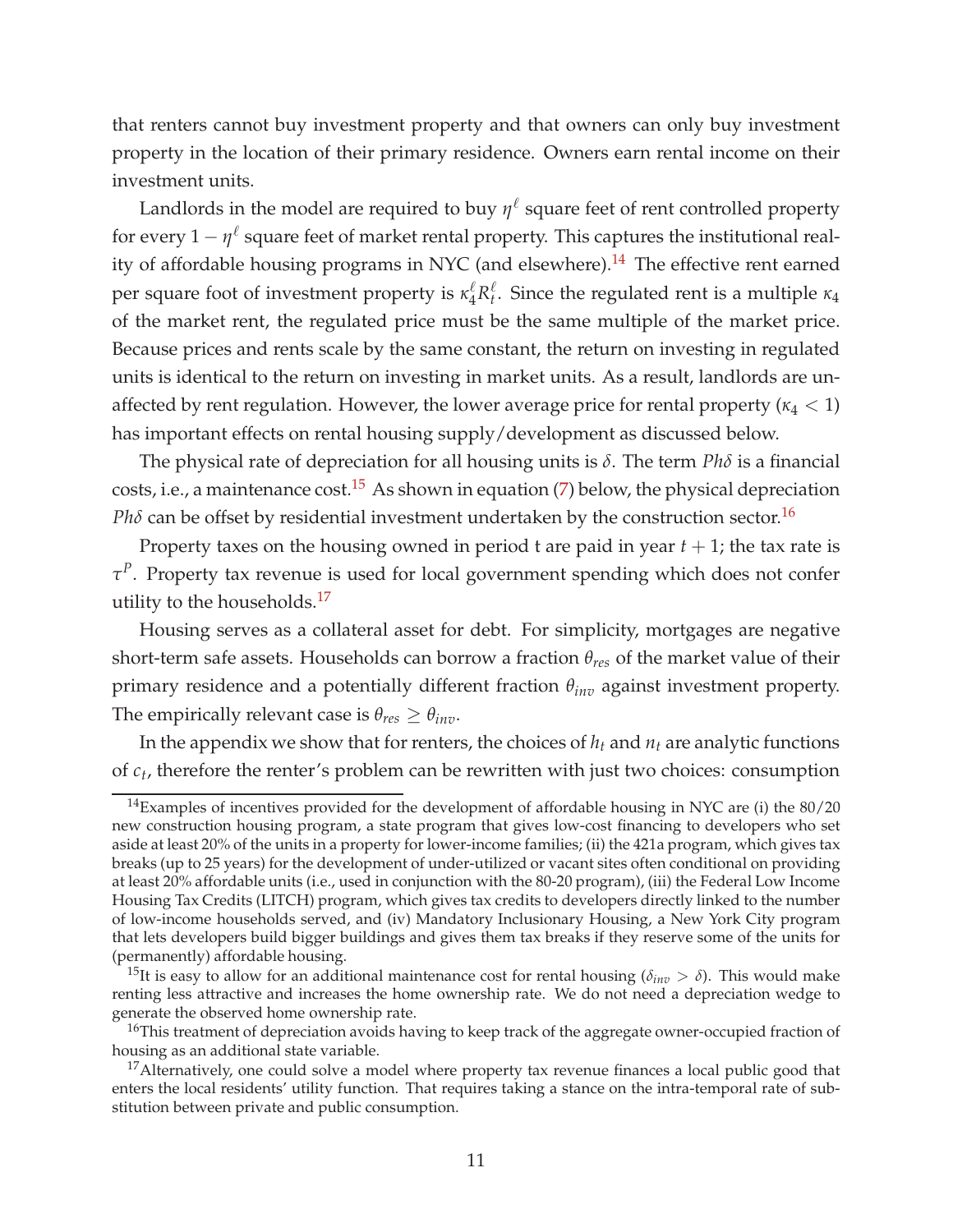that renters cannot buy investment property and that owners can only buy investment property in the location of their primary residence. Owners earn rental income on their investment units.

Landlords in the model are required to buy  $\eta^{\ell}$  square feet of rent controlled property for every  $1 - \eta^\ell$  square feet of market rental property. This captures the institutional real-ity of affordable housing programs in NYC (and elsewhere).<sup>[14](#page-11-0)</sup> The effective rent earned per square foot of investment property is  $\kappa_4^{\ell} R_t^{\ell}$ *t* . Since the regulated rent is a multiple *κ*<sup>4</sup> of the market rent, the regulated price must be the same multiple of the market price. Because prices and rents scale by the same constant, the return on investing in regulated units is identical to the return on investing in market units. As a result, landlords are unaffected by rent regulation. However, the lower average price for rental property  $(\kappa_4 < 1)$ has important effects on rental housing supply/development as discussed below.

The physical rate of depreciation for all housing units is *δ*. The term *Phδ* is a financial costs, i.e., a maintenance cost.<sup>[15](#page-11-1)</sup> As shown in equation [\(7\)](#page-14-0) below, the physical depreciation *Ph* $\delta$  can be offset by residential investment undertaken by the construction sector.<sup>[16](#page-11-2)</sup>

Property taxes on the housing owned in period t are paid in year *t* + 1; the tax rate is *τ P* . Property tax revenue is used for local government spending which does not confer utility to the households.<sup>[17](#page-11-3)</sup>

Housing serves as a collateral asset for debt. For simplicity, mortgages are negative short-term safe assets. Households can borrow a fraction *θres* of the market value of their primary residence and a potentially different fraction *θinv* against investment property. The empirically relevant case is  $\theta_{res} \geq \theta_{inv}$ .

In the appendix we show that for renters, the choices of  $h_t$  and  $n_t$  are analytic functions of *c<sup>t</sup>* , therefore the renter's problem can be rewritten with just two choices: consumption

<span id="page-11-0"></span> $14$ Examples of incentives provided for the development of affordable housing in NYC are (i) the  $80/20$ new construction housing program, a state program that gives low-cost financing to developers who set aside at least 20% of the units in a property for lower-income families; (ii) the 421a program, which gives tax breaks (up to 25 years) for the development of under-utilized or vacant sites often conditional on providing at least 20% affordable units (i.e., used in conjunction with the 80-20 program), (iii) the Federal Low Income Housing Tax Credits (LITCH) program, which gives tax credits to developers directly linked to the number of low-income households served, and (iv) Mandatory Inclusionary Housing, a New York City program that lets developers build bigger buildings and gives them tax breaks if they reserve some of the units for (permanently) affordable housing.

<span id="page-11-1"></span><sup>&</sup>lt;sup>15</sup>It is easy to allow for an additional maintenance cost for rental housing ( $\delta_{inv} > \delta$ ). This would make renting less attractive and increases the home ownership rate. We do not need a depreciation wedge to generate the observed home ownership rate.

<span id="page-11-2"></span><sup>&</sup>lt;sup>16</sup>This treatment of depreciation avoids having to keep track of the aggregate owner-occupied fraction of housing as an additional state variable.

<span id="page-11-3"></span><sup>&</sup>lt;sup>17</sup>Alternatively, one could solve a model where property tax revenue finances a local public good that enters the local residents' utility function. That requires taking a stance on the intra-temporal rate of substitution between private and public consumption.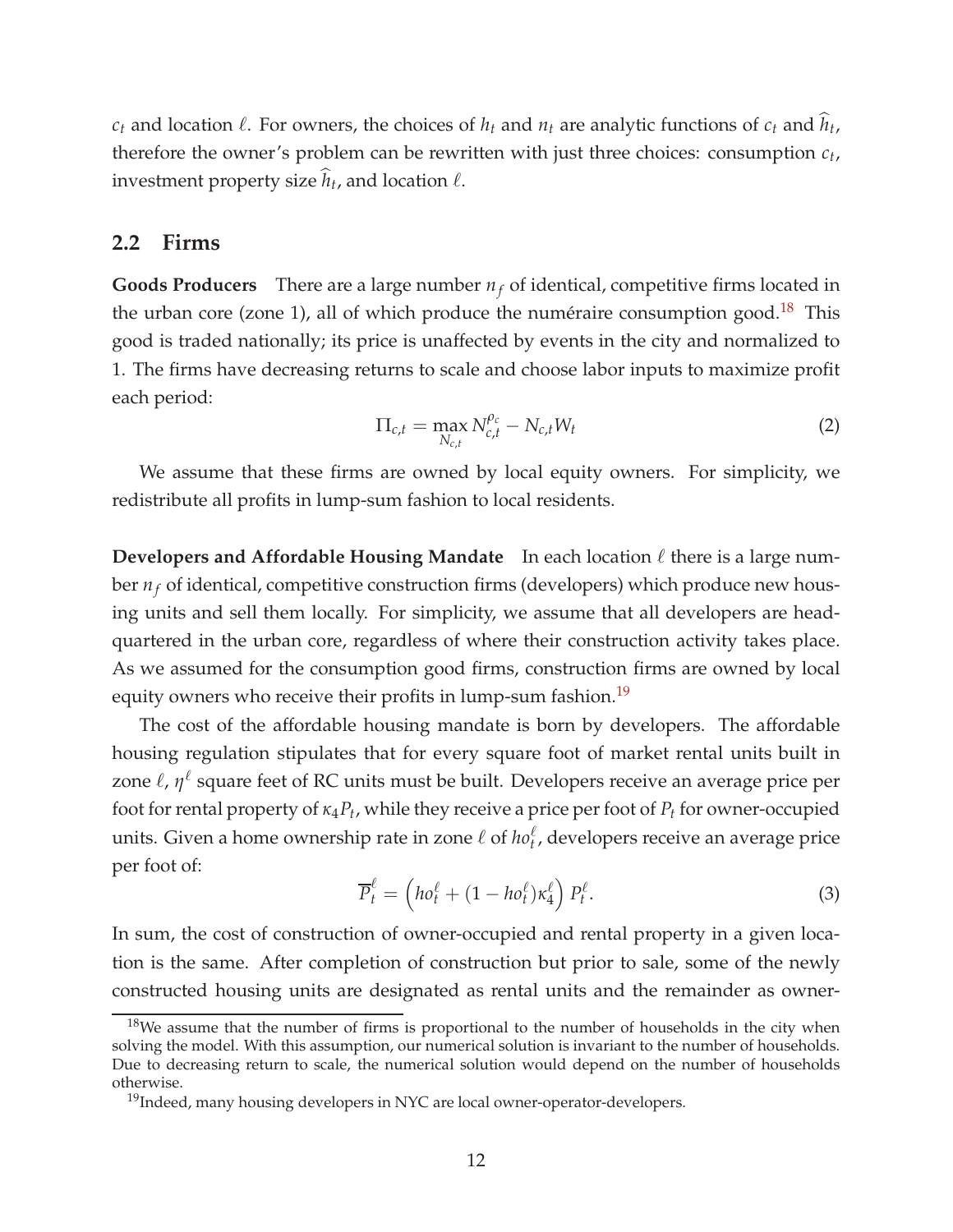$c_t$  and location  $\ell$ . For owners, the choices of  $h_t$  and  $n_t$  are analytic functions of  $c_t$  and  $\hat{h}_t$ , therefore the owner's problem can be rewritten with just three choices: consumption *c<sup>t</sup>* , investment property size  $\widehat{h}_t$ , and location  $\ell$ .

#### **2.2 Firms**

**Goods Producers** There are a large number  $n_f$  of identical, competitive firms located in the urban core (zone 1), all of which produce the numéraire consumption good.<sup>[18](#page-12-0)</sup> This good is traded nationally; its price is unaffected by events in the city and normalized to 1. The firms have decreasing returns to scale and choose labor inputs to maximize profit each period:

$$
\Pi_{c,t} = \max_{N_{c,t}} N_{c,t}^{\rho_c} - N_{c,t} W_t \tag{2}
$$

We assume that these firms are owned by local equity owners. For simplicity, we redistribute all profits in lump-sum fashion to local residents.

**Developers and Affordable Housing Mandate** In each location ℓ there is a large number  $n_f$  of identical, competitive construction firms (developers) which produce new housing units and sell them locally. For simplicity, we assume that all developers are headquartered in the urban core, regardless of where their construction activity takes place. As we assumed for the consumption good firms, construction firms are owned by local equity owners who receive their profits in lump-sum fashion.<sup>[19](#page-12-1)</sup>

The cost of the affordable housing mandate is born by developers. The affordable housing regulation stipulates that for every square foot of market rental units built in zone l, η<sup>l</sup> square feet of RC units must be built. Developers receive an average price per foot for rental property of *κ*4*P<sup>t</sup>* , while they receive a price per foot of *P<sup>t</sup>* for owner-occupied units. Given a home ownership rate in zone  $\ell$  of  $ho_t^{\ell}$ , developers receive an average price per foot of:

<span id="page-12-2"></span>
$$
\overline{P}_t^{\ell} = \left( h o_t^{\ell} + (1 - h o_t^{\ell}) \kappa_4^{\ell} \right) P_t^{\ell}.
$$
\n(3)

In sum, the cost of construction of owner-occupied and rental property in a given location is the same. After completion of construction but prior to sale, some of the newly constructed housing units are designated as rental units and the remainder as owner-

<span id="page-12-0"></span> $18$ We assume that the number of firms is proportional to the number of households in the city when solving the model. With this assumption, our numerical solution is invariant to the number of households. Due to decreasing return to scale, the numerical solution would depend on the number of households otherwise.

<span id="page-12-1"></span><sup>&</sup>lt;sup>19</sup>Indeed, many housing developers in NYC are local owner-operator-developers.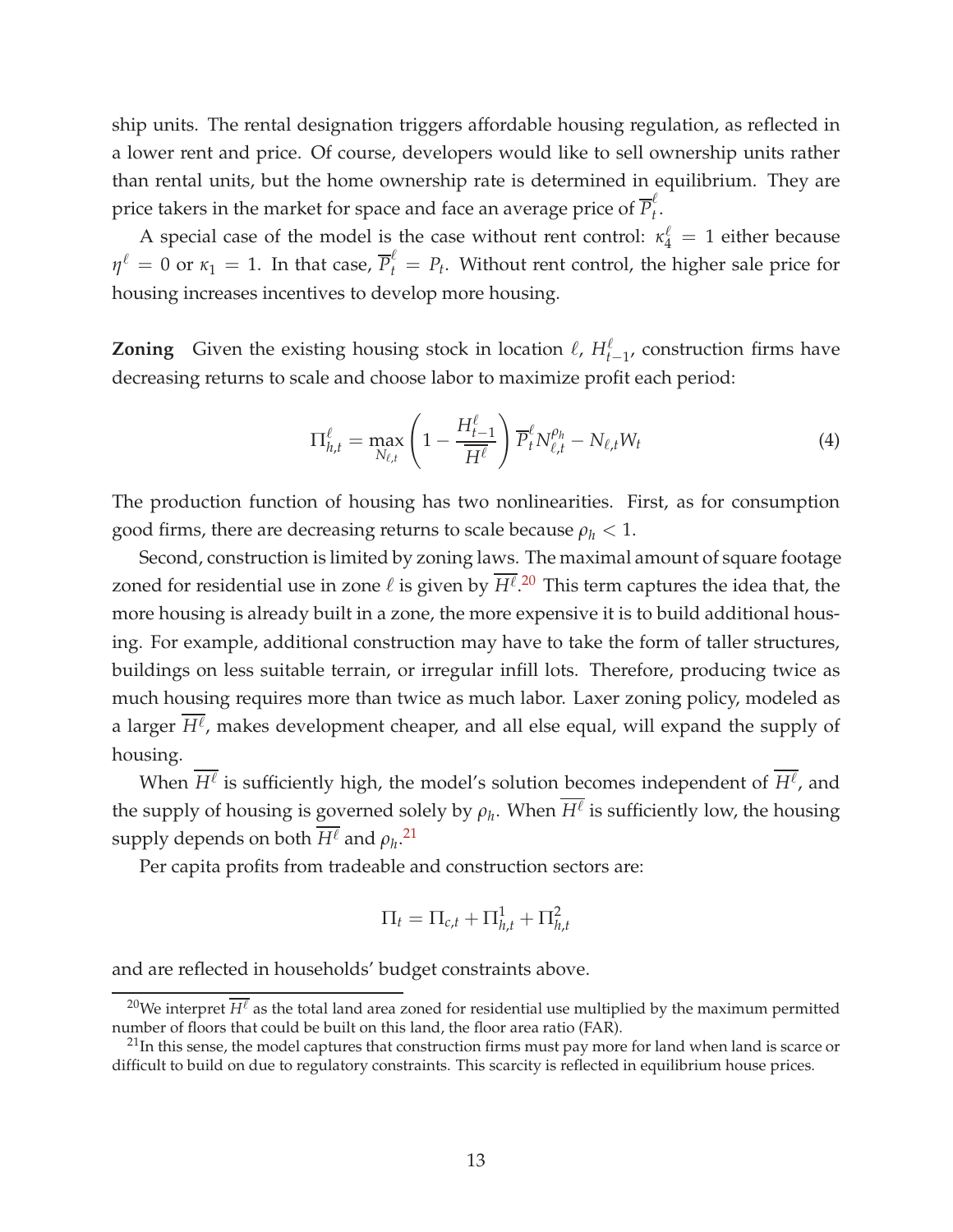ship units. The rental designation triggers affordable housing regulation, as reflected in a lower rent and price. Of course, developers would like to sell ownership units rather than rental units, but the home ownership rate is determined in equilibrium. They are price takers in the market for space and face an average price of  $\overline{P}_{t}^{\ell}$ *t* .

A special case of the model is the case without rent control:  $\kappa_4^{\ell} = 1$  either because  $\eta^{\ell} = 0$  or  $\kappa_1 = 1$ . In that case,  $\overline{P}_t^{\ell} = P_t$ . Without rent control, the higher sale price for housing increases incentives to develop more housing.

**Zoning** Given the existing housing stock in location  $\ell$ ,  $H_{t-1}^{\ell}$ , construction firms have decreasing returns to scale and choose labor to maximize profit each period:

$$
\Pi_{h,t}^{\ell} = \max_{N_{\ell,t}} \left( 1 - \frac{H_{t-1}^{\ell}}{\overline{H^{\ell}}}\right) \overline{P}_t^{\ell} N_{\ell,t}^{\rho_h} - N_{\ell,t} W_t \tag{4}
$$

The production function of housing has two nonlinearities. First, as for consumption good firms, there are decreasing returns to scale because  $\rho_h < 1$ .

Second, construction is limited by zoning laws. The maximal amount of square footage zoned for residential use in zone  $\ell$  is given by  $\overline{H^{\ell}}$ .<sup>[20](#page-13-0)</sup> This term captures the idea that, the more housing is already built in a zone, the more expensive it is to build additional housing. For example, additional construction may have to take the form of taller structures, buildings on less suitable terrain, or irregular infill lots. Therefore, producing twice as much housing requires more than twice as much labor. Laxer zoning policy, modeled as a larger  $\overline{H^{\ell}}$ , makes development cheaper, and all else equal, will expand the supply of housing.

When  $\overline{H^{\ell}}$  is sufficiently high, the model's solution becomes independent of  $\overline{H^{\ell}}$ , and the supply of housing is governed solely by  $\rho_h$ . When  $\overline{H^{\ell}}$  is sufficiently low, the housing supply depends on both  $\overline{H^{\ell}}$  and  $\rho_{h}.^{21}$  $\rho_{h}.^{21}$  $\rho_{h}.^{21}$ 

Per capita profits from tradeable and construction sectors are:

$$
\Pi_t = \Pi_{c,t} + \Pi_{h,t}^1 + \Pi_{h,t}^2
$$

and are reflected in households' budget constraints above.

<span id="page-13-0"></span><sup>&</sup>lt;sup>20</sup>We interpret  $\overline{H^{\ell}}$  as the total land area zoned for residential use multiplied by the maximum permitted number of floors that could be built on this land, the floor area ratio (FAR).

<span id="page-13-1"></span> $^{21}$ In this sense, the model captures that construction firms must pay more for land when land is scarce or difficult to build on due to regulatory constraints. This scarcity is reflected in equilibrium house prices.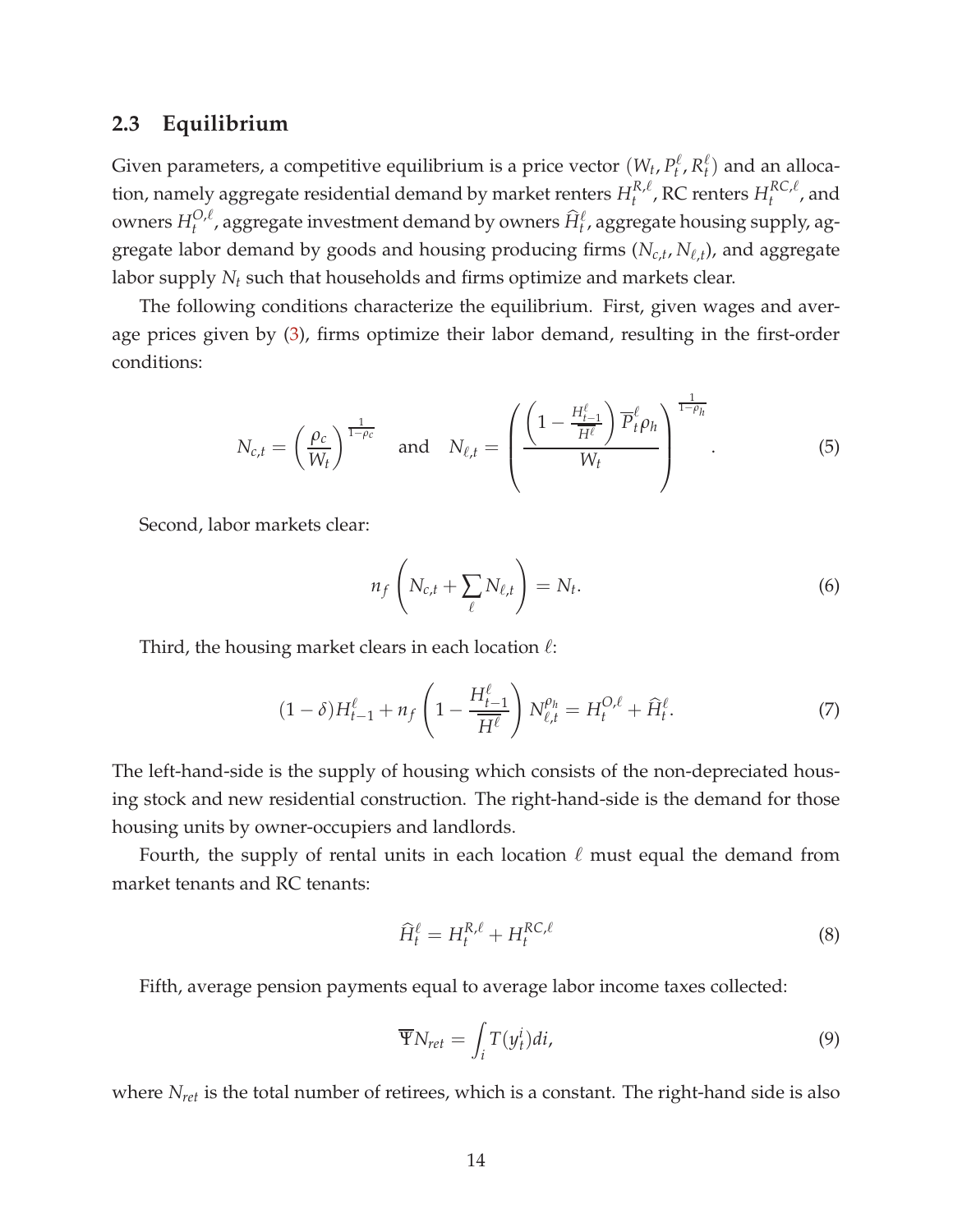### **2.3 Equilibrium**

Given parameters, a competitive equilibrium is a price vector  $(W_t, P_t^{\ell})$  $f_t^{\ell}$ ,  $R_t^{\ell}$  $t$ <sup> $\ell$ </sup>) and an allocation, namely aggregate residential demand by market renters  $H_t^{R,\ell}$  $t^{R,\ell}_t$ , RC renters  $H^{RC,\ell}_t$  $t^{N\cup\mu}$ , and owners  $H_t^{O,\ell}$  $_{t}^{O,\ell}$ , aggregate investment demand by owners  $\widehat{H}_{t}^{\ell}$ , aggregate housing supply, aggregate labor demand by goods and housing producing firms (*Nc*,*<sup>t</sup>* , *N*ℓ,*<sup>t</sup>* ), and aggregate labor supply *N<sup>t</sup>* such that households and firms optimize and markets clear.

The following conditions characterize the equilibrium. First, given wages and average prices given by [\(3\)](#page-12-2), firms optimize their labor demand, resulting in the first-order conditions:

<span id="page-14-2"></span>
$$
N_{c,t} = \left(\frac{\rho_c}{W_t}\right)^{\frac{1}{1-\rho_c}} \quad \text{and} \quad N_{\ell,t} = \left(\frac{\left(1 - \frac{H_{t-1}^{\ell}}{\overline{H^{\ell}}}\right) \overline{P}_t^{\ell} \rho_h}{W_t}\right)^{\frac{1}{1-\rho_h}}.
$$
 (5)

Second, labor markets clear:

$$
n_f\left(N_{c,t} + \sum_{\ell} N_{\ell,t}\right) = N_t.
$$
\n(6)

Third, the housing market clears in each location  $\ell$ :

<span id="page-14-0"></span>
$$
(1 - \delta)H_{t-1}^{\ell} + n_f \left(1 - \frac{H_{t-1}^{\ell}}{\overline{H^{\ell}}}\right) N_{\ell,t}^{\rho_h} = H_t^{O,\ell} + \widehat{H}_t^{\ell}.
$$
 (7)

The left-hand-side is the supply of housing which consists of the non-depreciated housing stock and new residential construction. The right-hand-side is the demand for those housing units by owner-occupiers and landlords.

Fourth, the supply of rental units in each location  $\ell$  must equal the demand from market tenants and RC tenants:

$$
\widehat{H}_t^{\ell} = H_t^{R,\ell} + H_t^{RC,\ell} \tag{8}
$$

Fifth, average pension payments equal to average labor income taxes collected:

<span id="page-14-1"></span>
$$
\overline{\Psi}N_{ret} = \int_i T(y_t^i)di,
$$
\n(9)

where *Nret* is the total number of retirees, which is a constant. The right-hand side is also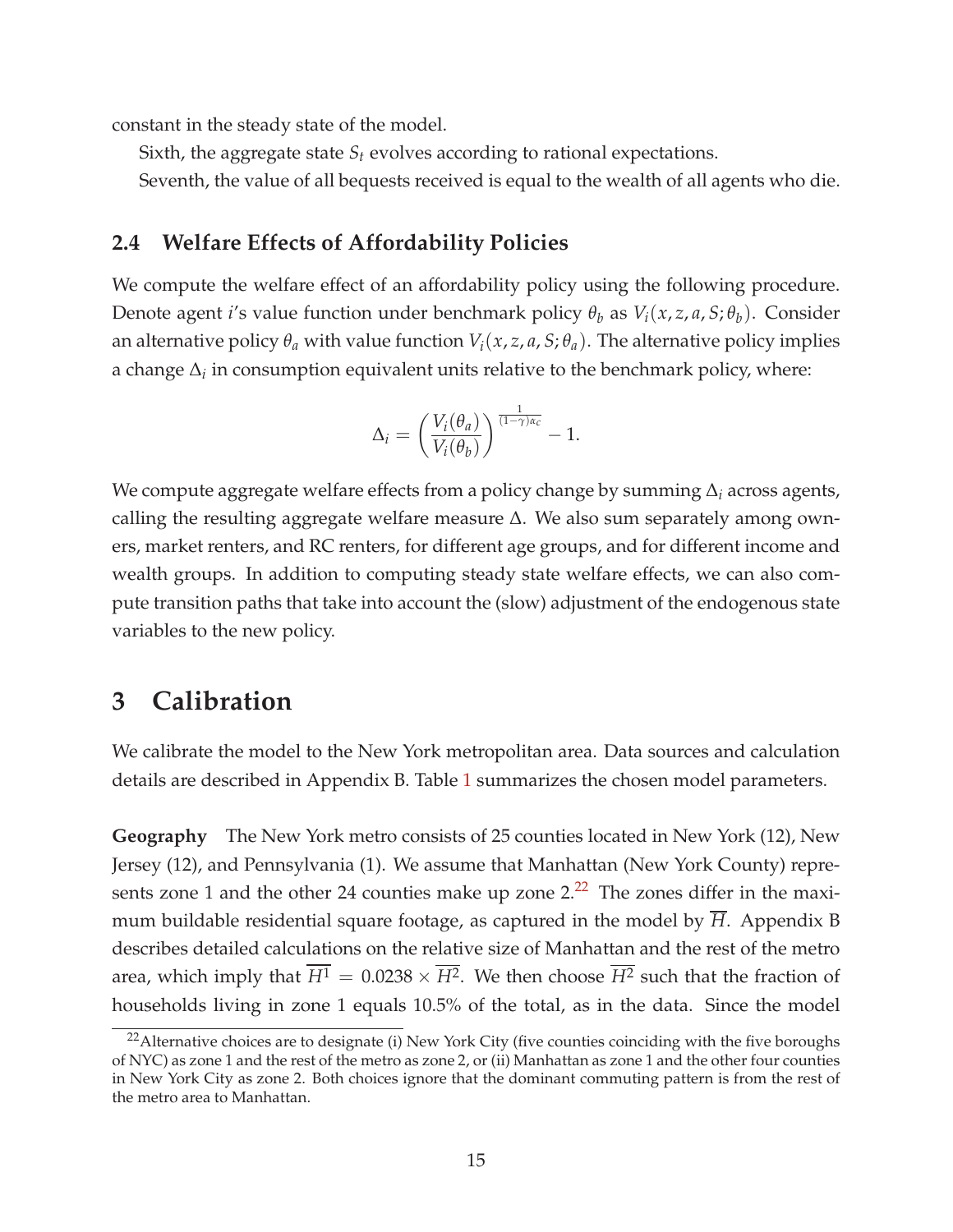constant in the steady state of the model.

Sixth, the aggregate state *S<sup>t</sup>* evolves according to rational expectations.

Seventh, the value of all bequests received is equal to the wealth of all agents who die.

### **2.4 Welfare Effects of Affordability Policies**

We compute the welfare effect of an affordability policy using the following procedure. Denote agent *i*'s value function under benchmark policy  $\theta_b$  as  $V_i(x, z, a, S; \theta_b)$ . Consider an alternative policy  $\theta_a$  with value function  $V_i(x, z, a, S; \theta_a)$ . The alternative policy implies a change  $\Delta_i$  in consumption equivalent units relative to the benchmark policy, where:

$$
\Delta_i = \left(\frac{V_i(\theta_a)}{V_i(\theta_b)}\right)^{\frac{1}{(1-\gamma)\alpha_c}} - 1.
$$

We compute aggregate welfare effects from a policy change by summing ∆*<sup>i</sup>* across agents, calling the resulting aggregate welfare measure ∆. We also sum separately among owners, market renters, and RC renters, for different age groups, and for different income and wealth groups. In addition to computing steady state welfare effects, we can also compute transition paths that take into account the (slow) adjustment of the endogenous state variables to the new policy.

### **3 Calibration**

We calibrate the model to the New York metropolitan area. Data sources and calculation details are described in Appendix B. Table [1](#page-18-0) summarizes the chosen model parameters.

**Geography** The New York metro consists of 25 counties located in New York (12), New Jersey (12), and Pennsylvania (1). We assume that Manhattan (New York County) represents zone 1 and the other 24 counties make up zone  $2<sup>22</sup>$  $2<sup>22</sup>$  $2<sup>22</sup>$  The zones differ in the maximum buildable residential square footage, as captured in the model by  $\overline{H}$ . Appendix B describes detailed calculations on the relative size of Manhattan and the rest of the metro area, which imply that  $H^1 = 0.0238 \times H^2$ . We then choose  $H^2$  such that the fraction of households living in zone 1 equals 10.5% of the total, as in the data. Since the model

<span id="page-15-0"></span><sup>&</sup>lt;sup>22</sup> Alternative choices are to designate (i) New York City (five counties coinciding with the five boroughs of NYC) as zone 1 and the rest of the metro as zone 2, or (ii) Manhattan as zone 1 and the other four counties in New York City as zone 2. Both choices ignore that the dominant commuting pattern is from the rest of the metro area to Manhattan.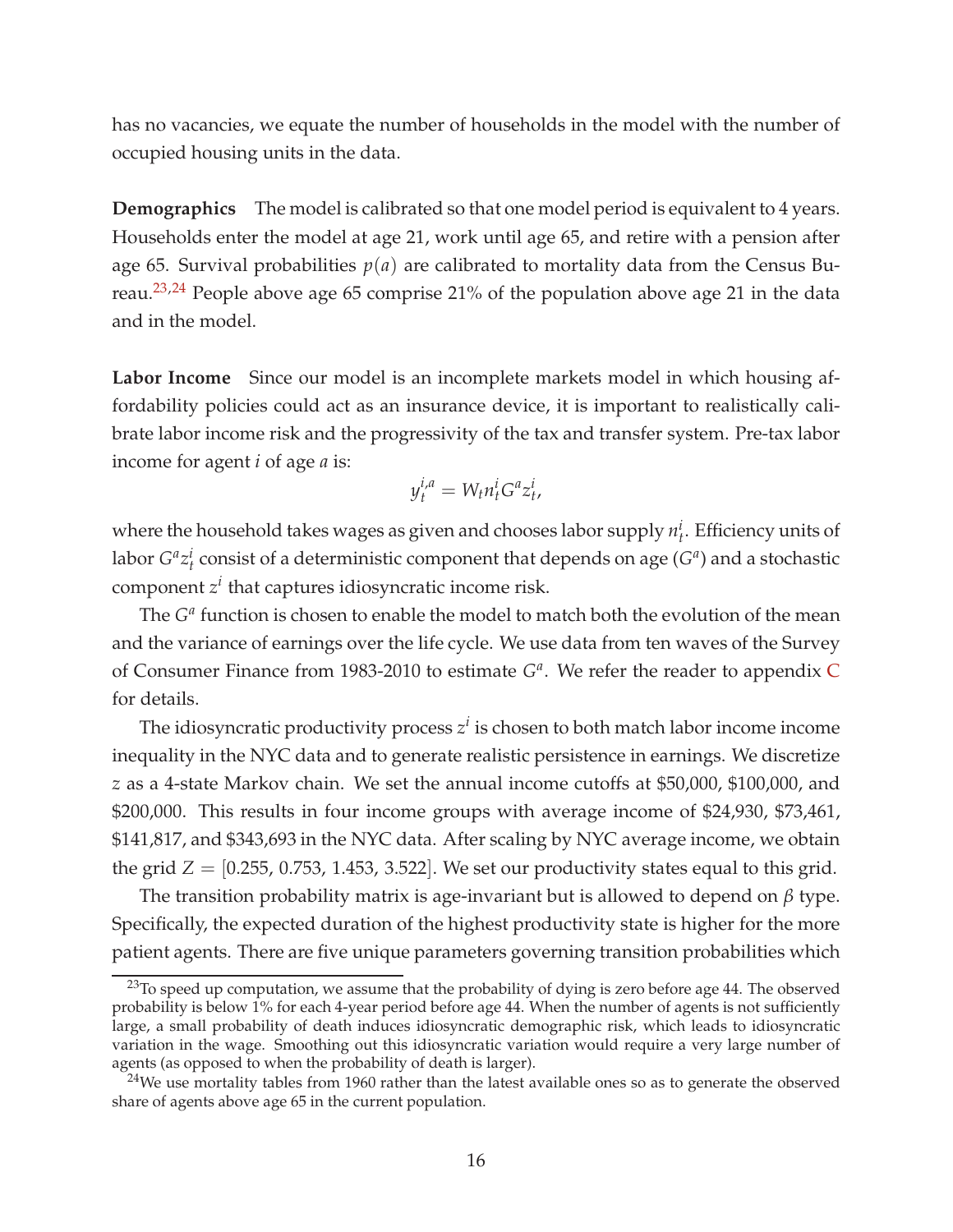has no vacancies, we equate the number of households in the model with the number of occupied housing units in the data.

**Demographics** The model is calibrated so that one model period is equivalent to 4 years. Households enter the model at age 21, work until age 65, and retire with a pension after age 65. Survival probabilities  $p(a)$  are calibrated to mortality data from the Census Bureau. $2^{3,24}$  $2^{3,24}$  $2^{3,24}$  People above age 65 comprise 21% of the population above age 21 in the data and in the model.

**Labor Income** Since our model is an incomplete markets model in which housing affordability policies could act as an insurance device, it is important to realistically calibrate labor income risk and the progressivity of the tax and transfer system. Pre-tax labor income for agent *i* of age *a* is:

$$
y_t^{i,a} = W_t n_t^i G^a z_t^i,
$$

where the household takes wages as given and chooses labor supply  $n_t^i$ . Efficiency units of labor  $G^a z_t^i$  consist of a deterministic component that depends on age  $(G^a)$  and a stochastic component *z i* that captures idiosyncratic income risk.

The  $G^a$  function is chosen to enable the model to match both the evolution of the mean and the variance of earnings over the life cycle. We use data from ten waves of the Survey of [C](#page-52-0)onsumer Finance from 1983-2010 to estimate  $G^a$ . We refer the reader to appendix C for details.

The idiosyncratic productivity process  $z^i$  is chosen to both match labor income income inequality in the NYC data and to generate realistic persistence in earnings. We discretize *z* as a 4-state Markov chain. We set the annual income cutoffs at \$50,000, \$100,000, and \$200,000. This results in four income groups with average income of \$24,930, \$73,461, \$141,817, and \$343,693 in the NYC data. After scaling by NYC average income, we obtain the grid  $Z = [0.255, 0.753, 1.453, 3.522]$ . We set our productivity states equal to this grid.

The transition probability matrix is age-invariant but is allowed to depend on *β* type. Specifically, the expected duration of the highest productivity state is higher for the more patient agents. There are five unique parameters governing transition probabilities which

<span id="page-16-0"></span><sup>&</sup>lt;sup>23</sup>To speed up computation, we assume that the probability of dying is zero before age 44. The observed probability is below 1% for each 4-year period before age 44. When the number of agents is not sufficiently large, a small probability of death induces idiosyncratic demographic risk, which leads to idiosyncratic variation in the wage. Smoothing out this idiosyncratic variation would require a very large number of agents (as opposed to when the probability of death is larger).

<span id="page-16-1"></span> $24$ We use mortality tables from 1960 rather than the latest available ones so as to generate the observed share of agents above age 65 in the current population.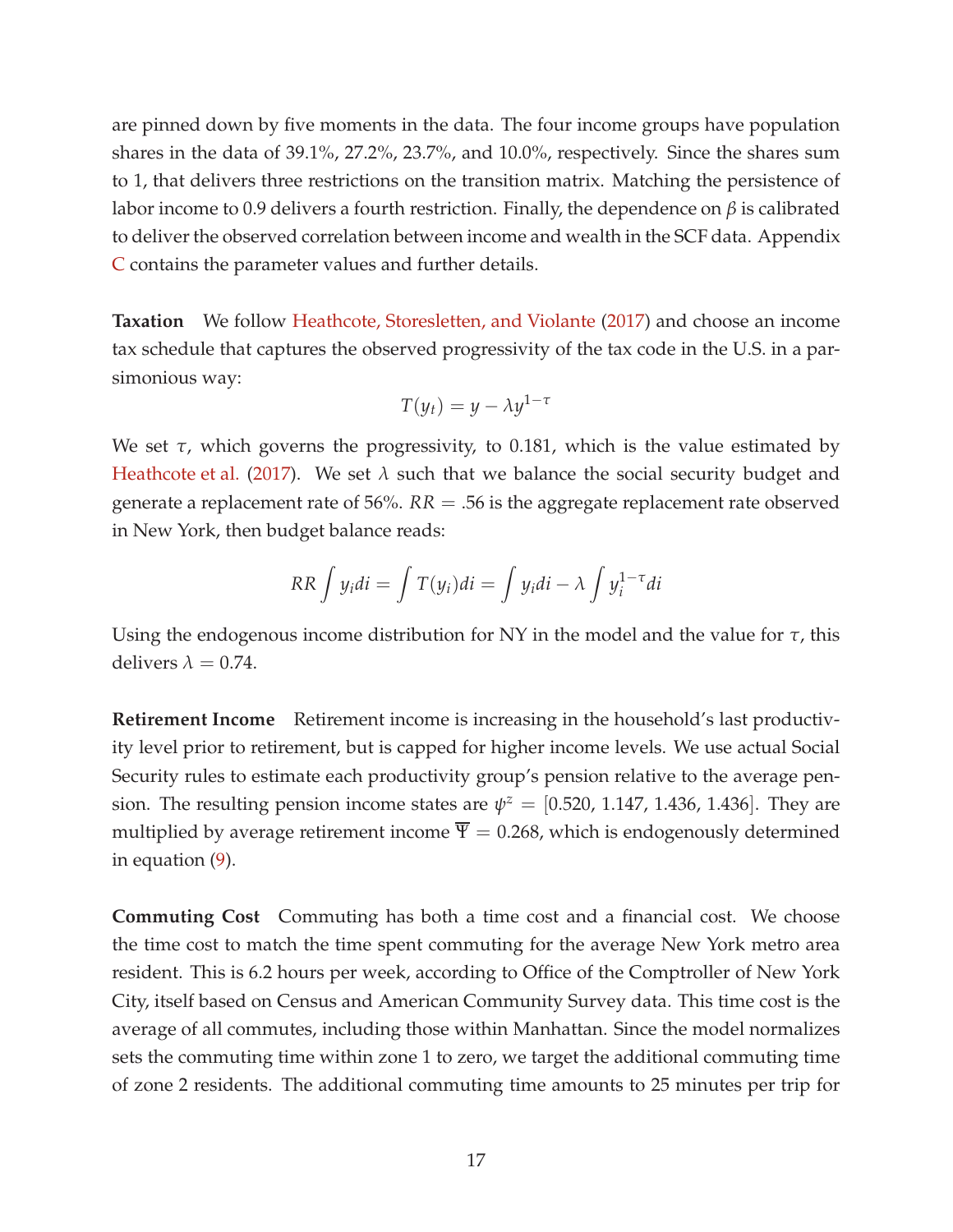are pinned down by five moments in the data. The four income groups have population shares in the data of 39.1%, 27.2%, 23.7%, and 10.0%, respectively. Since the shares sum to 1, that delivers three restrictions on the transition matrix. Matching the persistence of labor income to 0.9 delivers a fourth restriction. Finally, the dependence on *β* is calibrated to deliver the observed correlation between income and wealth in the SCF data. Appendix [C](#page-52-0) contains the parameter values and further details.

**Taxation** We follow [Heathcote, Storesletten, and Violante](#page-40-13) [\(2017](#page-40-13)) and choose an income tax schedule that captures the observed progressivity of the tax code in the U.S. in a parsimonious way:

$$
T(y_t) = y - \lambda y^{1-\tau}
$$

We set *τ*, which governs the progressivity, to 0.181, which is the value estimated by [Heathcote et al.](#page-40-13) [\(2017\)](#page-40-13). We set  $\lambda$  such that we balance the social security budget and generate a replacement rate of 56%.  $RR = .56$  is the aggregate replacement rate observed in New York, then budget balance reads:

$$
RR \int y_i di = \int T(y_i) di = \int y_i di - \lambda \int y_i^{1-\tau} di
$$

Using the endogenous income distribution for NY in the model and the value for *τ*, this delivers  $\lambda = 0.74$ .

**Retirement Income** Retirement income is increasing in the household's last productivity level prior to retirement, but is capped for higher income levels. We use actual Social Security rules to estimate each productivity group's pension relative to the average pension. The resulting pension income states are  $\psi^z = [0.520, 1.147, 1.436, 1.436]$ . They are multiplied by average retirement income  $\overline{\Psi} = 0.268$ , which is endogenously determined in equation [\(9\)](#page-14-1).

**Commuting Cost** Commuting has both a time cost and a financial cost. We choose the time cost to match the time spent commuting for the average New York metro area resident. This is 6.2 hours per week, according to Office of the Comptroller of New York City, itself based on Census and American Community Survey data. This time cost is the average of all commutes, including those within Manhattan. Since the model normalizes sets the commuting time within zone 1 to zero, we target the additional commuting time of zone 2 residents. The additional commuting time amounts to 25 minutes per trip for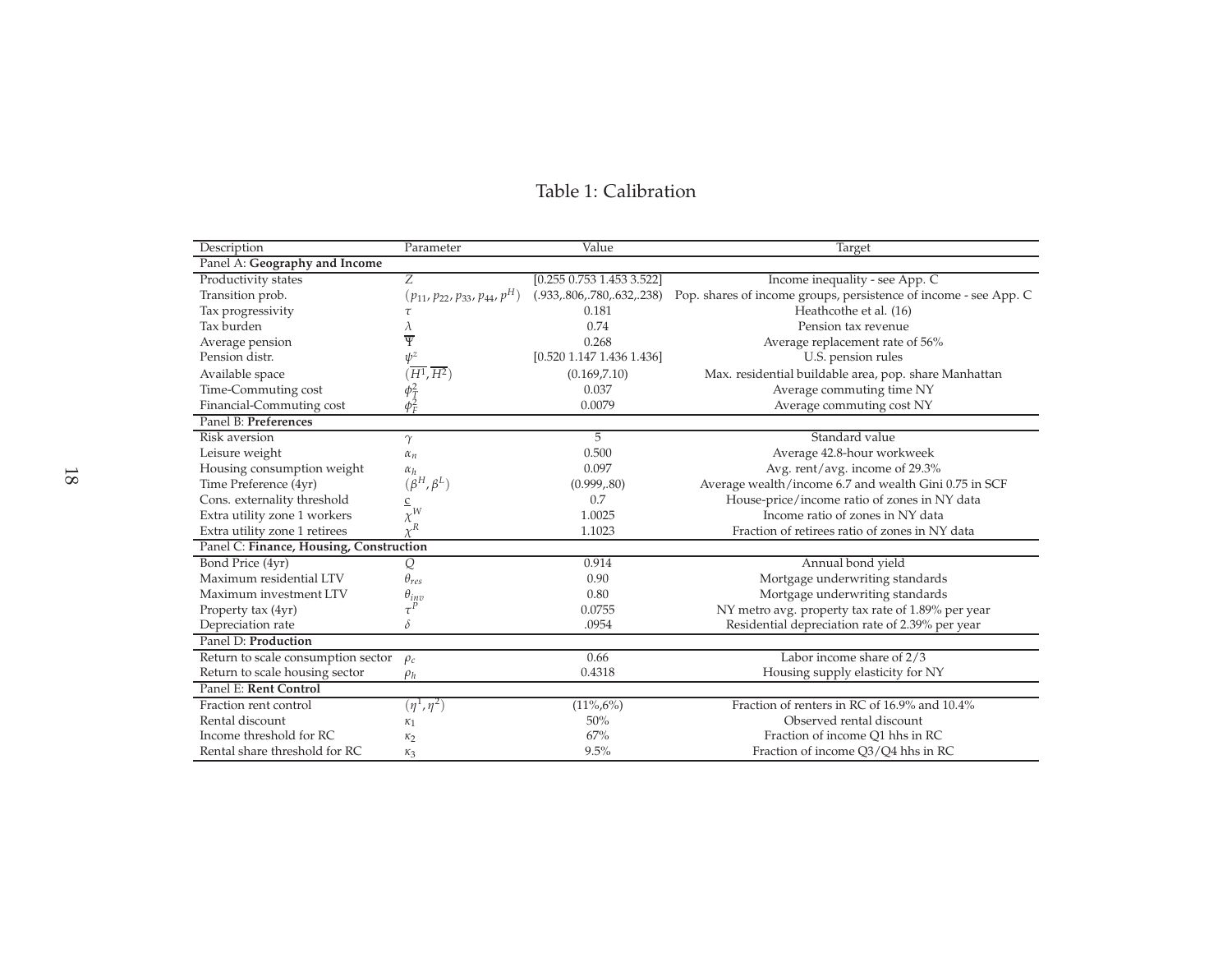#### Table 1: Calibration

<span id="page-18-0"></span>

| Description                             | Parameter                               | Value                          | <b>Target</b>                                                    |  |  |  |
|-----------------------------------------|-----------------------------------------|--------------------------------|------------------------------------------------------------------|--|--|--|
| Panel A: Geography and Income           |                                         |                                |                                                                  |  |  |  |
| Productivity states                     | Ζ                                       | [0.255 0.753 1.453 3.522]      | Income inequality - see App. C                                   |  |  |  |
| Transition prob.                        | $(p_{11}, p_{22}, p_{33}, p_{44}, p^H)$ | (.933, .806, .780, .632, .238) | Pop. shares of income groups, persistence of income - see App. C |  |  |  |
| Tax progressivity                       | τ                                       | 0.181                          | Heathcothe et al. (16)                                           |  |  |  |
| Tax burden                              | λ                                       | 0.74                           | Pension tax revenue                                              |  |  |  |
| Average pension                         | Ψ                                       | 0.268                          | Average replacement rate of 56%                                  |  |  |  |
| Pension distr.                          | $\psi^z$                                | [0.520 1.147 1.436 1.436]      | U.S. pension rules                                               |  |  |  |
| Available space                         | $(\overline{H^1},\overline{H^2})$       | (0.169, 7.10)                  | Max. residential buildable area, pop. share Manhattan            |  |  |  |
| Time-Commuting cost                     | $\phi_T^2$<br>$\phi_F^2$                | 0.037                          | Average commuting time NY                                        |  |  |  |
| Financial-Commuting cost                |                                         | 0.0079                         | Average commuting cost NY                                        |  |  |  |
| Panel B: Preferences                    |                                         |                                |                                                                  |  |  |  |
| Risk aversion                           | $\gamma$                                | 5                              | Standard value                                                   |  |  |  |
| Leisure weight                          | $\alpha_n$                              | 0.500                          | Average 42.8-hour workweek                                       |  |  |  |
| Housing consumption weight              | $\alpha_h$                              | 0.097                          | Avg. rent/avg. income of 29.3%                                   |  |  |  |
| Time Preference (4yr)                   | $(\beta^H, \beta^L)$                    | (0.999, .80)                   | Average wealth/income 6.7 and wealth Gini 0.75 in SCF            |  |  |  |
| Cons. externality threshold             | $\underline{c}$                         | 0.7                            | House-price/income ratio of zones in NY data                     |  |  |  |
| Extra utility zone 1 workers            | $\chi^W$                                | 1.0025                         | Income ratio of zones in NY data                                 |  |  |  |
| Extra utility zone 1 retirees           | $\chi^R$                                | 1.1023                         | Fraction of retirees ratio of zones in NY data                   |  |  |  |
| Panel C: Finance, Housing, Construction |                                         |                                |                                                                  |  |  |  |
| Bond Price (4yr)                        | Q                                       | 0.914                          | Annual bond yield                                                |  |  |  |
| Maximum residential LTV                 | $\theta_{res}$                          | 0.90                           | Mortgage underwriting standards                                  |  |  |  |
| Maximum investment LTV                  | $\theta_{inv}$                          | 0.80                           | Mortgage underwriting standards                                  |  |  |  |
| Property tax (4yr)                      | $\tau^P$                                | 0.0755                         | NY metro avg. property tax rate of 1.89% per year                |  |  |  |
| Depreciation rate                       | $\delta$                                | .0954                          | Residential depreciation rate of 2.39% per year                  |  |  |  |
| Panel D: Production                     |                                         |                                |                                                                  |  |  |  |
| Return to scale consumption sector      | $\rho_c$                                | 0.66                           | Labor income share of 2/3                                        |  |  |  |
| Return to scale housing sector          | $\rho_h$                                | 0.4318                         | Housing supply elasticity for NY                                 |  |  |  |
| Panel E: Rent Control                   |                                         |                                |                                                                  |  |  |  |
| Fraction rent control                   | $(\eta^1, \eta^2)$                      | $(11\%, 6\%)$                  | Fraction of renters in RC of 16.9% and 10.4%                     |  |  |  |
| Rental discount                         | $\kappa_1$                              | 50%                            | Observed rental discount                                         |  |  |  |
| Income threshold for RC                 | $\kappa_2$                              | 67%                            | Fraction of income Q1 hhs in RC                                  |  |  |  |
| Rental share threshold for RC           | $K_3$                                   | 9.5%                           | Fraction of income Q3/Q4 hhs in RC                               |  |  |  |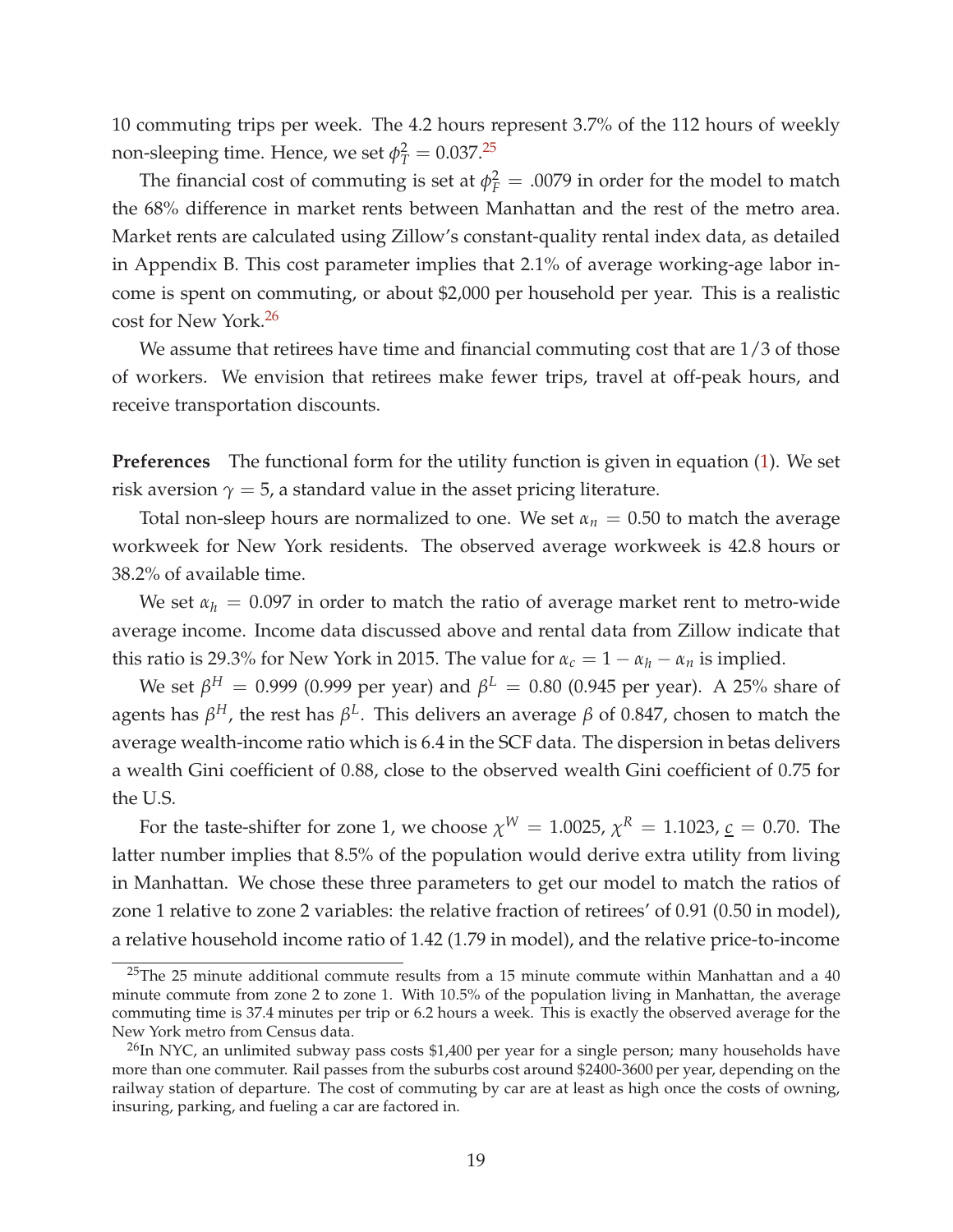10 commuting trips per week. The 4.2 hours represent 3.7% of the 112 hours of weekly non-sleeping time. Hence, we set  $\phi_T^2 = 0.037$ .<sup>[25](#page-19-0)</sup>

The financial cost of commuting is set at  $\phi_F^2 = .0079$  in order for the model to match the 68% difference in market rents between Manhattan and the rest of the metro area. Market rents are calculated using Zillow's constant-quality rental index data, as detailed in Appendix B. This cost parameter implies that 2.1% of average working-age labor income is spent on commuting, or about \$2,000 per household per year. This is a realistic cost for New York.[26](#page-19-1)

We assume that retirees have time and financial commuting cost that are 1/3 of those of workers. We envision that retirees make fewer trips, travel at off-peak hours, and receive transportation discounts.

**Preferences** The functional form for the utility function is given in equation [\(1\)](#page-7-0). We set risk aversion  $\gamma = 5$ , a standard value in the asset pricing literature.

Total non-sleep hours are normalized to one. We set  $\alpha_n = 0.50$  to match the average workweek for New York residents. The observed average workweek is 42.8 hours or 38.2% of available time.

We set  $\alpha_h = 0.097$  in order to match the ratio of average market rent to metro-wide average income. Income data discussed above and rental data from Zillow indicate that this ratio is 29.3% for New York in 2015. The value for  $\alpha_c = 1 - \alpha_h - \alpha_n$  is implied.

We set *β <sup>H</sup>* = 0.999 (0.999 per year) and *β <sup>L</sup>* = 0.80 (0.945 per year). A 25% share of agents has *β <sup>H</sup>*, the rest has *β L* . This delivers an average *β* of 0.847, chosen to match the average wealth-income ratio which is 6.4 in the SCF data. The dispersion in betas delivers a wealth Gini coefficient of 0.88, close to the observed wealth Gini coefficient of 0.75 for the U.S.

For the taste-shifter for zone 1, we choose  $\chi^{W} = 1.0025$ ,  $\chi^{R} = 1.1023$ ,  $\underline{c} = 0.70$ . The latter number implies that 8.5% of the population would derive extra utility from living in Manhattan. We chose these three parameters to get our model to match the ratios of zone 1 relative to zone 2 variables: the relative fraction of retirees' of 0.91 (0.50 in model), a relative household income ratio of 1.42 (1.79 in model), and the relative price-to-income

<span id="page-19-0"></span> $25$ The 25 minute additional commute results from a 15 minute commute within Manhattan and a 40 minute commute from zone 2 to zone 1. With 10.5% of the population living in Manhattan, the average commuting time is 37.4 minutes per trip or 6.2 hours a week. This is exactly the observed average for the New York metro from Census data.

<span id="page-19-1"></span> $^{26}$ In NYC, an unlimited subway pass costs \$1,400 per year for a single person; many households have more than one commuter. Rail passes from the suburbs cost around \$2400-3600 per year, depending on the railway station of departure. The cost of commuting by car are at least as high once the costs of owning, insuring, parking, and fueling a car are factored in.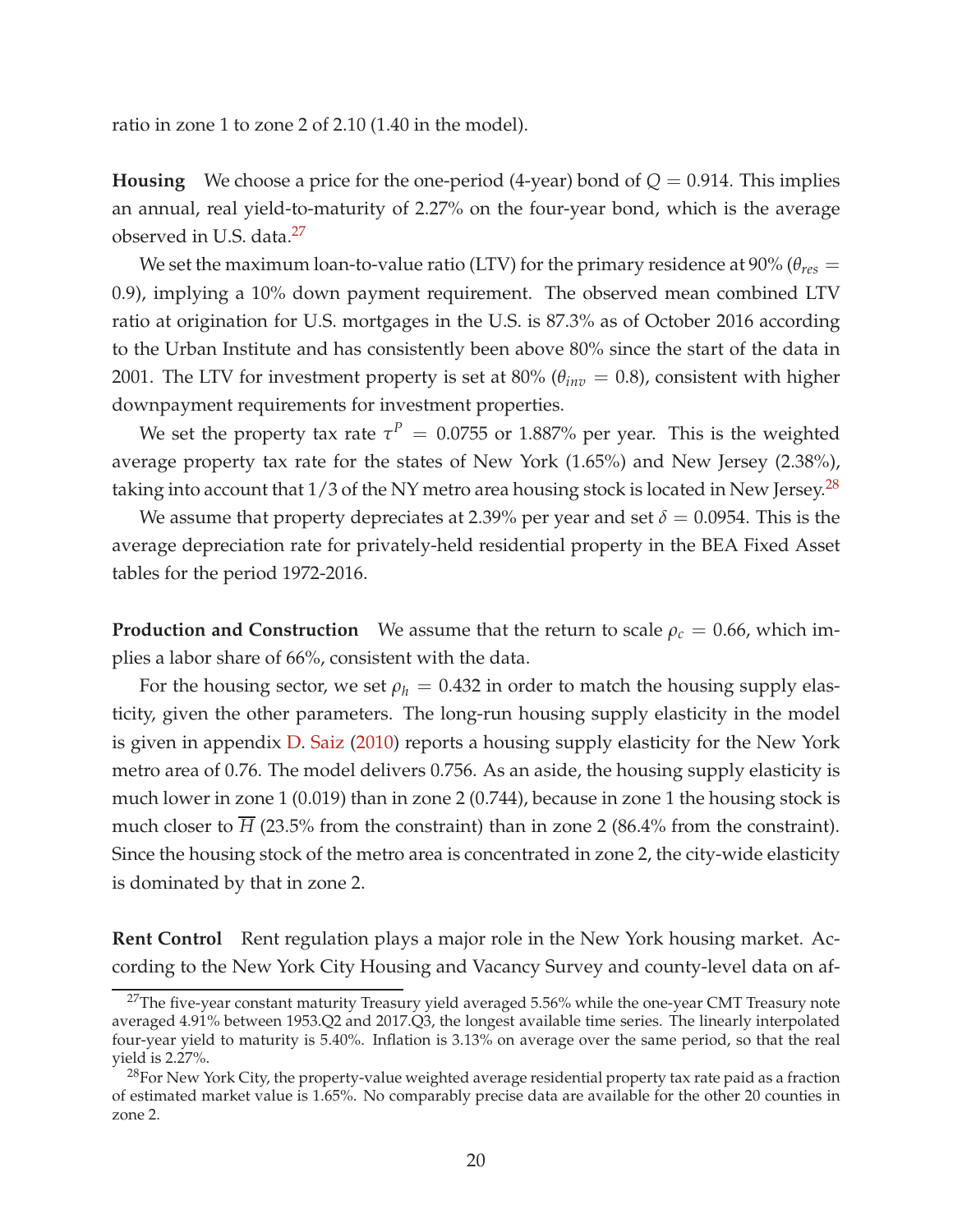ratio in zone 1 to zone 2 of 2.10 (1.40 in the model).

**Housing** We choose a price for the one-period (4-year) bond of  $Q = 0.914$ . This implies an annual, real yield-to-maturity of 2.27% on the four-year bond, which is the average observed in U.S. data.[27](#page-20-0)

We set the maximum loan-to-value ratio (LTV) for the primary residence at 90% ( $\theta_{res}$  = 0.9), implying a 10% down payment requirement. The observed mean combined LTV ratio at origination for U.S. mortgages in the U.S. is 87.3% as of October 2016 according to the Urban Institute and has consistently been above 80% since the start of the data in 2001. The LTV for investment property is set at 80% ( $\theta_{inv} = 0.8$ ), consistent with higher downpayment requirements for investment properties.

We set the property tax rate  $\tau^P = 0.0755$  or 1.887% per year. This is the weighted average property tax rate for the states of New York (1.65%) and New Jersey (2.38%), taking into account that  $1/3$  of the NY metro area housing stock is located in New Jersey.<sup>[28](#page-20-1)</sup>

We assume that property depreciates at 2.39% per year and set  $\delta = 0.0954$ . This is the average depreciation rate for privately-held residential property in the BEA Fixed Asset tables for the period 1972-2016.

**Production and Construction** We assume that the return to scale  $\rho_c = 0.66$ , which implies a labor share of 66%, consistent with the data.

For the housing sector, we set  $\rho_h = 0.432$  in order to match the housing supply elasticity, given the other parameters. The long-run housing supply elasticity in the model is given in appendix [D.](#page-54-0) [Saiz](#page-41-12) [\(2010\)](#page-41-12) reports a housing supply elasticity for the New York metro area of 0.76. The model delivers 0.756. As an aside, the housing supply elasticity is much lower in zone 1 (0.019) than in zone 2 (0.744), because in zone 1 the housing stock is much closer to *H* (23.5% from the constraint) than in zone 2 (86.4% from the constraint). Since the housing stock of the metro area is concentrated in zone 2, the city-wide elasticity is dominated by that in zone 2.

**Rent Control** Rent regulation plays a major role in the New York housing market. According to the New York City Housing and Vacancy Survey and county-level data on af-

<span id="page-20-0"></span> $27$ The five-year constant maturity Treasury yield averaged 5.56% while the one-year CMT Treasury note averaged 4.91% between 1953.Q2 and 2017.Q3, the longest available time series. The linearly interpolated four-year yield to maturity is 5.40%. Inflation is 3.13% on average over the same period, so that the real yield is 2.27%.

<span id="page-20-1"></span> $28$ For New York City, the property-value weighted average residential property tax rate paid as a fraction of estimated market value is 1.65%. No comparably precise data are available for the other 20 counties in zone 2.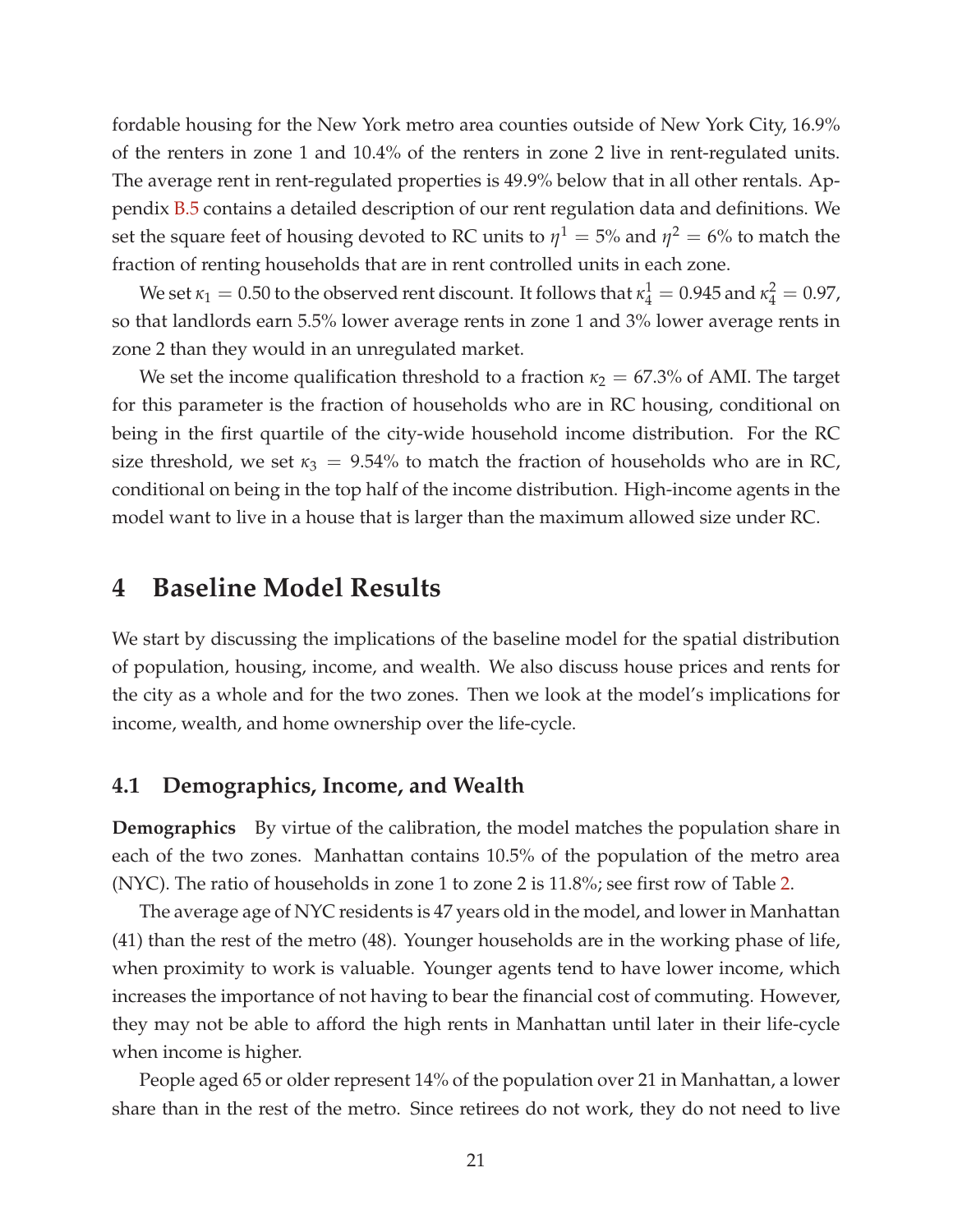fordable housing for the New York metro area counties outside of New York City, 16.9% of the renters in zone 1 and 10.4% of the renters in zone 2 live in rent-regulated units. The average rent in rent-regulated properties is 49.9% below that in all other rentals. Appendix [B.5](#page-50-0) contains a detailed description of our rent regulation data and definitions. We set the square feet of housing devoted to RC units to  $\eta^1 = 5$ % and  $\eta^2 = 6$ % to match the fraction of renting households that are in rent controlled units in each zone.

We set  $\kappa_1 = 0.50$  to the observed rent discount. It follows that  $\kappa_4^1 = 0.945$  and  $\kappa_4^2 = 0.97$ , so that landlords earn 5.5% lower average rents in zone 1 and 3% lower average rents in zone 2 than they would in an unregulated market.

We set the income qualification threshold to a fraction  $\kappa_2 = 67.3\%$  of AMI. The target for this parameter is the fraction of households who are in RC housing, conditional on being in the first quartile of the city-wide household income distribution. For the RC size threshold, we set  $\kappa_3 = 9.54\%$  to match the fraction of households who are in RC, conditional on being in the top half of the income distribution. High-income agents in the model want to live in a house that is larger than the maximum allowed size under RC.

### **4 Baseline Model Results**

We start by discussing the implications of the baseline model for the spatial distribution of population, housing, income, and wealth. We also discuss house prices and rents for the city as a whole and for the two zones. Then we look at the model's implications for income, wealth, and home ownership over the life-cycle.

#### **4.1 Demographics, Income, and Wealth**

**Demographics** By virtue of the calibration, the model matches the population share in each of the two zones. Manhattan contains 10.5% of the population of the metro area (NYC). The ratio of households in zone 1 to zone 2 is 11.8%; see first row of Table [2.](#page-23-0)

The average age of NYC residents is 47 years old in the model, and lower in Manhattan (41) than the rest of the metro (48). Younger households are in the working phase of life, when proximity to work is valuable. Younger agents tend to have lower income, which increases the importance of not having to bear the financial cost of commuting. However, they may not be able to afford the high rents in Manhattan until later in their life-cycle when income is higher.

People aged 65 or older represent 14% of the population over 21 in Manhattan, a lower share than in the rest of the metro. Since retirees do not work, they do not need to live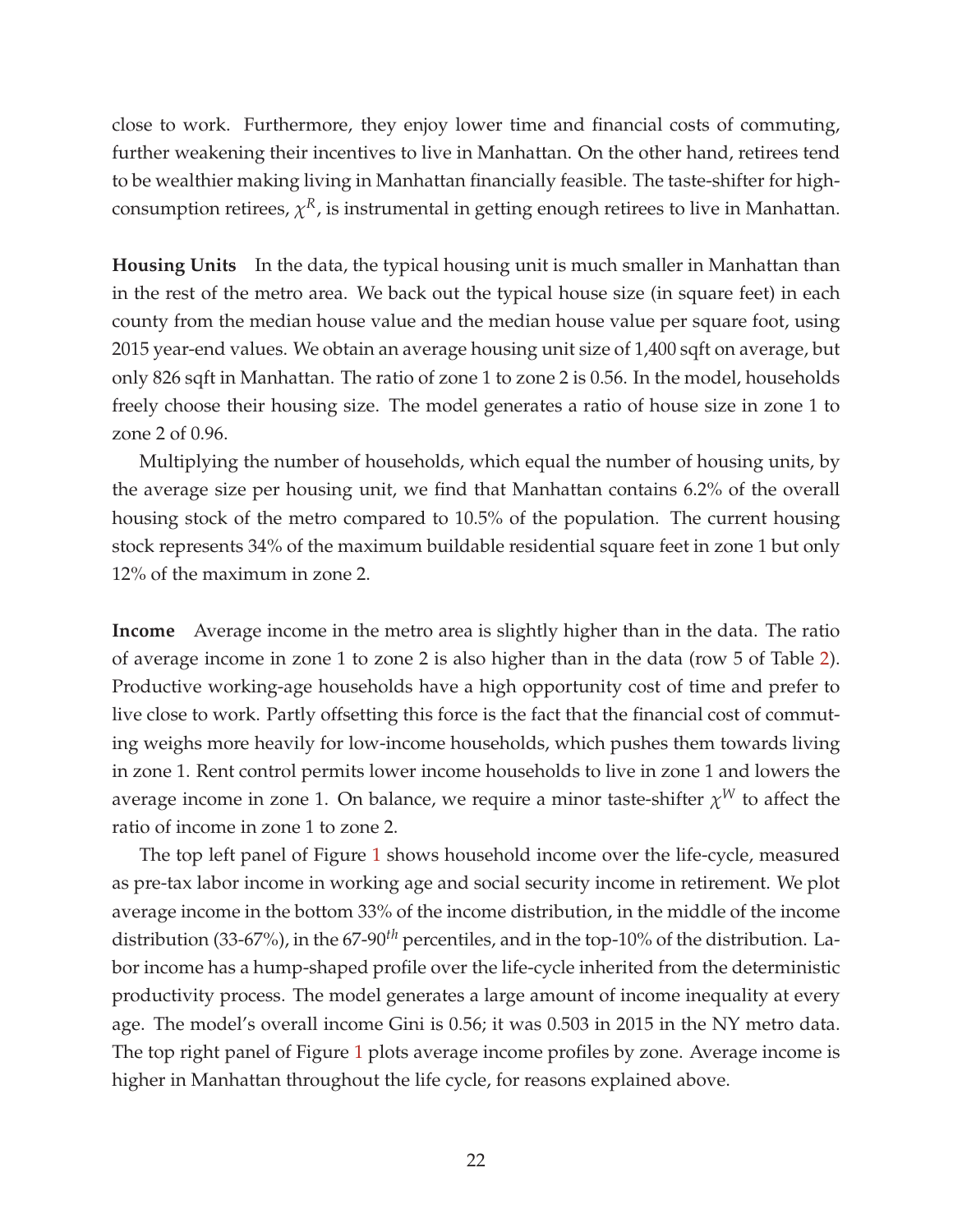close to work. Furthermore, they enjoy lower time and financial costs of commuting, further weakening their incentives to live in Manhattan. On the other hand, retirees tend to be wealthier making living in Manhattan financially feasible. The taste-shifter for highconsumption retirees,  $\chi^R$ , is instrumental in getting enough retirees to live in Manhattan.

**Housing Units** In the data, the typical housing unit is much smaller in Manhattan than in the rest of the metro area. We back out the typical house size (in square feet) in each county from the median house value and the median house value per square foot, using 2015 year-end values. We obtain an average housing unit size of 1,400 sqft on average, but only 826 sqft in Manhattan. The ratio of zone 1 to zone 2 is 0.56. In the model, households freely choose their housing size. The model generates a ratio of house size in zone 1 to zone 2 of 0.96.

Multiplying the number of households, which equal the number of housing units, by the average size per housing unit, we find that Manhattan contains 6.2% of the overall housing stock of the metro compared to 10.5% of the population. The current housing stock represents 34% of the maximum buildable residential square feet in zone 1 but only 12% of the maximum in zone 2.

**Income** Average income in the metro area is slightly higher than in the data. The ratio of average income in zone 1 to zone 2 is also higher than in the data (row 5 of Table [2\)](#page-23-0). Productive working-age households have a high opportunity cost of time and prefer to live close to work. Partly offsetting this force is the fact that the financial cost of commuting weighs more heavily for low-income households, which pushes them towards living in zone 1. Rent control permits lower income households to live in zone 1 and lowers the average income in zone 1. On balance, we require a minor taste-shifter *χ <sup>W</sup>* to affect the ratio of income in zone 1 to zone 2.

The top left panel of Figure [1](#page-24-0) shows household income over the life-cycle, measured as pre-tax labor income in working age and social security income in retirement. We plot average income in the bottom 33% of the income distribution, in the middle of the income distribution (33-67%), in the 67-90*th* percentiles, and in the top-10% of the distribution. Labor income has a hump-shaped profile over the life-cycle inherited from the deterministic productivity process. The model generates a large amount of income inequality at every age. The model's overall income Gini is 0.56; it was 0.503 in 2015 in the NY metro data. The top right panel of Figure [1](#page-24-0) plots average income profiles by zone. Average income is higher in Manhattan throughout the life cycle, for reasons explained above.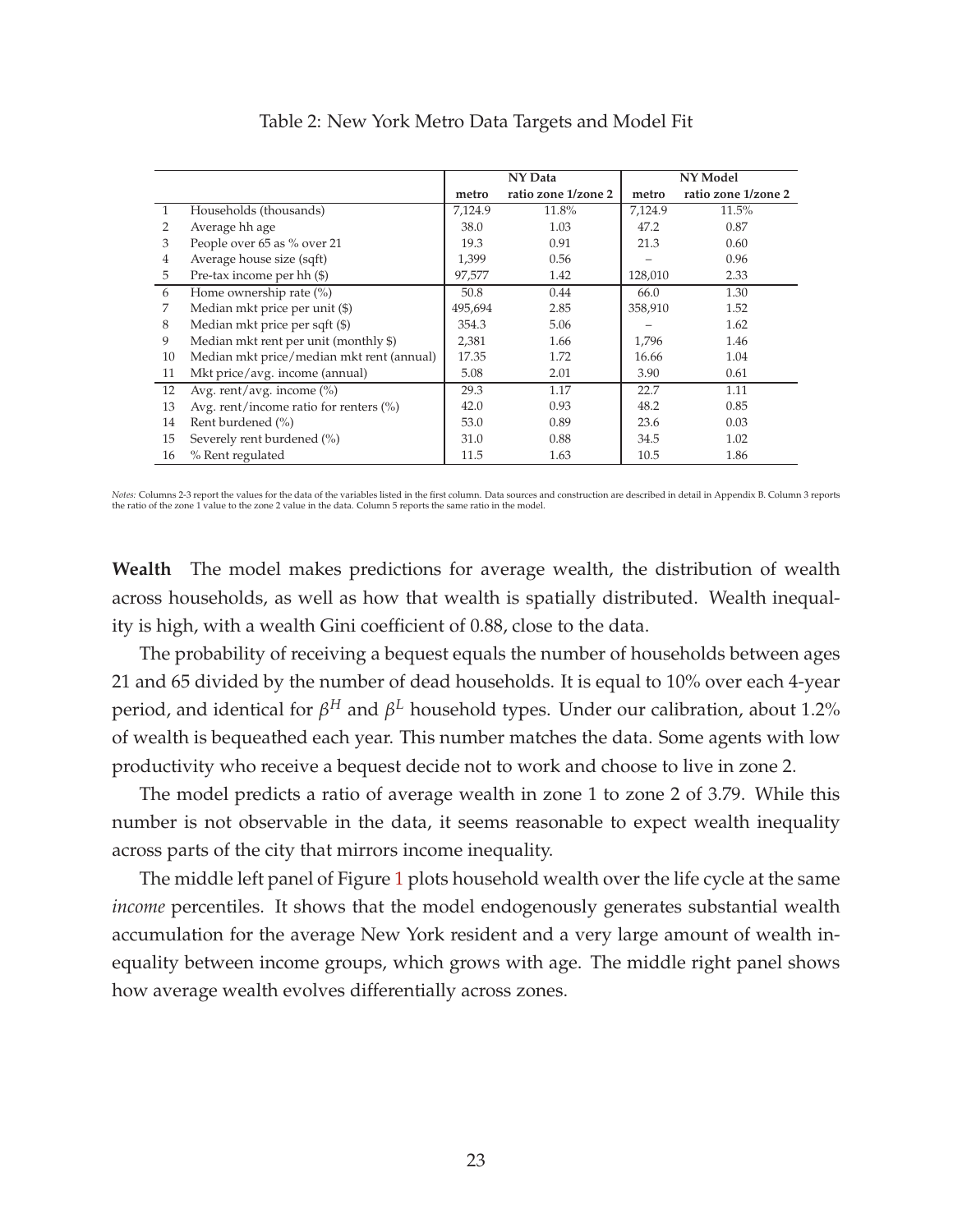<span id="page-23-0"></span>

|              |                                                   | NY Data |                     |         | NY Model            |
|--------------|---------------------------------------------------|---------|---------------------|---------|---------------------|
|              |                                                   | metro   | ratio zone 1/zone 2 | metro   | ratio zone 1/zone 2 |
| $\mathbf{1}$ | Households (thousands)                            | 7,124.9 | 11.8%               | 7,124.9 | 11.5%               |
| 2            | Average hh age                                    | 38.0    | 1.03                | 47.2    | 0.87                |
| 3            | People over 65 as % over 21                       | 19.3    | 0.91                | 21.3    | 0.60                |
| 4            | Average house size (sqft)                         | 1,399   | 0.56                |         | 0.96                |
| 5            | Pre-tax income per hh (\$)                        | 97,577  | 1.42                | 128,010 | 2.33                |
| 6            | Home ownership rate $(\%)$                        | 50.8    | 0.44                | 66.0    | 1.30                |
| 7            | Median mkt price per unit (\$)                    | 495,694 | 2.85                | 358,910 | 1.52                |
| 8            | Median mkt price per sqft (\$)                    | 354.3   | 5.06                |         | 1.62                |
| 9            | Median mkt rent per unit (monthly \$)             | 2,381   | 1.66                | 1,796   | 1.46                |
| 10           | Median mkt price/median mkt rent (annual)         | 17.35   | 1.72                | 16.66   | 1.04                |
| 11           | Mkt price/avg. income (annual)                    | 5.08    | 2.01                | 3.90    | 0.61                |
| 12           | Avg. rent/avg. income (%)                         | 29.3    | 1.17                | 22.7    | 1.11                |
| 13           | Avg. rent/income ratio for renters $\binom{9}{0}$ | 42.0    | 0.93                | 48.2    | 0.85                |
| 14           | Rent burdened (%)                                 | 53.0    | 0.89                | 23.6    | 0.03                |
| 15           | Severely rent burdened (%)                        | 31.0    | 0.88                | 34.5    | 1.02                |
| 16           | % Rent regulated                                  | 11.5    | 1.63                | 10.5    | 1.86                |

Table 2: New York Metro Data Targets and Model Fit

Notes: Columns 2-3 report the values for the data of the variables listed in the first column. Data sources and construction are described in detail in Appendix B. Column 3 reports<br>the ratio of the zone 1 value to the zone

**Wealth** The model makes predictions for average wealth, the distribution of wealth across households, as well as how that wealth is spatially distributed. Wealth inequality is high, with a wealth Gini coefficient of 0.88, close to the data.

The probability of receiving a bequest equals the number of households between ages 21 and 65 divided by the number of dead households. It is equal to 10% over each 4-year period, and identical for *β <sup>H</sup>* and *β <sup>L</sup>* household types. Under our calibration, about 1.2% of wealth is bequeathed each year. This number matches the data. Some agents with low productivity who receive a bequest decide not to work and choose to live in zone 2.

The model predicts a ratio of average wealth in zone 1 to zone 2 of 3.79. While this number is not observable in the data, it seems reasonable to expect wealth inequality across parts of the city that mirrors income inequality.

The middle left panel of Figure [1](#page-24-0) plots household wealth over the life cycle at the same *income* percentiles. It shows that the model endogenously generates substantial wealth accumulation for the average New York resident and a very large amount of wealth inequality between income groups, which grows with age. The middle right panel shows how average wealth evolves differentially across zones.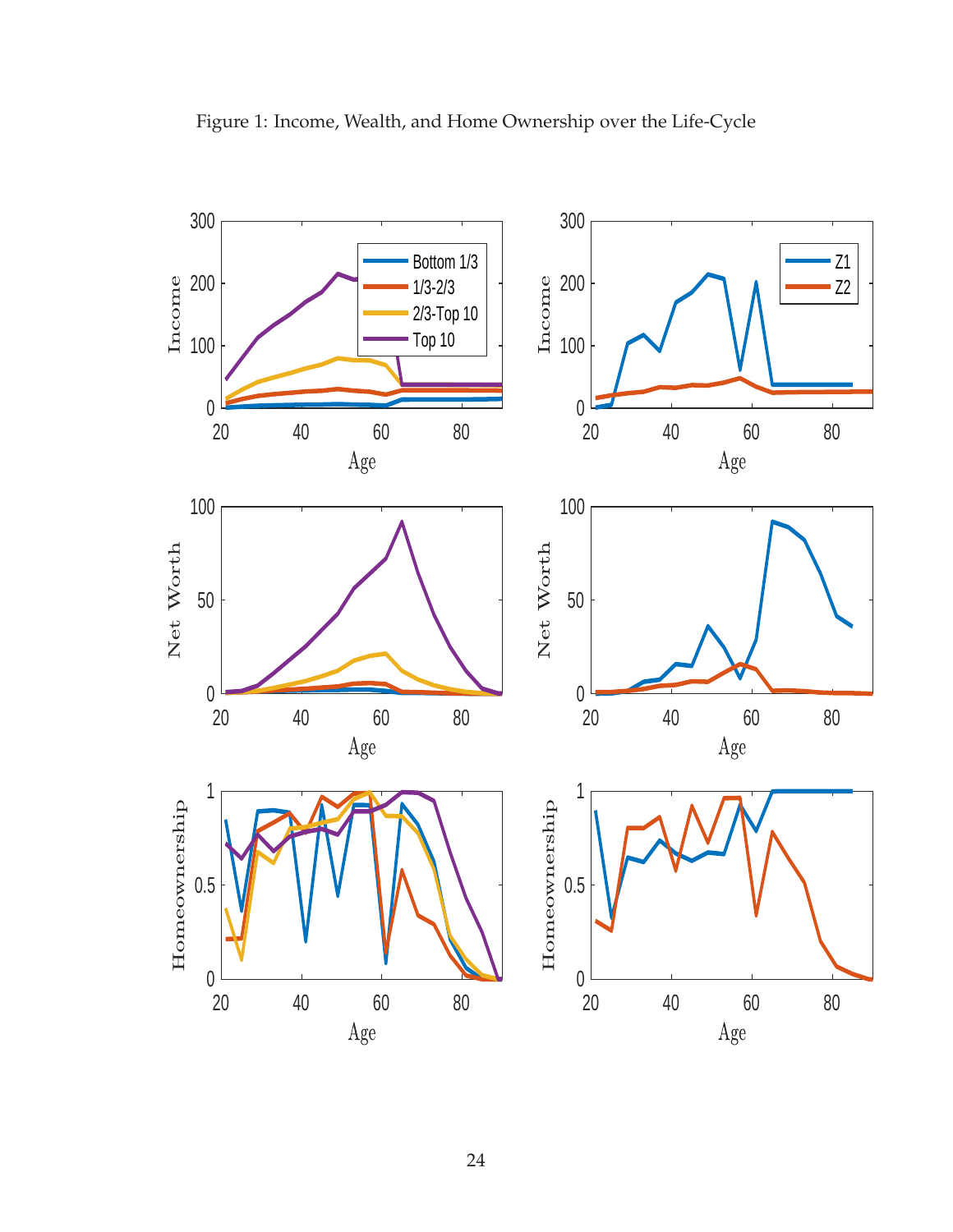

<span id="page-24-0"></span>Figure 1: Income, Wealth, and Home Ownership over the Life-Cycle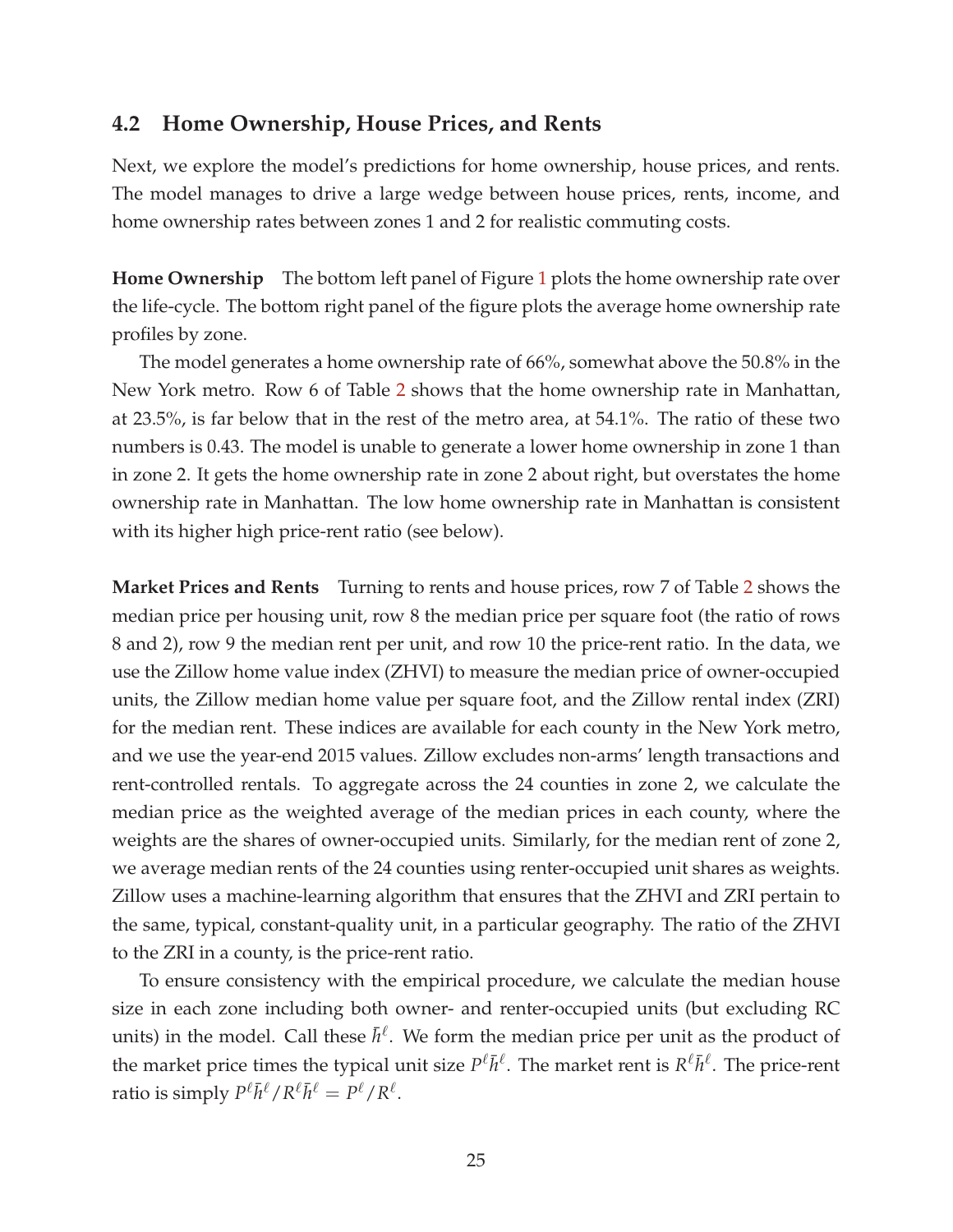### **4.2 Home Ownership, House Prices, and Rents**

Next, we explore the model's predictions for home ownership, house prices, and rents. The model manages to drive a large wedge between house prices, rents, income, and home ownership rates between zones 1 and 2 for realistic commuting costs.

**Home Ownership** The bottom left panel of Figure [1](#page-24-0) plots the home ownership rate over the life-cycle. The bottom right panel of the figure plots the average home ownership rate profiles by zone.

The model generates a home ownership rate of 66%, somewhat above the 50.8% in the New York metro. Row 6 of Table [2](#page-23-0) shows that the home ownership rate in Manhattan, at 23.5%, is far below that in the rest of the metro area, at 54.1%. The ratio of these two numbers is 0.43. The model is unable to generate a lower home ownership in zone 1 than in zone 2. It gets the home ownership rate in zone 2 about right, but overstates the home ownership rate in Manhattan. The low home ownership rate in Manhattan is consistent with its higher high price-rent ratio (see below).

**Market Prices and Rents** Turning to rents and house prices, row 7 of Table [2](#page-23-0) shows the median price per housing unit, row 8 the median price per square foot (the ratio of rows 8 and 2), row 9 the median rent per unit, and row 10 the price-rent ratio. In the data, we use the Zillow home value index (ZHVI) to measure the median price of owner-occupied units, the Zillow median home value per square foot, and the Zillow rental index (ZRI) for the median rent. These indices are available for each county in the New York metro, and we use the year-end 2015 values. Zillow excludes non-arms' length transactions and rent-controlled rentals. To aggregate across the 24 counties in zone 2, we calculate the median price as the weighted average of the median prices in each county, where the weights are the shares of owner-occupied units. Similarly, for the median rent of zone 2, we average median rents of the 24 counties using renter-occupied unit shares as weights. Zillow uses a machine-learning algorithm that ensures that the ZHVI and ZRI pertain to the same, typical, constant-quality unit, in a particular geography. The ratio of the ZHVI to the ZRI in a county, is the price-rent ratio.

To ensure consistency with the empirical procedure, we calculate the median house size in each zone including both owner- and renter-occupied units (but excluding RC units) in the model. Call these  $\bar{h}^{\ell}$ . We form the median price per unit as the product of the market price times the typical unit size  $P^{\ell} \bar{h}^{\ell}$ . The market rent is  $R^{\ell} \bar{h}^{\ell}$ . The price-rent ratio is simply  $P^{\ell}\bar{h}^{\ell}/R^{\ell}\bar{h}^{\ell} = P^{\ell}/R^{\ell}.$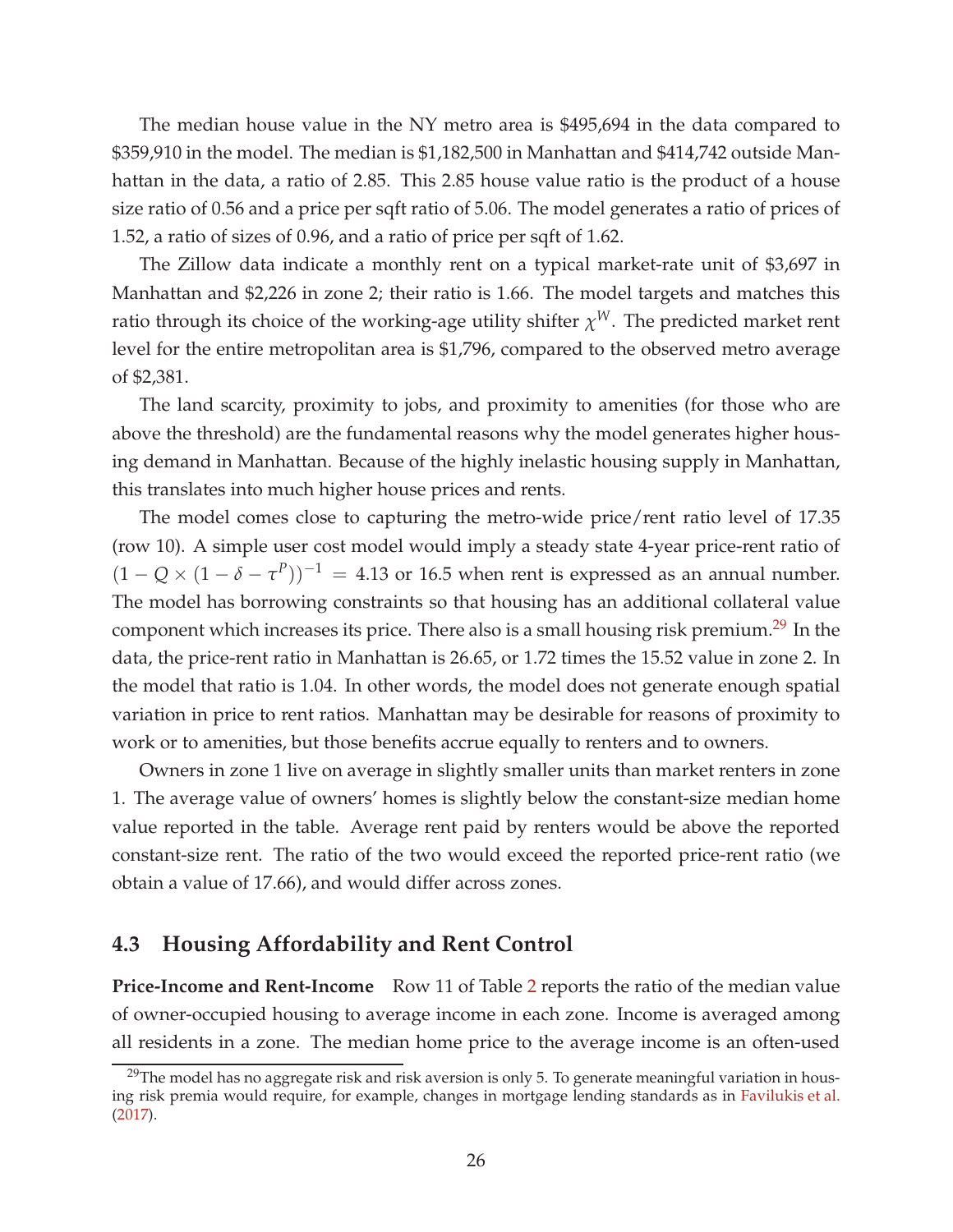The median house value in the NY metro area is \$495,694 in the data compared to \$359,910 in the model. The median is \$1,182,500 in Manhattan and \$414,742 outside Manhattan in the data, a ratio of 2.85. This 2.85 house value ratio is the product of a house size ratio of 0.56 and a price per sqft ratio of 5.06. The model generates a ratio of prices of 1.52, a ratio of sizes of 0.96, and a ratio of price per sqft of 1.62.

The Zillow data indicate a monthly rent on a typical market-rate unit of \$3,697 in Manhattan and \$2,226 in zone 2; their ratio is 1.66. The model targets and matches this ratio through its choice of the working-age utility shifter *χ <sup>W</sup>*. The predicted market rent level for the entire metropolitan area is \$1,796, compared to the observed metro average of \$2,381.

The land scarcity, proximity to jobs, and proximity to amenities (for those who are above the threshold) are the fundamental reasons why the model generates higher housing demand in Manhattan. Because of the highly inelastic housing supply in Manhattan, this translates into much higher house prices and rents.

The model comes close to capturing the metro-wide price/rent ratio level of 17.35 (row 10). A simple user cost model would imply a steady state 4-year price-rent ratio of  $(1 - Q \times (1 - \delta - \tau^P))^{-1} = 4.13$  or 16.5 when rent is expressed as an annual number. The model has borrowing constraints so that housing has an additional collateral value component which increases its price. There also is a small housing risk premium.<sup>[29](#page-26-0)</sup> In the data, the price-rent ratio in Manhattan is 26.65, or 1.72 times the 15.52 value in zone 2. In the model that ratio is 1.04. In other words, the model does not generate enough spatial variation in price to rent ratios. Manhattan may be desirable for reasons of proximity to work or to amenities, but those benefits accrue equally to renters and to owners.

Owners in zone 1 live on average in slightly smaller units than market renters in zone 1. The average value of owners' homes is slightly below the constant-size median home value reported in the table. Average rent paid by renters would be above the reported constant-size rent. The ratio of the two would exceed the reported price-rent ratio (we obtain a value of 17.66), and would differ across zones.

### **4.3 Housing Affordability and Rent Control**

**Price-Income and Rent-Income** Row 11 of Table [2](#page-23-0) reports the ratio of the median value of owner-occupied housing to average income in each zone. Income is averaged among all residents in a zone. The median home price to the average income is an often-used

<span id="page-26-0"></span><sup>&</sup>lt;sup>29</sup>The model has no aggregate risk and risk aversion is only 5. To generate meaningful variation in housing risk premia would require, for example, changes in mortgage lending standards as in Favilukis et al. (2017).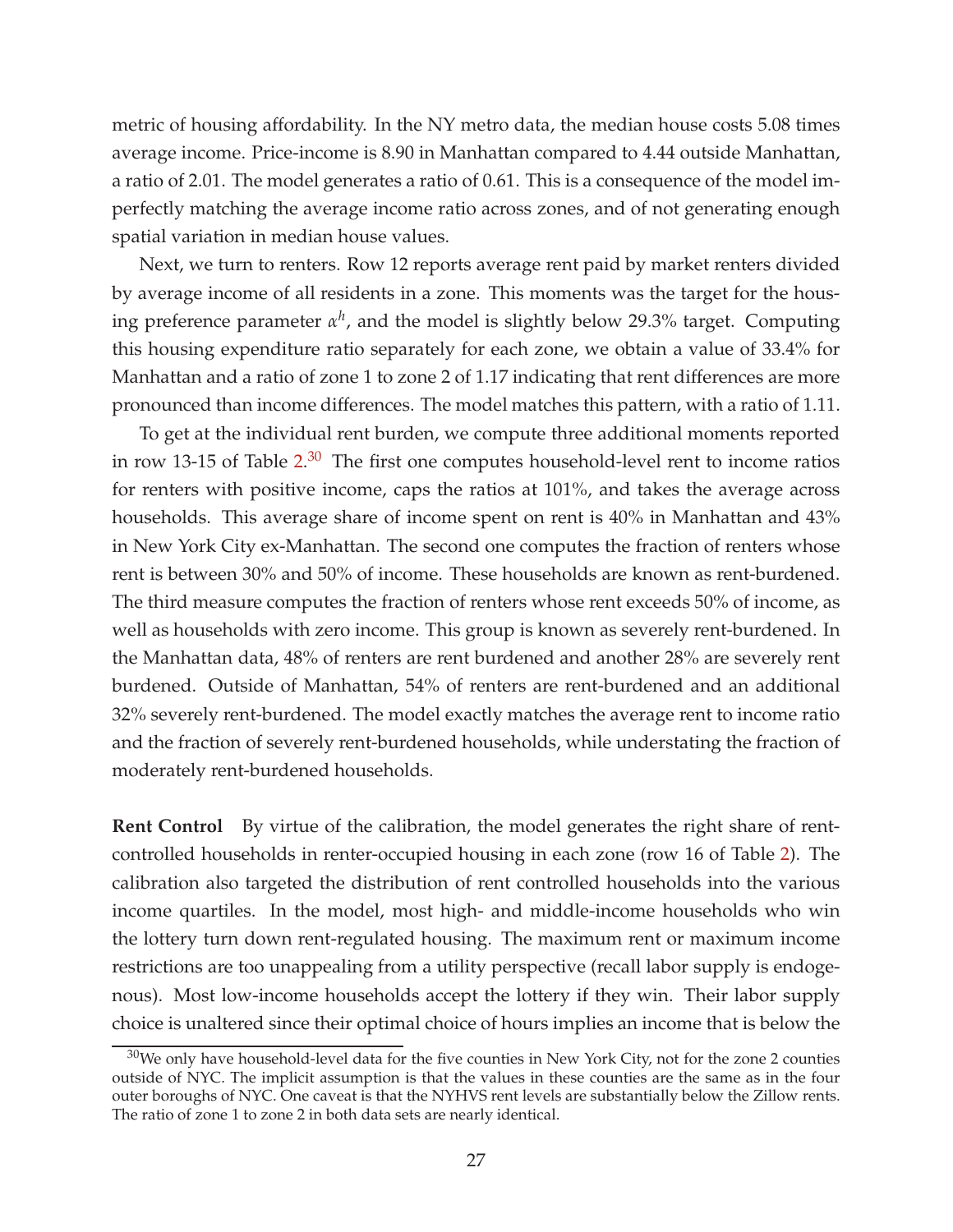metric of housing affordability. In the NY metro data, the median house costs 5.08 times average income. Price-income is 8.90 in Manhattan compared to 4.44 outside Manhattan, a ratio of 2.01. The model generates a ratio of 0.61. This is a consequence of the model imperfectly matching the average income ratio across zones, and of not generating enough spatial variation in median house values.

Next, we turn to renters. Row 12 reports average rent paid by market renters divided by average income of all residents in a zone. This moments was the target for the housing preference parameter *α h* , and the model is slightly below 29.3% target. Computing this housing expenditure ratio separately for each zone, we obtain a value of 33.4% for Manhattan and a ratio of zone 1 to zone 2 of 1.17 indicating that rent differences are more pronounced than income differences. The model matches this pattern, with a ratio of 1.11.

To get at the individual rent burden, we compute three additional moments reported in row 13-15 of Table  $2^{.30}$  $2^{.30}$  $2^{.30}$  The first one computes household-level rent to income ratios for renters with positive income, caps the ratios at 101%, and takes the average across households. This average share of income spent on rent is 40% in Manhattan and 43% in New York City ex-Manhattan. The second one computes the fraction of renters whose rent is between 30% and 50% of income. These households are known as rent-burdened. The third measure computes the fraction of renters whose rent exceeds 50% of income, as well as households with zero income. This group is known as severely rent-burdened. In the Manhattan data, 48% of renters are rent burdened and another 28% are severely rent burdened. Outside of Manhattan, 54% of renters are rent-burdened and an additional 32% severely rent-burdened. The model exactly matches the average rent to income ratio and the fraction of severely rent-burdened households, while understating the fraction of moderately rent-burdened households.

**Rent Control** By virtue of the calibration, the model generates the right share of rentcontrolled households in renter-occupied housing in each zone (row 16 of Table [2\)](#page-23-0). The calibration also targeted the distribution of rent controlled households into the various income quartiles. In the model, most high- and middle-income households who win the lottery turn down rent-regulated housing. The maximum rent or maximum income restrictions are too unappealing from a utility perspective (recall labor supply is endogenous). Most low-income households accept the lottery if they win. Their labor supply choice is unaltered since their optimal choice of hours implies an income that is below the

<span id="page-27-0"></span> $30$ We only have household-level data for the five counties in New York City, not for the zone 2 counties outside of NYC. The implicit assumption is that the values in these counties are the same as in the four outer boroughs of NYC. One caveat is that the NYHVS rent levels are substantially below the Zillow rents. The ratio of zone 1 to zone 2 in both data sets are nearly identical.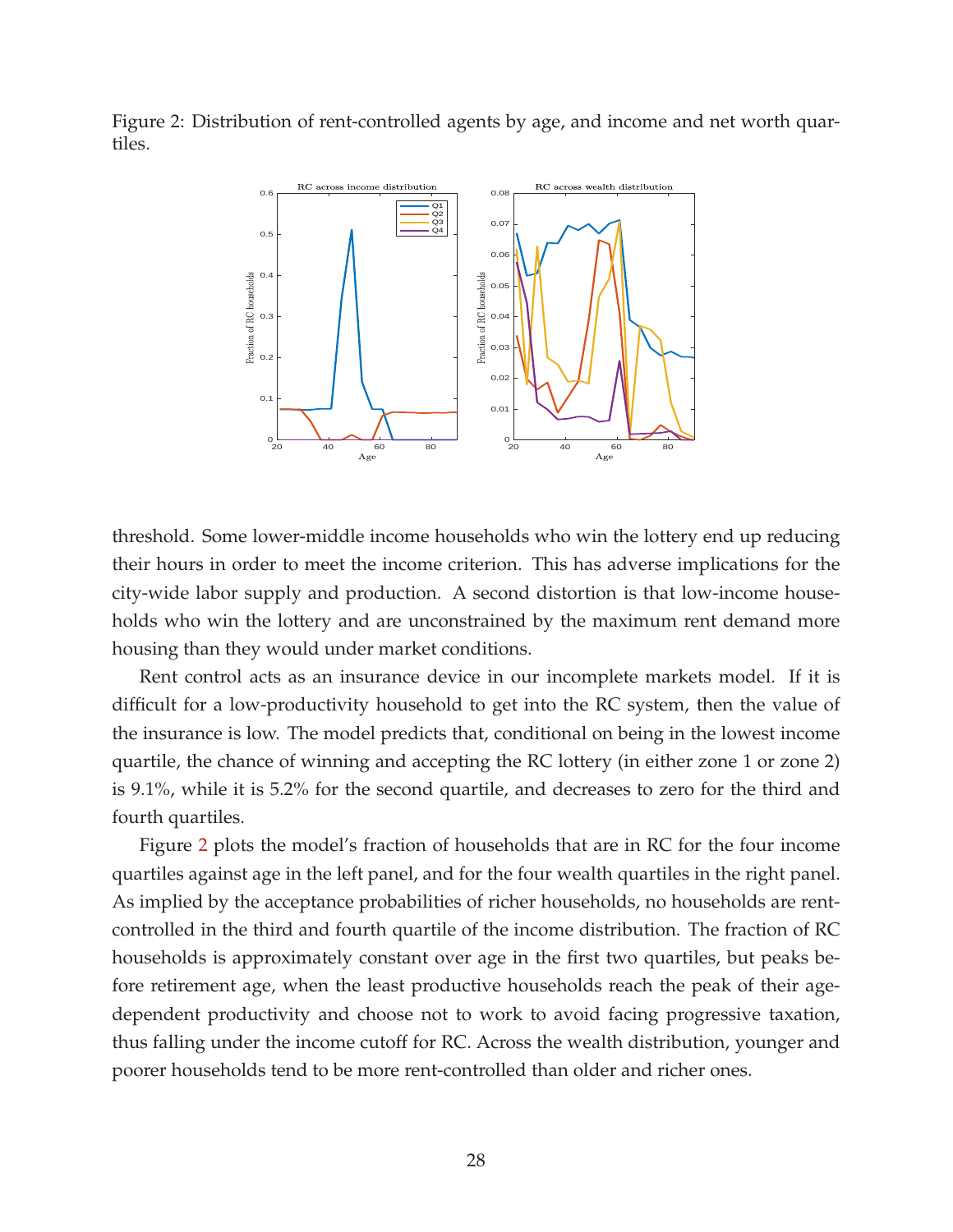<span id="page-28-0"></span>Figure 2: Distribution of rent-controlled agents by age, and income and net worth quartiles.



threshold. Some lower-middle income households who win the lottery end up reducing their hours in order to meet the income criterion. This has adverse implications for the city-wide labor supply and production. A second distortion is that low-income households who win the lottery and are unconstrained by the maximum rent demand more housing than they would under market conditions.

Rent control acts as an insurance device in our incomplete markets model. If it is difficult for a low-productivity household to get into the RC system, then the value of the insurance is low. The model predicts that, conditional on being in the lowest income quartile, the chance of winning and accepting the RC lottery (in either zone 1 or zone 2) is 9.1%, while it is 5.2% for the second quartile, and decreases to zero for the third and fourth quartiles.

Figure [2](#page-28-0) plots the model's fraction of households that are in RC for the four income quartiles against age in the left panel, and for the four wealth quartiles in the right panel. As implied by the acceptance probabilities of richer households, no households are rentcontrolled in the third and fourth quartile of the income distribution. The fraction of RC households is approximately constant over age in the first two quartiles, but peaks before retirement age, when the least productive households reach the peak of their agedependent productivity and choose not to work to avoid facing progressive taxation, thus falling under the income cutoff for RC. Across the wealth distribution, younger and poorer households tend to be more rent-controlled than older and richer ones.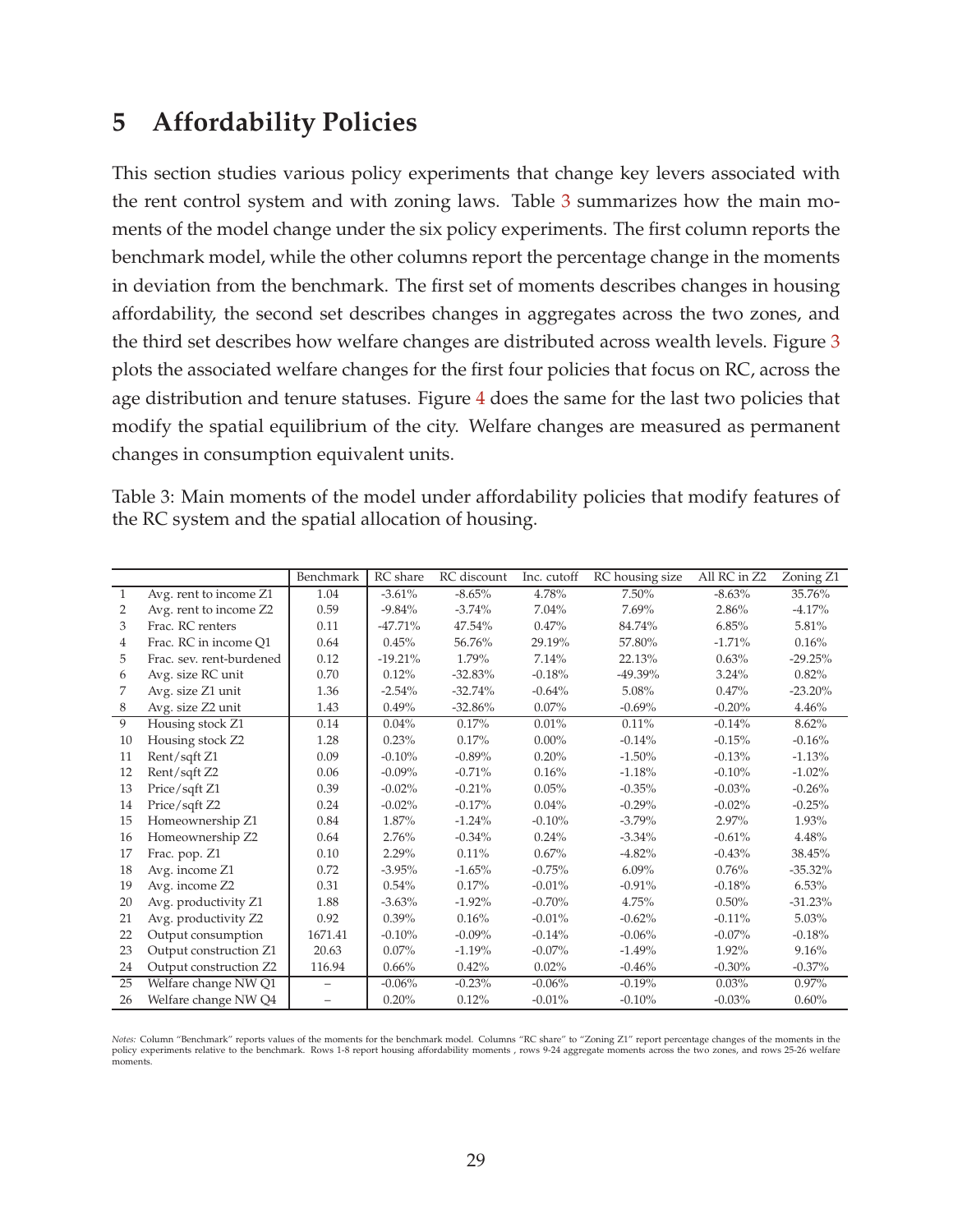# **5 Affordability Policies**

This section studies various policy experiments that change key levers associated with the rent control system and with zoning laws. Table [3](#page-29-0) summarizes how the main moments of the model change under the six policy experiments. The first column reports the benchmark model, while the other columns report the percentage change in the moments in deviation from the benchmark. The first set of moments describes changes in housing affordability, the second set describes changes in aggregates across the two zones, and the third set describes how welfare changes are distributed across wealth levels. Figure [3](#page-36-0) plots the associated welfare changes for the first four policies that focus on RC, across the age distribution and tenure statuses. Figure [4](#page-38-0) does the same for the last two policies that modify the spatial equilibrium of the city. Welfare changes are measured as permanent changes in consumption equivalent units.

<span id="page-29-0"></span>

| Table 3: Main moments of the model under affordability policies that modify features of |  |  |  |
|-----------------------------------------------------------------------------------------|--|--|--|
| the RC system and the spatial allocation of housing.                                    |  |  |  |

|    |                          | Benchmark         | RC share  | RC discount | Inc. cutoff | RC housing size | All RC in Z2 | Zoning Z1  |
|----|--------------------------|-------------------|-----------|-------------|-------------|-----------------|--------------|------------|
| 1  | Avg. rent to income Z1   | 1.04              | $-3.61%$  | $-8.65%$    | 4.78%       | 7.50%           | $-8.63%$     | 35.76%     |
| 2  | Avg. rent to income Z2   | 0.59              | $-9.84%$  | $-3.74%$    | 7.04%       | 7.69%           | 2.86%        | $-4.17%$   |
| 3  | Frac. RC renters         | 0.11              | $-47.71%$ | 47.54%      | 0.47%       | 84.74%          | 6.85%        | 5.81%      |
| 4  | Frac. RC in income O1    | 0.64              | 0.45%     | 56.76%      | 29.19%      | 57.80%          | $-1.71%$     | 0.16%      |
| 5  | Frac. sev. rent-burdened | 0.12              | $-19.21%$ | 1.79%       | 7.14%       | 22.13%          | 0.63%        | $-29.25%$  |
| 6  | Avg. size RC unit        | 0.70              | 0.12%     | $-32.83%$   | $-0.18%$    | $-49.39\%$      | 3.24%        | 0.82%      |
| 7  | Avg. size Z1 unit        | 1.36              | $-2.54%$  | $-32.74%$   | $-0.64%$    | 5.08%           | 0.47%        | $-23.20%$  |
| 8  | Avg. size Z2 unit        | 1.43              | 0.49%     | $-32.86\%$  | $0.07\%$    | $-0.69\%$       | $-0.20%$     | 4.46%      |
| 9  | Housing stock Z1         | 0.14              | 0.04%     | 0.17%       | 0.01%       | 0.11%           | $-0.14%$     | 8.62%      |
| 10 | Housing stock Z2         | 1.28              | 0.23%     | 0.17%       | $0.00\%$    | $-0.14%$        | $-0.15%$     | $-0.16%$   |
| 11 | Rent/sqft Z1             | 0.09              | $-0.10%$  | $-0.89%$    | 0.20%       | $-1.50%$        | $-0.13%$     | $-1.13%$   |
| 12 | Rent/sqft Z2             | 0.06              | $-0.09\%$ | $-0.71%$    | 0.16%       | $-1.18%$        | $-0.10%$     | $-1.02\%$  |
| 13 | Price/sqft Z1            | 0.39              | $-0.02%$  | $-0.21%$    | 0.05%       | $-0.35%$        | $-0.03%$     | $-0.26%$   |
| 14 | Price/sqft Z2            | 0.24              | $-0.02%$  | $-0.17%$    | 0.04%       | $-0.29%$        | $-0.02%$     | $-0.25%$   |
| 15 | Homeownership Z1         | 0.84              | 1.87%     | $-1.24%$    | $-0.10%$    | $-3.79%$        | 2.97%        | 1.93%      |
| 16 | Homeownership Z2         | 0.64              | 2.76%     | $-0.34%$    | 0.24%       | $-3.34%$        | $-0.61%$     | 4.48%      |
| 17 | Frac. pop. Z1            | 0.10              | 2.29%     | 0.11%       | 0.67%       | $-4.82%$        | $-0.43%$     | 38.45%     |
| 18 | Avg. income Z1           | 0.72              | $-3.95%$  | $-1.65%$    | $-0.75%$    | $6.09\%$        | 0.76%        | $-35.32\%$ |
| 19 | Avg. income Z2           | 0.31              | 0.54%     | 0.17%       | $-0.01%$    | $-0.91%$        | $-0.18%$     | $6.53\%$   |
| 20 | Avg. productivity Z1     | 1.88              | $-3.63%$  | $-1.92%$    | $-0.70%$    | 4.75%           | 0.50%        | $-31.23%$  |
| 21 | Avg. productivity Z2     | 0.92              | $0.39\%$  | 0.16%       | $-0.01%$    | $-0.62%$        | $-0.11%$     | $5.03\%$   |
| 22 | Output consumption       | 1671.41           | $-0.10%$  | $-0.09%$    | $-0.14%$    | $-0.06%$        | $-0.07\%$    | $-0.18%$   |
| 23 | Output construction Z1   | 20.63             | $0.07\%$  | $-1.19%$    | $-0.07\%$   | $-1.49%$        | 1.92%        | 9.16%      |
| 24 | Output construction Z2   | 116.94            | 0.66%     | 0.42%       | 0.02%       | $-0.46%$        | $-0.30%$     | $-0.37%$   |
| 25 | Welfare change NW Q1     | $\qquad \qquad -$ | $-0.06%$  | $-0.23%$    | $-0.06%$    | $-0.19%$        | 0.03%        | 0.97%      |
| 26 | Welfare change NW Q4     | $\qquad \qquad -$ | 0.20%     | 0.12%       | $-0.01%$    | $-0.10%$        | $-0.03%$     | 0.60%      |

Notes: Column "Benchmark" reports values of the moments for the benchmark model. Columns "RC share" to "Zoning Z1" report percentage changes of the moments in the<br>policy experiments relative to the benchmark. Rows 1-8 repo moments.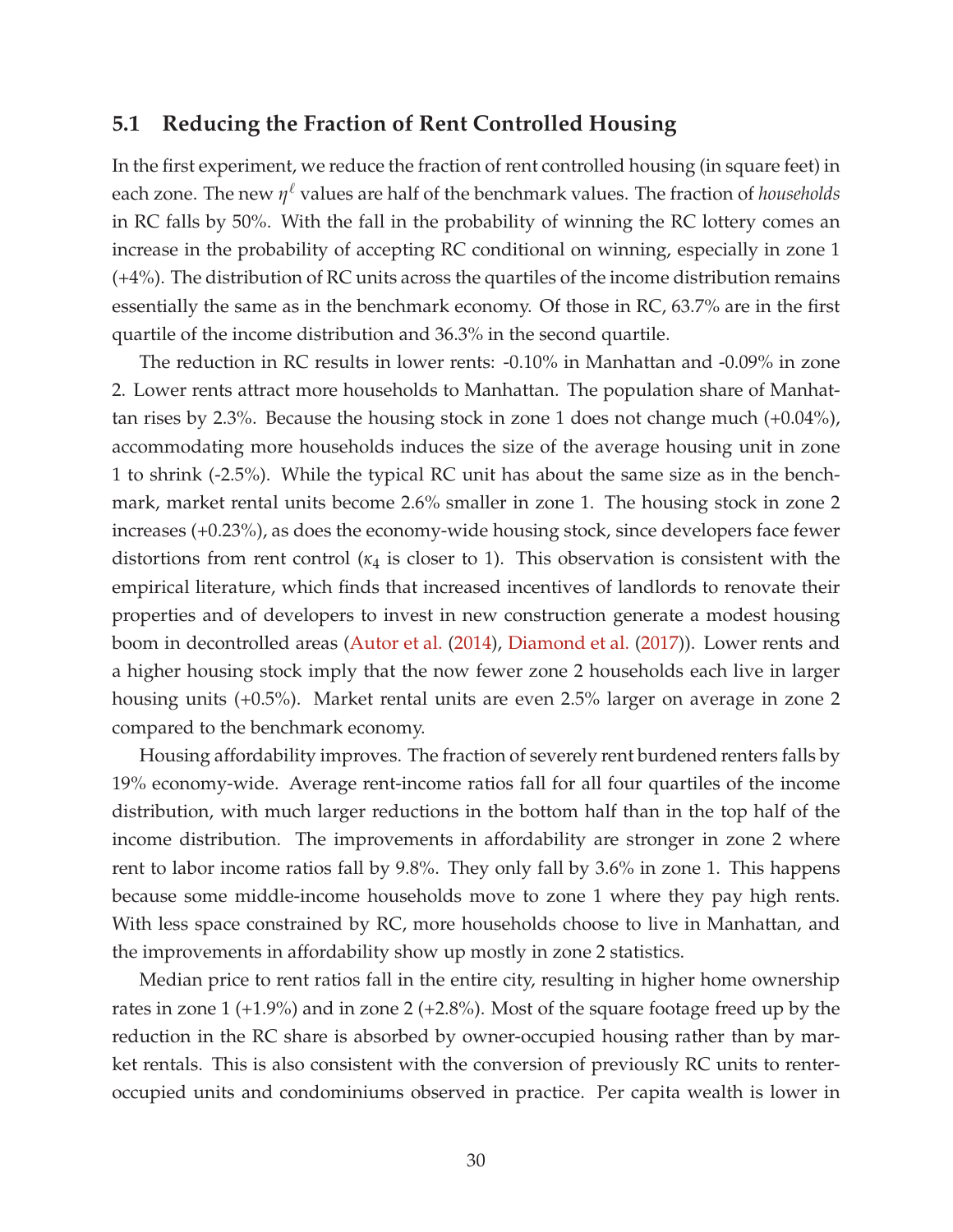### **5.1 Reducing the Fraction of Rent Controlled Housing**

In the first experiment, we reduce the fraction of rent controlled housing (in square feet) in each zone. The new *η* <sup>ℓ</sup> values are half of the benchmark values. The fraction of *households* in RC falls by 50%. With the fall in the probability of winning the RC lottery comes an increase in the probability of accepting RC conditional on winning, especially in zone 1 (+4%). The distribution of RC units across the quartiles of the income distribution remains essentially the same as in the benchmark economy. Of those in RC, 63.7% are in the first quartile of the income distribution and 36.3% in the second quartile.

The reduction in RC results in lower rents: -0.10% in Manhattan and -0.09% in zone 2. Lower rents attract more households to Manhattan. The population share of Manhattan rises by 2.3%. Because the housing stock in zone 1 does not change much (+0.04%), accommodating more households induces the size of the average housing unit in zone 1 to shrink (-2.5%). While the typical RC unit has about the same size as in the benchmark, market rental units become 2.6% smaller in zone 1. The housing stock in zone 2 increases (+0.23%), as does the economy-wide housing stock, since developers face fewer distortions from rent control  $(\kappa_4$  is closer to 1). This observation is consistent with the empirical literature, which finds that increased incentives of landlords to renovate their properties and of developers to invest in new construction generate a modest housing boom in decontrolled areas [\(Autor et al.](#page-40-9) [\(2014\)](#page-40-9), [Diamond et al.](#page-40-11) [\(2017](#page-40-11))). Lower rents and a higher housing stock imply that the now fewer zone 2 households each live in larger housing units (+0.5%). Market rental units are even 2.5% larger on average in zone 2 compared to the benchmark economy.

Housing affordability improves. The fraction of severely rent burdened renters falls by 19% economy-wide. Average rent-income ratios fall for all four quartiles of the income distribution, with much larger reductions in the bottom half than in the top half of the income distribution. The improvements in affordability are stronger in zone 2 where rent to labor income ratios fall by 9.8%. They only fall by 3.6% in zone 1. This happens because some middle-income households move to zone 1 where they pay high rents. With less space constrained by RC, more households choose to live in Manhattan, and the improvements in affordability show up mostly in zone 2 statistics.

Median price to rent ratios fall in the entire city, resulting in higher home ownership rates in zone  $1 (+1.9%)$  and in zone  $2 (+2.8%)$ . Most of the square footage freed up by the reduction in the RC share is absorbed by owner-occupied housing rather than by market rentals. This is also consistent with the conversion of previously RC units to renteroccupied units and condominiums observed in practice. Per capita wealth is lower in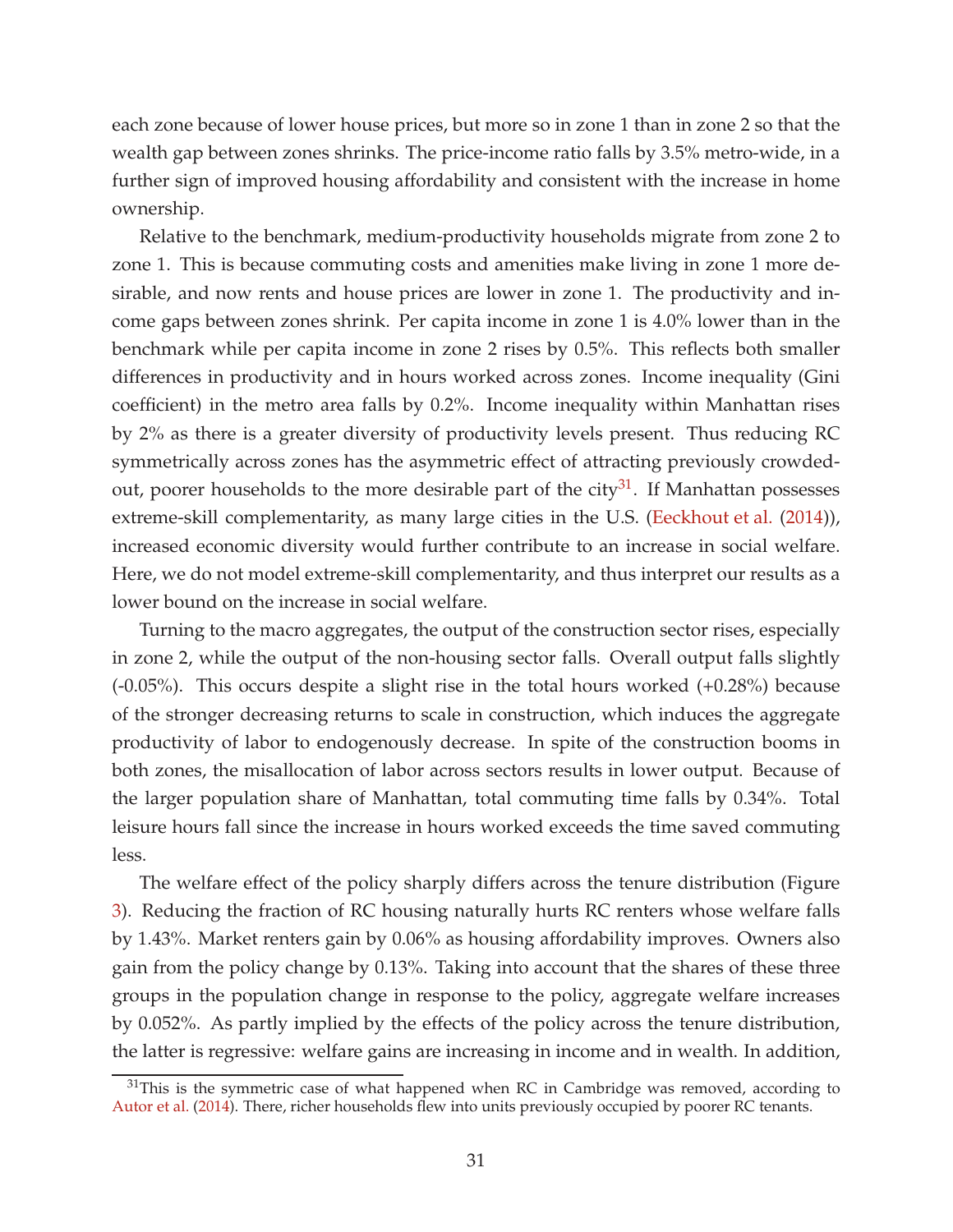each zone because of lower house prices, but more so in zone 1 than in zone 2 so that the wealth gap between zones shrinks. The price-income ratio falls by 3.5% metro-wide, in a further sign of improved housing affordability and consistent with the increase in home ownership.

Relative to the benchmark, medium-productivity households migrate from zone 2 to zone 1. This is because commuting costs and amenities make living in zone 1 more desirable, and now rents and house prices are lower in zone 1. The productivity and income gaps between zones shrink. Per capita income in zone 1 is 4.0% lower than in the benchmark while per capita income in zone 2 rises by 0.5%. This reflects both smaller differences in productivity and in hours worked across zones. Income inequality (Gini coefficient) in the metro area falls by 0.2%. Income inequality within Manhattan rises by 2% as there is a greater diversity of productivity levels present. Thus reducing RC symmetrically across zones has the asymmetric effect of attracting previously crowded-out, poorer households to the more desirable part of the city<sup>[31](#page-31-0)</sup>. If Manhattan possesses extreme-skill complementarity, as many large cities in the U.S. [\(Eeckhout et al.](#page-40-6) [\(2014](#page-40-6))), increased economic diversity would further contribute to an increase in social welfare. Here, we do not model extreme-skill complementarity, and thus interpret our results as a lower bound on the increase in social welfare.

Turning to the macro aggregates, the output of the construction sector rises, especially in zone 2, while the output of the non-housing sector falls. Overall output falls slightly (-0.05%). This occurs despite a slight rise in the total hours worked (+0.28%) because of the stronger decreasing returns to scale in construction, which induces the aggregate productivity of labor to endogenously decrease. In spite of the construction booms in both zones, the misallocation of labor across sectors results in lower output. Because of the larger population share of Manhattan, total commuting time falls by 0.34%. Total leisure hours fall since the increase in hours worked exceeds the time saved commuting less.

The welfare effect of the policy sharply differs across the tenure distribution (Figure [3\)](#page-36-0). Reducing the fraction of RC housing naturally hurts RC renters whose welfare falls by 1.43%. Market renters gain by 0.06% as housing affordability improves. Owners also gain from the policy change by 0.13%. Taking into account that the shares of these three groups in the population change in response to the policy, aggregate welfare increases by 0.052%. As partly implied by the effects of the policy across the tenure distribution, the latter is regressive: welfare gains are increasing in income and in wealth. In addition,

<span id="page-31-0"></span> $31$ This is the symmetric case of what happened when RC in Cambridge was removed, according to [Autor et al.](#page-40-9) [\(2014\)](#page-40-9). There, richer households flew into units previously occupied by poorer RC tenants.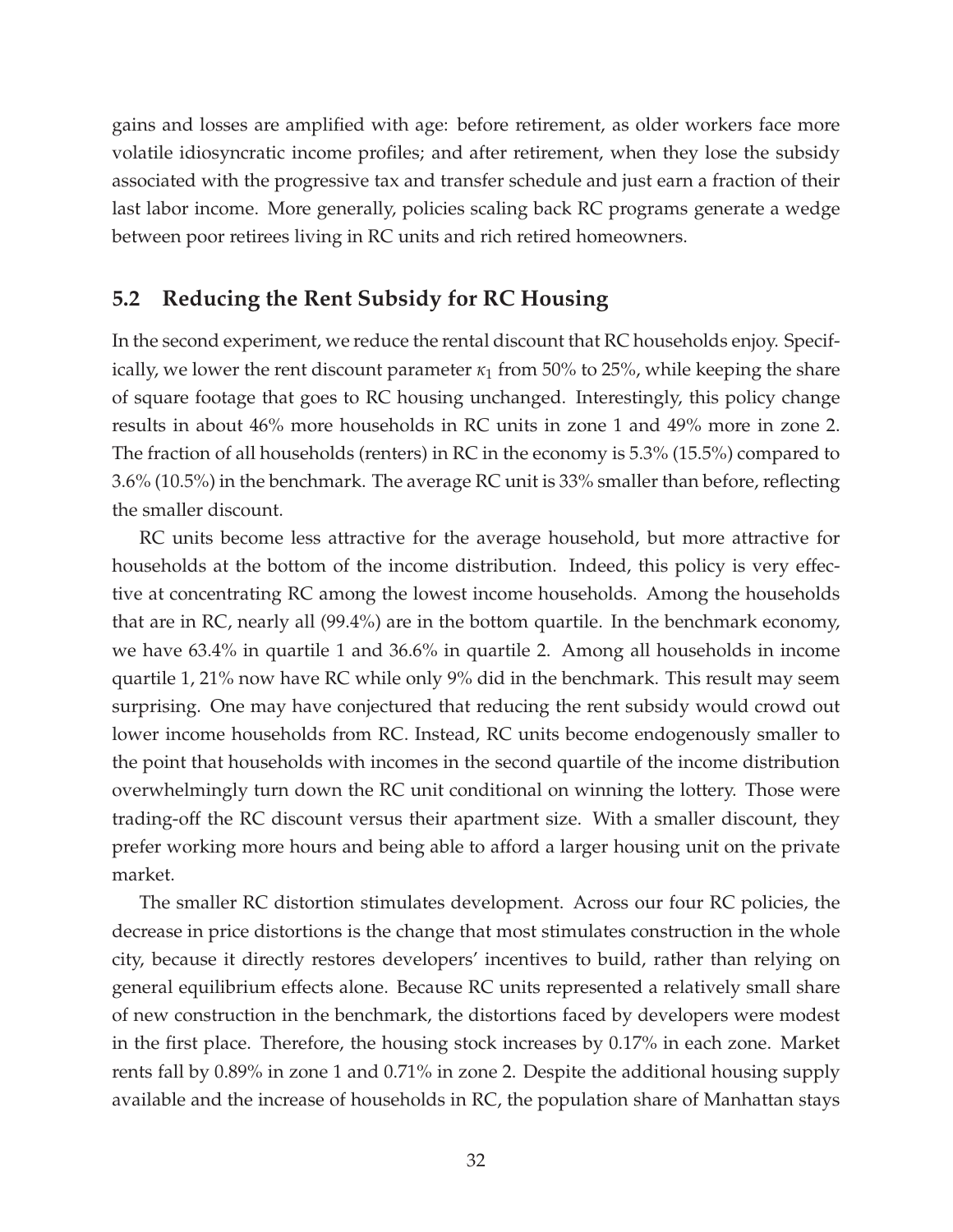gains and losses are amplified with age: before retirement, as older workers face more volatile idiosyncratic income profiles; and after retirement, when they lose the subsidy associated with the progressive tax and transfer schedule and just earn a fraction of their last labor income. More generally, policies scaling back RC programs generate a wedge between poor retirees living in RC units and rich retired homeowners.

### **5.2 Reducing the Rent Subsidy for RC Housing**

In the second experiment, we reduce the rental discount that RC households enjoy. Specifically, we lower the rent discount parameter  $\kappa_1$  from 50% to 25%, while keeping the share of square footage that goes to RC housing unchanged. Interestingly, this policy change results in about 46% more households in RC units in zone 1 and 49% more in zone 2. The fraction of all households (renters) in RC in the economy is 5.3% (15.5%) compared to 3.6% (10.5%) in the benchmark. The average RC unit is 33% smaller than before, reflecting the smaller discount.

RC units become less attractive for the average household, but more attractive for households at the bottom of the income distribution. Indeed, this policy is very effective at concentrating RC among the lowest income households. Among the households that are in RC, nearly all (99.4%) are in the bottom quartile. In the benchmark economy, we have 63.4% in quartile 1 and 36.6% in quartile 2. Among all households in income quartile 1, 21% now have RC while only 9% did in the benchmark. This result may seem surprising. One may have conjectured that reducing the rent subsidy would crowd out lower income households from RC. Instead, RC units become endogenously smaller to the point that households with incomes in the second quartile of the income distribution overwhelmingly turn down the RC unit conditional on winning the lottery. Those were trading-off the RC discount versus their apartment size. With a smaller discount, they prefer working more hours and being able to afford a larger housing unit on the private market.

The smaller RC distortion stimulates development. Across our four RC policies, the decrease in price distortions is the change that most stimulates construction in the whole city, because it directly restores developers' incentives to build, rather than relying on general equilibrium effects alone. Because RC units represented a relatively small share of new construction in the benchmark, the distortions faced by developers were modest in the first place. Therefore, the housing stock increases by 0.17% in each zone. Market rents fall by 0.89% in zone 1 and 0.71% in zone 2. Despite the additional housing supply available and the increase of households in RC, the population share of Manhattan stays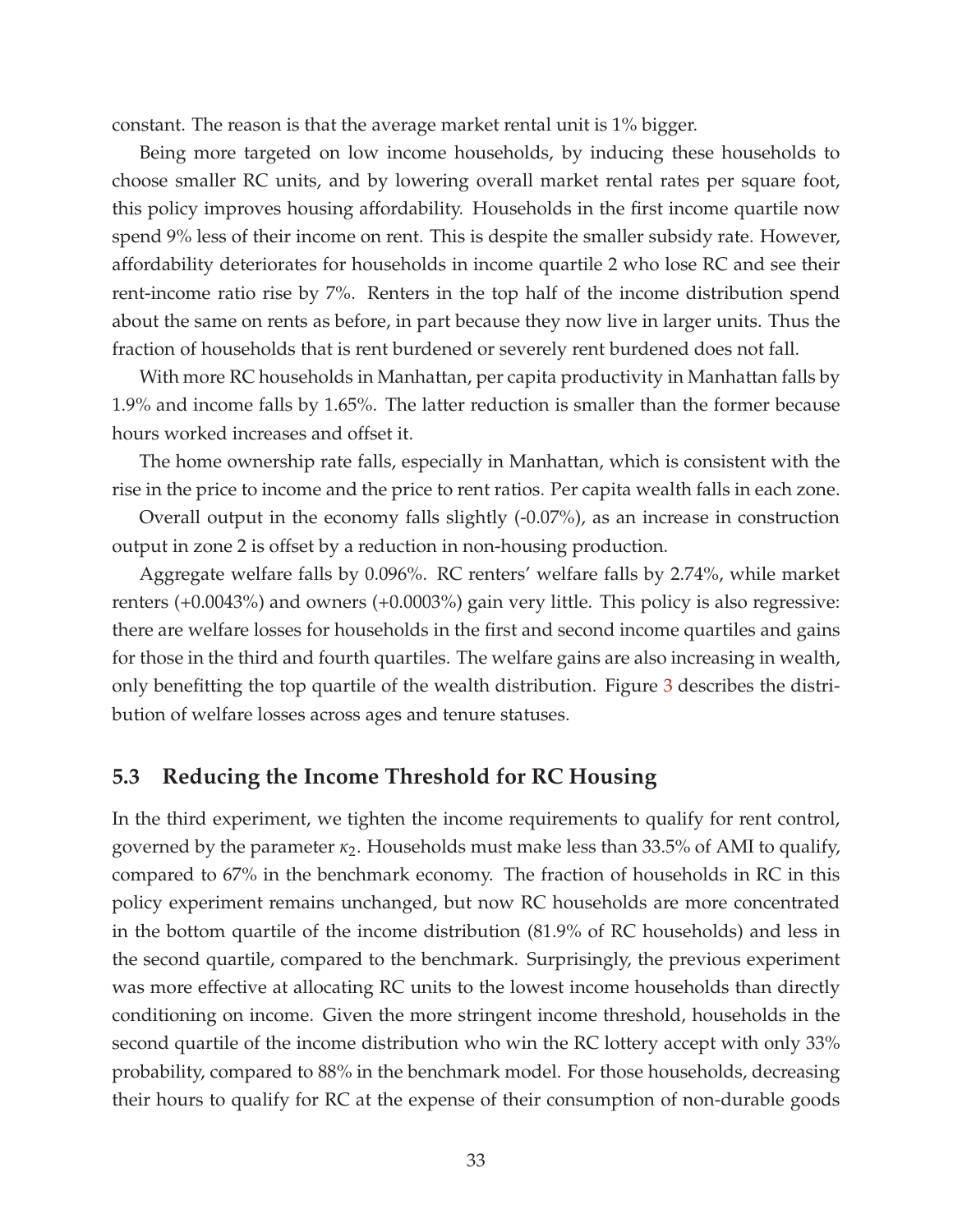constant. The reason is that the average market rental unit is 1% bigger.

Being more targeted on low income households, by inducing these households to choose smaller RC units, and by lowering overall market rental rates per square foot, this policy improves housing affordability. Households in the first income quartile now spend 9% less of their income on rent. This is despite the smaller subsidy rate. However, affordability deteriorates for households in income quartile 2 who lose RC and see their rent-income ratio rise by 7%. Renters in the top half of the income distribution spend about the same on rents as before, in part because they now live in larger units. Thus the fraction of households that is rent burdened or severely rent burdened does not fall.

With more RC households in Manhattan, per capita productivity in Manhattan falls by 1.9% and income falls by 1.65%. The latter reduction is smaller than the former because hours worked increases and offset it.

The home ownership rate falls, especially in Manhattan, which is consistent with the rise in the price to income and the price to rent ratios. Per capita wealth falls in each zone.

Overall output in the economy falls slightly (-0.07%), as an increase in construction output in zone 2 is offset by a reduction in non-housing production.

Aggregate welfare falls by 0.096%. RC renters' welfare falls by 2.74%, while market renters (+0.0043%) and owners (+0.0003%) gain very little. This policy is also regressive: there are welfare losses for households in the first and second income quartiles and gains for those in the third and fourth quartiles. The welfare gains are also increasing in wealth, only benefitting the top quartile of the wealth distribution. Figure [3](#page-36-0) describes the distribution of welfare losses across ages and tenure statuses.

### **5.3 Reducing the Income Threshold for RC Housing**

In the third experiment, we tighten the income requirements to qualify for rent control, governed by the parameter *κ*2. Households must make less than 33.5% of AMI to qualify, compared to 67% in the benchmark economy. The fraction of households in RC in this policy experiment remains unchanged, but now RC households are more concentrated in the bottom quartile of the income distribution (81.9% of RC households) and less in the second quartile, compared to the benchmark. Surprisingly, the previous experiment was more effective at allocating RC units to the lowest income households than directly conditioning on income. Given the more stringent income threshold, households in the second quartile of the income distribution who win the RC lottery accept with only 33% probability, compared to 88% in the benchmark model. For those households, decreasing their hours to qualify for RC at the expense of their consumption of non-durable goods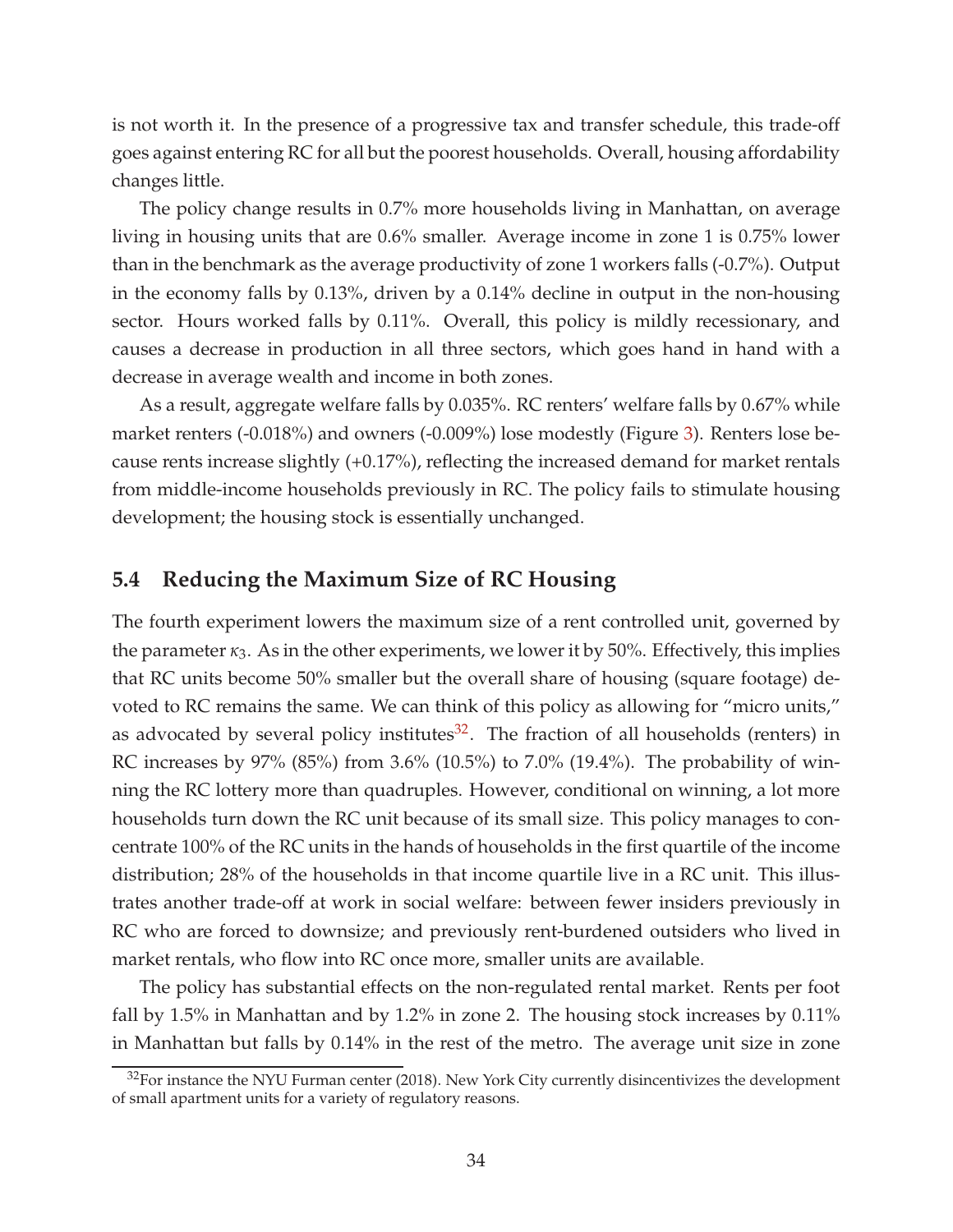is not worth it. In the presence of a progressive tax and transfer schedule, this trade-off goes against entering RC for all but the poorest households. Overall, housing affordability changes little.

The policy change results in 0.7% more households living in Manhattan, on average living in housing units that are 0.6% smaller. Average income in zone 1 is 0.75% lower than in the benchmark as the average productivity of zone 1 workers falls (-0.7%). Output in the economy falls by 0.13%, driven by a 0.14% decline in output in the non-housing sector. Hours worked falls by 0.11%. Overall, this policy is mildly recessionary, and causes a decrease in production in all three sectors, which goes hand in hand with a decrease in average wealth and income in both zones.

As a result, aggregate welfare falls by 0.035%. RC renters' welfare falls by 0.67% while market renters (-0.018%) and owners (-0.009%) lose modestly (Figure [3\)](#page-36-0). Renters lose because rents increase slightly (+0.17%), reflecting the increased demand for market rentals from middle-income households previously in RC. The policy fails to stimulate housing development; the housing stock is essentially unchanged.

#### **5.4 Reducing the Maximum Size of RC Housing**

The fourth experiment lowers the maximum size of a rent controlled unit, governed by the parameter  $\kappa_3$ . As in the other experiments, we lower it by 50%. Effectively, this implies that RC units become 50% smaller but the overall share of housing (square footage) devoted to RC remains the same. We can think of this policy as allowing for "micro units," as advocated by several policy institutes $32$ . The fraction of all households (renters) in RC increases by 97% (85%) from 3.6% (10.5%) to 7.0% (19.4%). The probability of winning the RC lottery more than quadruples. However, conditional on winning, a lot more households turn down the RC unit because of its small size. This policy manages to concentrate 100% of the RC units in the hands of households in the first quartile of the income distribution; 28% of the households in that income quartile live in a RC unit. This illustrates another trade-off at work in social welfare: between fewer insiders previously in RC who are forced to downsize; and previously rent-burdened outsiders who lived in market rentals, who flow into RC once more, smaller units are available.

The policy has substantial effects on the non-regulated rental market. Rents per foot fall by 1.5% in Manhattan and by 1.2% in zone 2. The housing stock increases by 0.11% in Manhattan but falls by 0.14% in the rest of the metro. The average unit size in zone

<span id="page-34-0"></span> $32$  For instance the NYU Furman center (2018). New York City currently disincentivizes the development of small apartment units for a variety of regulatory reasons.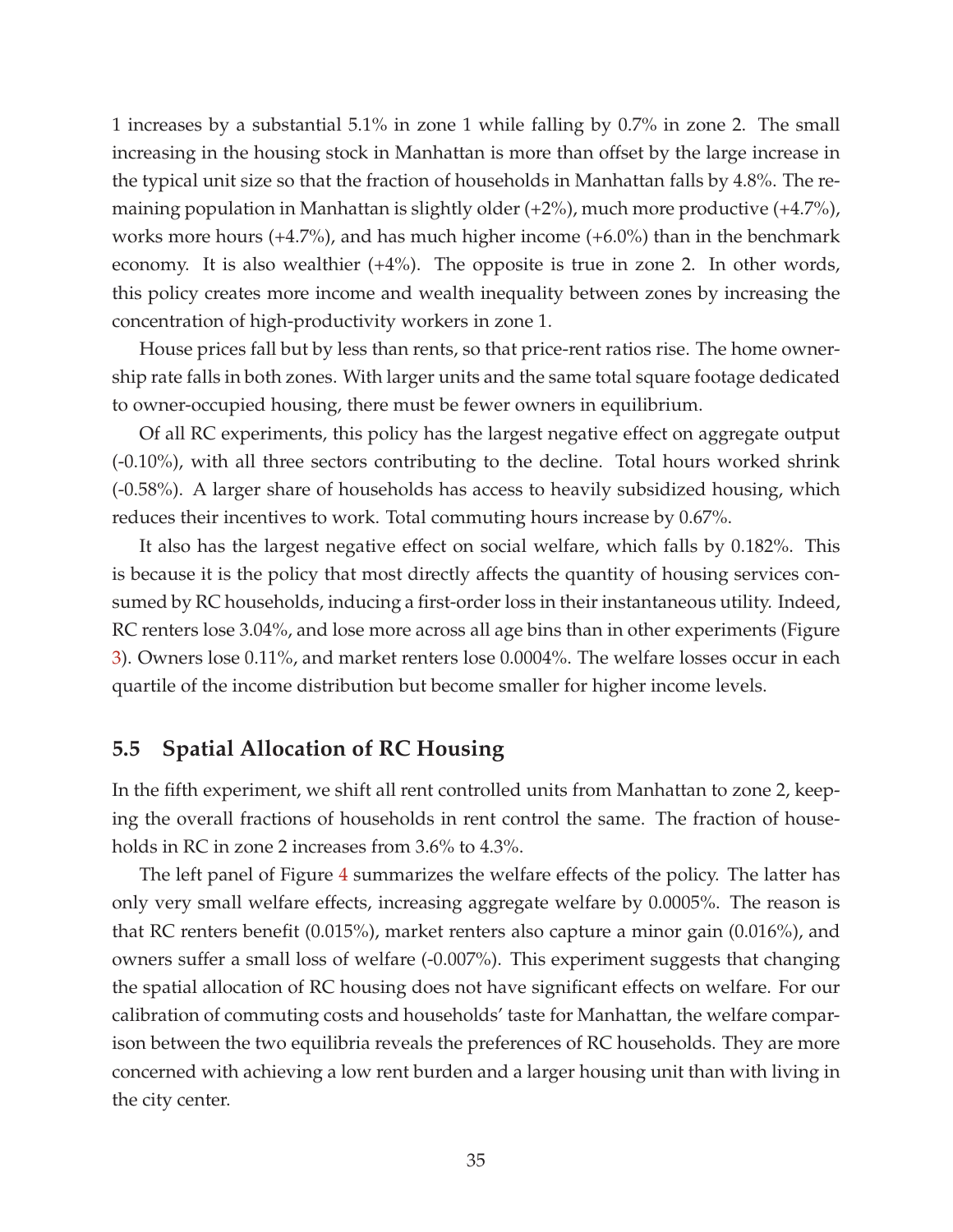1 increases by a substantial 5.1% in zone 1 while falling by 0.7% in zone 2. The small increasing in the housing stock in Manhattan is more than offset by the large increase in the typical unit size so that the fraction of households in Manhattan falls by 4.8%. The remaining population in Manhattan is slightly older (+2%), much more productive (+4.7%), works more hours (+4.7%), and has much higher income (+6.0%) than in the benchmark economy. It is also wealthier (+4%). The opposite is true in zone 2. In other words, this policy creates more income and wealth inequality between zones by increasing the concentration of high-productivity workers in zone 1.

House prices fall but by less than rents, so that price-rent ratios rise. The home ownership rate falls in both zones. With larger units and the same total square footage dedicated to owner-occupied housing, there must be fewer owners in equilibrium.

Of all RC experiments, this policy has the largest negative effect on aggregate output (-0.10%), with all three sectors contributing to the decline. Total hours worked shrink (-0.58%). A larger share of households has access to heavily subsidized housing, which reduces their incentives to work. Total commuting hours increase by 0.67%.

It also has the largest negative effect on social welfare, which falls by 0.182%. This is because it is the policy that most directly affects the quantity of housing services consumed by RC households, inducing a first-order loss in their instantaneous utility. Indeed, RC renters lose 3.04%, and lose more across all age bins than in other experiments (Figure [3\)](#page-36-0). Owners lose 0.11%, and market renters lose 0.0004%. The welfare losses occur in each quartile of the income distribution but become smaller for higher income levels.

### **5.5 Spatial Allocation of RC Housing**

In the fifth experiment, we shift all rent controlled units from Manhattan to zone 2, keeping the overall fractions of households in rent control the same. The fraction of households in RC in zone 2 increases from 3.6% to 4.3%.

The left panel of Figure [4](#page-38-0) summarizes the welfare effects of the policy. The latter has only very small welfare effects, increasing aggregate welfare by 0.0005%. The reason is that RC renters benefit (0.015%), market renters also capture a minor gain (0.016%), and owners suffer a small loss of welfare (-0.007%). This experiment suggests that changing the spatial allocation of RC housing does not have significant effects on welfare. For our calibration of commuting costs and households' taste for Manhattan, the welfare comparison between the two equilibria reveals the preferences of RC households. They are more concerned with achieving a low rent burden and a larger housing unit than with living in the city center.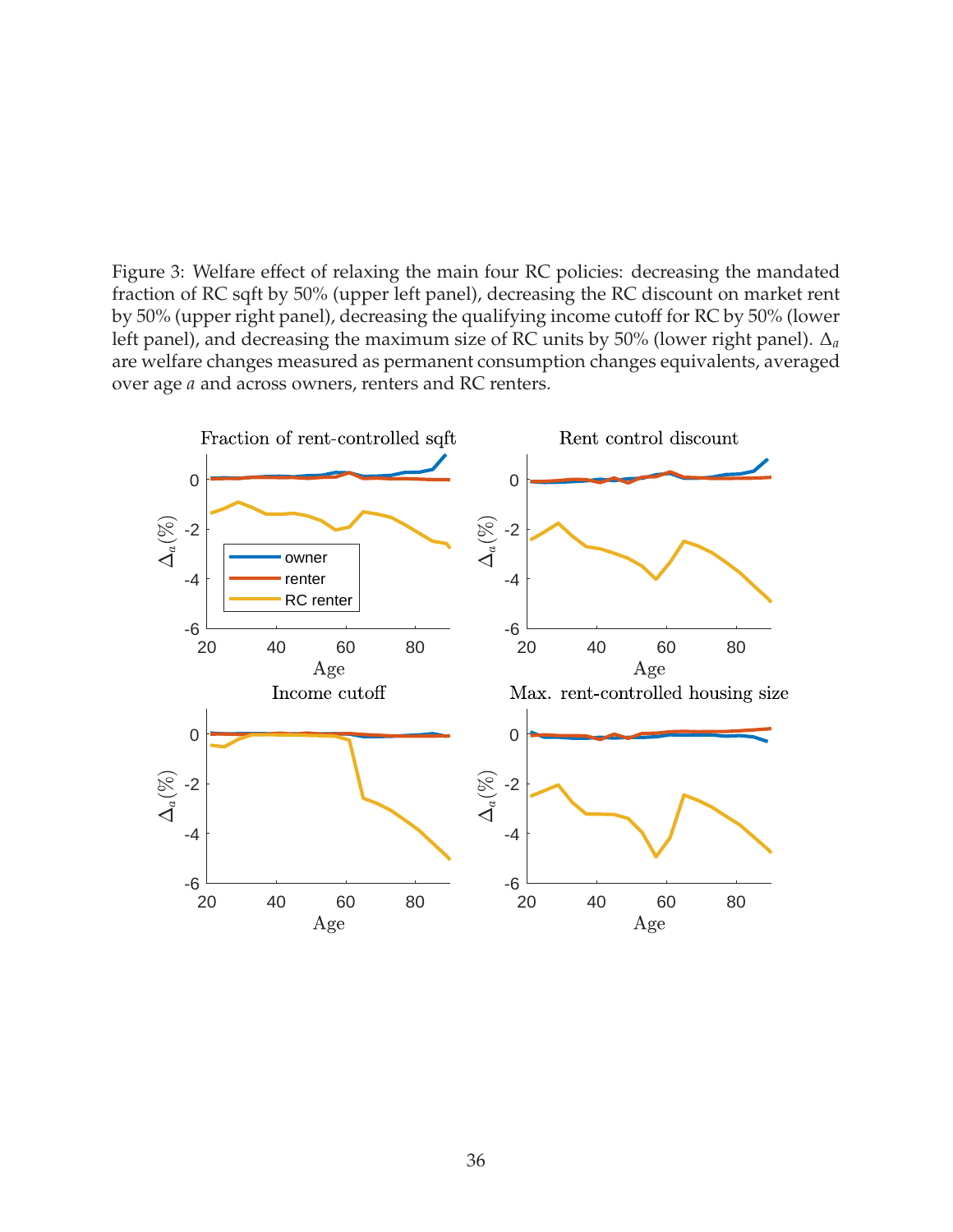<span id="page-36-0"></span>Figure 3: Welfare effect of relaxing the main four RC policies: decreasing the mandated fraction of RC sqft by 50% (upper left panel), decreasing the RC discount on market rent by 50% (upper right panel), decreasing the qualifying income cutoff for RC by 50% (lower left panel), and decreasing the maximum size of RC units by 50% (lower right panel). ∆*<sup>a</sup>* are welfare changes measured as permanent consumption changes equivalents, averaged over age *a* and across owners, renters and RC renters.

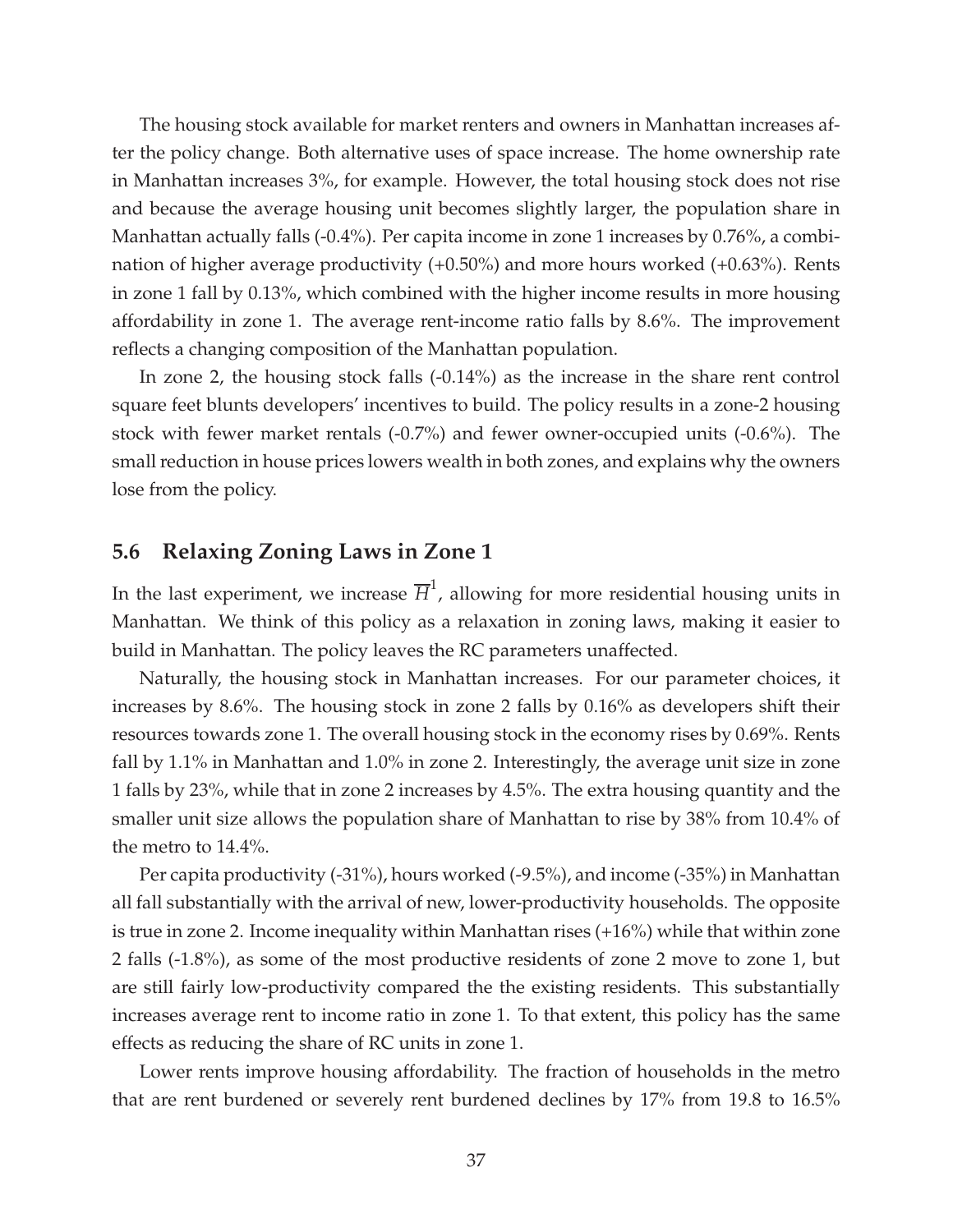The housing stock available for market renters and owners in Manhattan increases after the policy change. Both alternative uses of space increase. The home ownership rate in Manhattan increases 3%, for example. However, the total housing stock does not rise and because the average housing unit becomes slightly larger, the population share in Manhattan actually falls (-0.4%). Per capita income in zone 1 increases by 0.76%, a combination of higher average productivity (+0.50%) and more hours worked (+0.63%). Rents in zone 1 fall by 0.13%, which combined with the higher income results in more housing affordability in zone 1. The average rent-income ratio falls by 8.6%. The improvement reflects a changing composition of the Manhattan population.

In zone 2, the housing stock falls (-0.14%) as the increase in the share rent control square feet blunts developers' incentives to build. The policy results in a zone-2 housing stock with fewer market rentals (-0.7%) and fewer owner-occupied units (-0.6%). The small reduction in house prices lowers wealth in both zones, and explains why the owners lose from the policy.

### **5.6 Relaxing Zoning Laws in Zone 1**

In the last experiment, we increase  $\overline{H}^1$ , allowing for more residential housing units in Manhattan. We think of this policy as a relaxation in zoning laws, making it easier to build in Manhattan. The policy leaves the RC parameters unaffected.

Naturally, the housing stock in Manhattan increases. For our parameter choices, it increases by 8.6%. The housing stock in zone 2 falls by 0.16% as developers shift their resources towards zone 1. The overall housing stock in the economy rises by 0.69%. Rents fall by 1.1% in Manhattan and 1.0% in zone 2. Interestingly, the average unit size in zone 1 falls by 23%, while that in zone 2 increases by 4.5%. The extra housing quantity and the smaller unit size allows the population share of Manhattan to rise by 38% from 10.4% of the metro to 14.4%.

Per capita productivity (-31%), hours worked (-9.5%), and income (-35%) in Manhattan all fall substantially with the arrival of new, lower-productivity households. The opposite is true in zone 2. Income inequality within Manhattan rises (+16%) while that within zone 2 falls (-1.8%), as some of the most productive residents of zone 2 move to zone 1, but are still fairly low-productivity compared the the existing residents. This substantially increases average rent to income ratio in zone 1. To that extent, this policy has the same effects as reducing the share of RC units in zone 1.

Lower rents improve housing affordability. The fraction of households in the metro that are rent burdened or severely rent burdened declines by 17% from 19.8 to 16.5%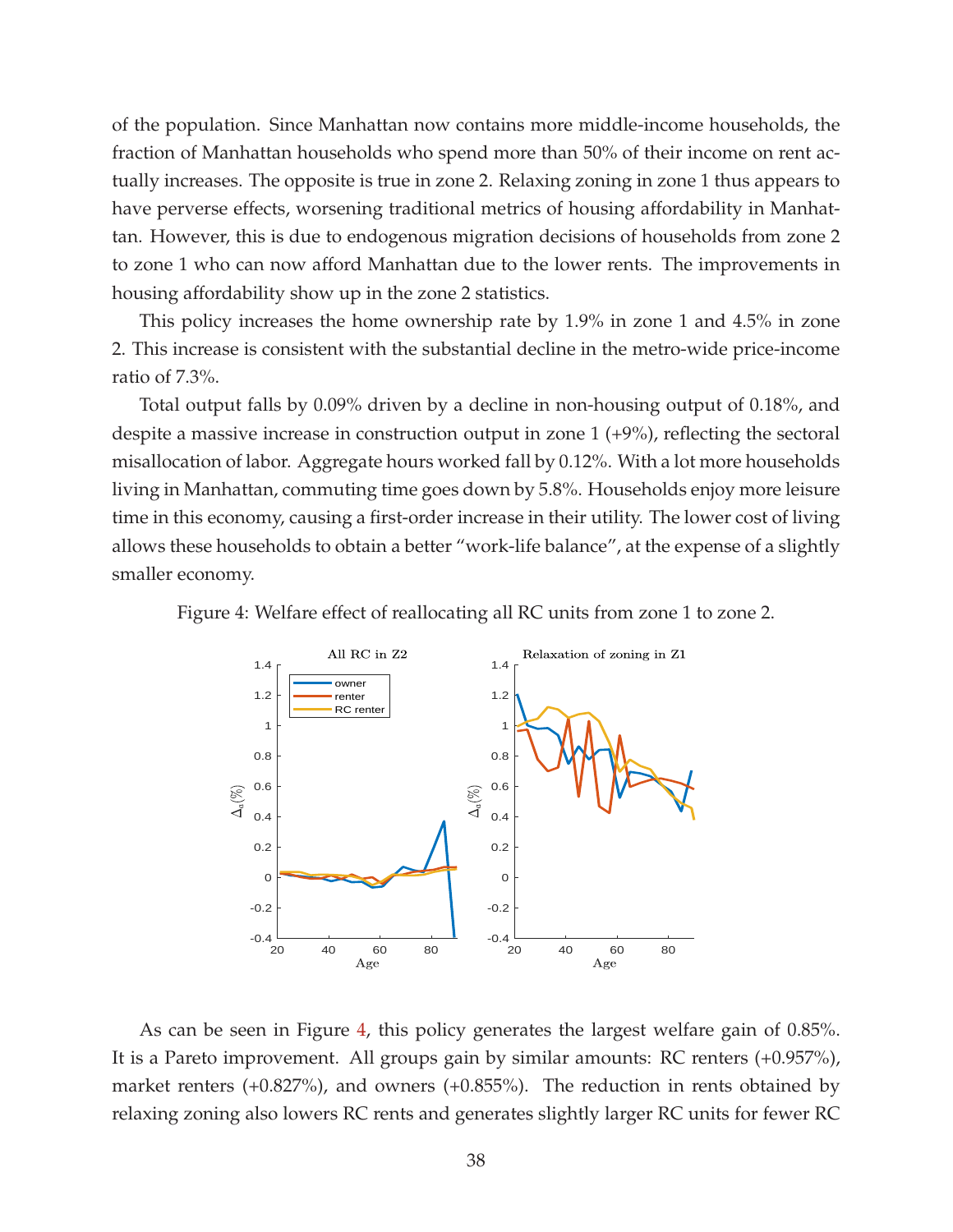of the population. Since Manhattan now contains more middle-income households, the fraction of Manhattan households who spend more than 50% of their income on rent actually increases. The opposite is true in zone 2. Relaxing zoning in zone 1 thus appears to have perverse effects, worsening traditional metrics of housing affordability in Manhattan. However, this is due to endogenous migration decisions of households from zone 2 to zone 1 who can now afford Manhattan due to the lower rents. The improvements in housing affordability show up in the zone 2 statistics.

This policy increases the home ownership rate by 1.9% in zone 1 and 4.5% in zone 2. This increase is consistent with the substantial decline in the metro-wide price-income ratio of 7.3%.

Total output falls by 0.09% driven by a decline in non-housing output of 0.18%, and despite a massive increase in construction output in zone 1 (+9%), reflecting the sectoral misallocation of labor. Aggregate hours worked fall by 0.12%. With a lot more households living in Manhattan, commuting time goes down by 5.8%. Households enjoy more leisure time in this economy, causing a first-order increase in their utility. The lower cost of living allows these households to obtain a better "work-life balance", at the expense of a slightly smaller economy.

<span id="page-38-0"></span>Figure 4: Welfare effect of reallocating all RC units from zone 1 to zone 2.



As can be seen in Figure [4,](#page-38-0) this policy generates the largest welfare gain of 0.85%. It is a Pareto improvement. All groups gain by similar amounts: RC renters (+0.957%), market renters (+0.827%), and owners (+0.855%). The reduction in rents obtained by relaxing zoning also lowers RC rents and generates slightly larger RC units for fewer RC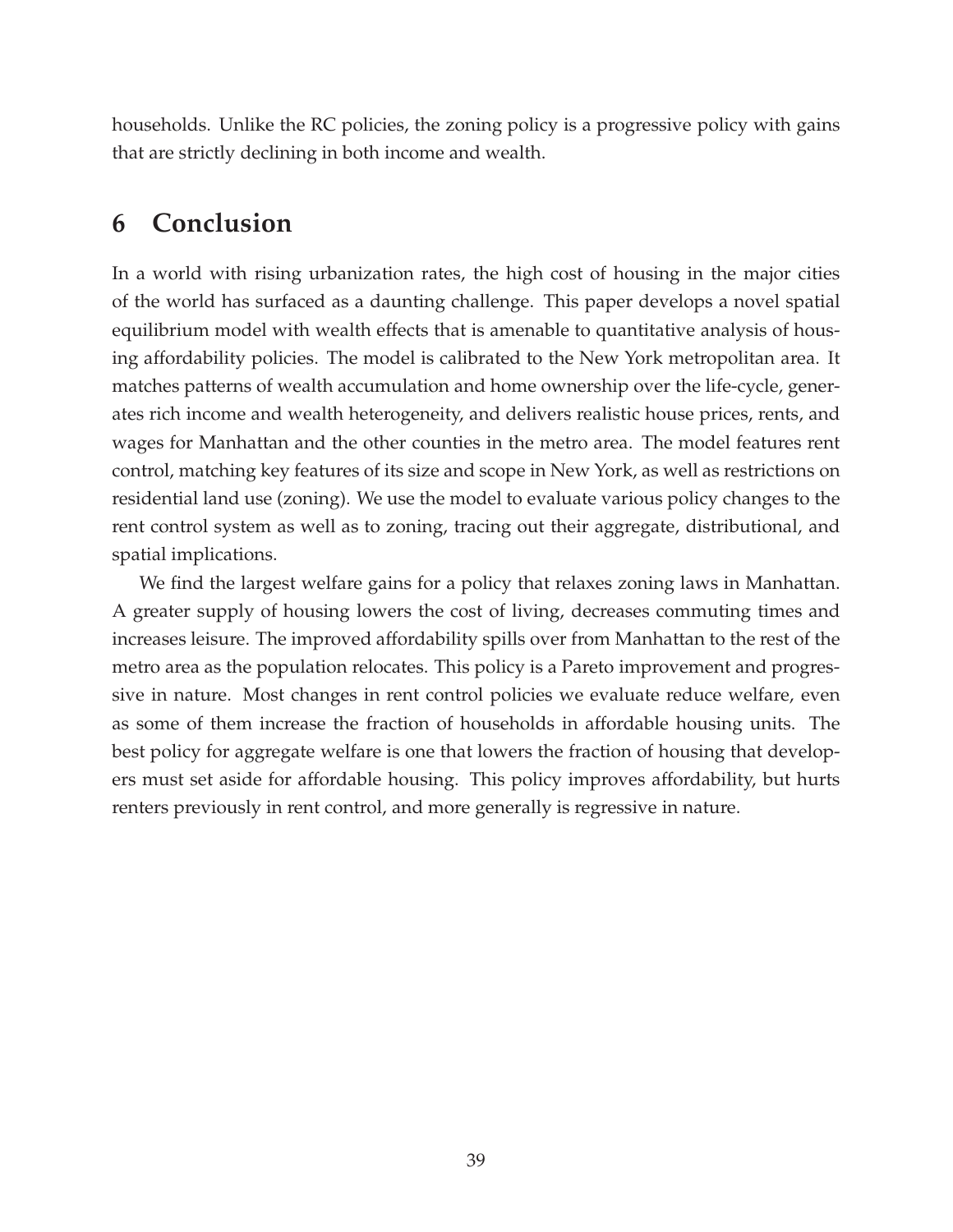households. Unlike the RC policies, the zoning policy is a progressive policy with gains that are strictly declining in both income and wealth.

### **6 Conclusion**

In a world with rising urbanization rates, the high cost of housing in the major cities of the world has surfaced as a daunting challenge. This paper develops a novel spatial equilibrium model with wealth effects that is amenable to quantitative analysis of housing affordability policies. The model is calibrated to the New York metropolitan area. It matches patterns of wealth accumulation and home ownership over the life-cycle, generates rich income and wealth heterogeneity, and delivers realistic house prices, rents, and wages for Manhattan and the other counties in the metro area. The model features rent control, matching key features of its size and scope in New York, as well as restrictions on residential land use (zoning). We use the model to evaluate various policy changes to the rent control system as well as to zoning, tracing out their aggregate, distributional, and spatial implications.

We find the largest welfare gains for a policy that relaxes zoning laws in Manhattan. A greater supply of housing lowers the cost of living, decreases commuting times and increases leisure. The improved affordability spills over from Manhattan to the rest of the metro area as the population relocates. This policy is a Pareto improvement and progressive in nature. Most changes in rent control policies we evaluate reduce welfare, even as some of them increase the fraction of households in affordable housing units. The best policy for aggregate welfare is one that lowers the fraction of housing that developers must set aside for affordable housing. This policy improves affordability, but hurts renters previously in rent control, and more generally is regressive in nature.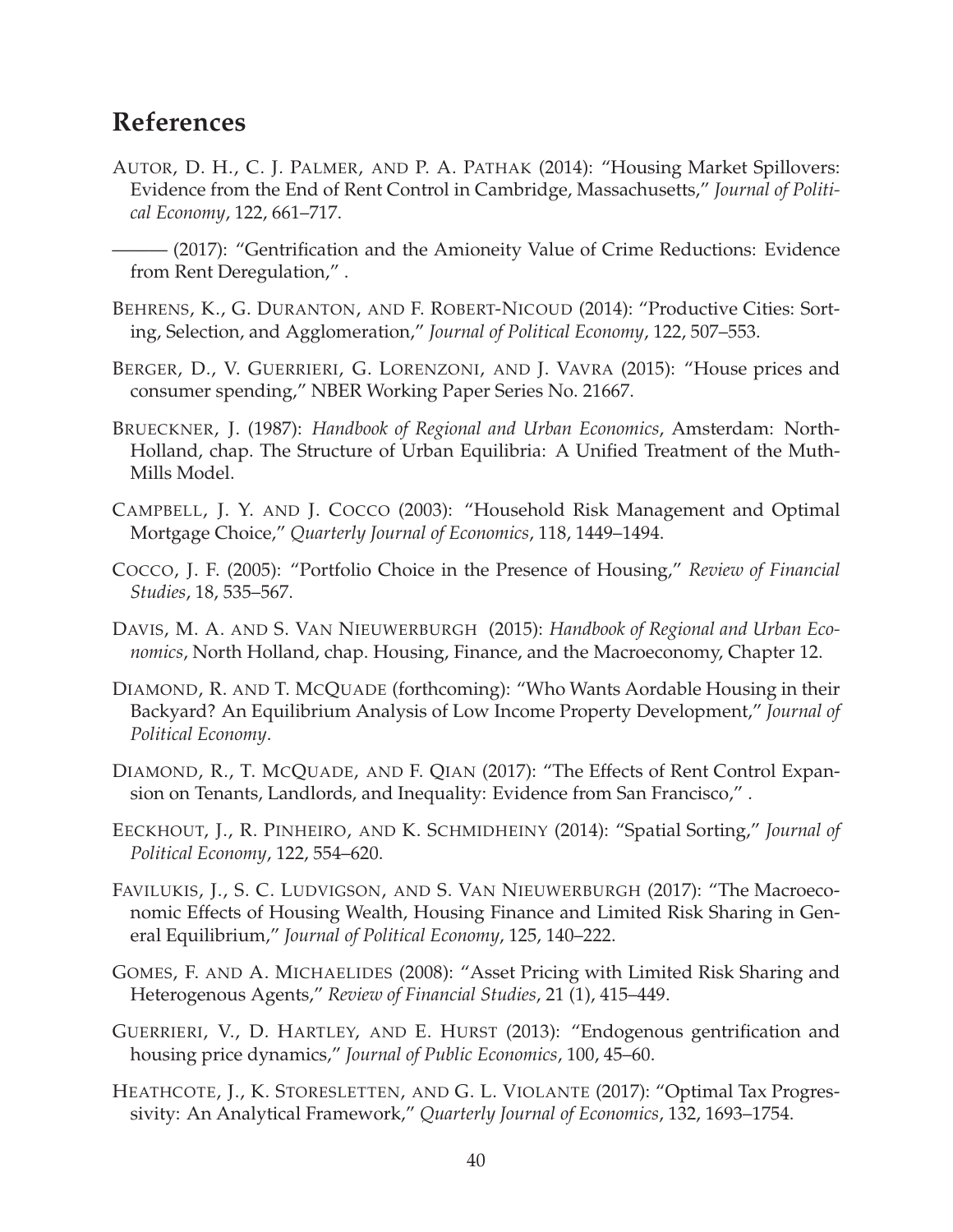### **References**

- <span id="page-40-9"></span>AUTOR, D. H., C. J. PALMER, AND P. A. PATHAK (2014): "Housing Market Spillovers: Evidence from the End of Rent Control in Cambridge, Massachusetts," *Journal of Political Economy*, 122, 661–717.
- <span id="page-40-10"></span>——— (2017): "Gentrification and the Amioneity Value of Crime Reductions: Evidence from Rent Deregulation," .
- <span id="page-40-5"></span>BEHRENS, K., G. DURANTON, AND F. ROBERT-NICOUD (2014): "Productive Cities: Sorting, Selection, and Agglomeration," *Journal of Political Economy*, 122, 507–553.
- <span id="page-40-2"></span>BERGER, D., V. GUERRIERI, G. LORENZONI, AND J. VAVRA (2015): "House prices and consumer spending," NBER Working Paper Series No. 21667.
- <span id="page-40-4"></span>BRUECKNER, J. (1987): *Handbook of Regional and Urban Economics*, Amsterdam: North-Holland, chap. The Structure of Urban Equilibria: A Unified Treatment of the Muth-Mills Model.
- <span id="page-40-0"></span>CAMPBELL, J. Y. AND J. COCCO (2003): "Household Risk Management and Optimal Mortgage Choice," *Quarterly Journal of Economics*, 118, 1449–1494.
- <span id="page-40-1"></span>COCCO, J. F. (2005): "Portfolio Choice in the Presence of Housing," *Review of Financial Studies*, 18, 535–567.
- <span id="page-40-3"></span>DAVIS, M. A. AND S. VAN NIEUWERBURGH (2015): *Handbook of Regional and Urban Economics*, North Holland, chap. Housing, Finance, and the Macroeconomy, Chapter 12.
- <span id="page-40-12"></span>DIAMOND, R. AND T. MCQUADE (forthcoming): "Who Wants Aordable Housing in their Backyard? An Equilibrium Analysis of Low Income Property Development," *Journal of Political Economy*.
- <span id="page-40-11"></span>DIAMOND, R., T. MCQUADE, AND F. QIAN (2017): "The Effects of Rent Control Expansion on Tenants, Landlords, and Inequality: Evidence from San Francisco," .
- <span id="page-40-6"></span>EECKHOUT, J., R. PINHEIRO, AND K. SCHMIDHEINY (2014): "Spatial Sorting," *Journal of Political Economy*, 122, 554–620.
- FAVILUKIS, J., S. C. LUDVIGSON, AND S. VAN NIEUWERBURGH (2017): "The Macroeconomic Effects of Housing Wealth, Housing Finance and Limited Risk Sharing in General Equilibrium," *Journal of Political Economy*, 125, 140–222.
- <span id="page-40-8"></span>GOMES, F. AND A. MICHAELIDES (2008): "Asset Pricing with Limited Risk Sharing and Heterogenous Agents," *Review of Financial Studies*, 21 (1), 415–449.
- <span id="page-40-7"></span>GUERRIERI, V., D. HARTLEY, AND E. HURST (2013): "Endogenous gentrification and housing price dynamics," *Journal of Public Economics*, 100, 45–60.
- <span id="page-40-13"></span>HEATHCOTE, J., K. STORESLETTEN, AND G. L. VIOLANTE (2017): "Optimal Tax Progressivity: An Analytical Framework," *Quarterly Journal of Economics*, 132, 1693–1754.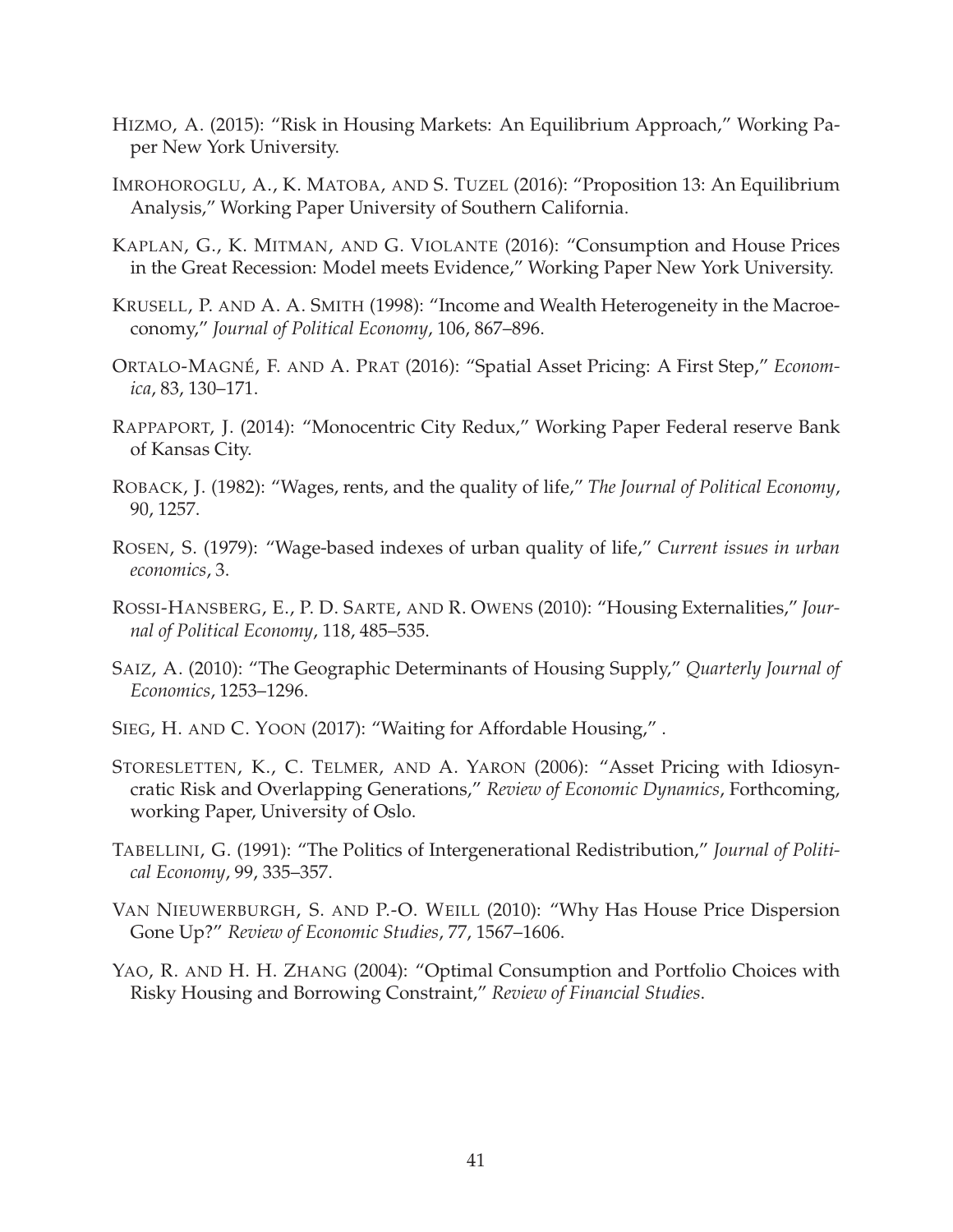- <span id="page-41-8"></span>HIZMO, A. (2015): "Risk in Housing Markets: An Equilibrium Approach," Working Paper New York University.
- <span id="page-41-2"></span>IMROHOROGLU, A., K. MATOBA, AND S. TUZEL (2016): "Proposition 13: An Equilibrium Analysis," Working Paper University of Southern California.
- <span id="page-41-1"></span>KAPLAN, G., K. MITMAN, AND G. VIOLANTE (2016): "Consumption and House Prices in the Great Recession: Model meets Evidence," Working Paper New York University.
- KRUSELL, P. AND A. A. SMITH (1998): "Income and Wealth Heterogeneity in the Macroeconomy," *Journal of Political Economy*, 106, 867–896.
- <span id="page-41-9"></span>ORTALO-MAGNE´, F. AND A. PRAT (2016): "Spatial Asset Pricing: A First Step," *Economica*, 83, 130–171.
- <span id="page-41-3"></span>RAPPAPORT, J. (2014): "Monocentric City Redux," Working Paper Federal reserve Bank of Kansas City.
- <span id="page-41-5"></span>ROBACK, J. (1982): "Wages, rents, and the quality of life," *The Journal of Political Economy*, 90, 1257.
- <span id="page-41-4"></span>ROSEN, S. (1979): "Wage-based indexes of urban quality of life," *Current issues in urban economics*, 3.
- <span id="page-41-7"></span>ROSSI-HANSBERG, E., P. D. SARTE, AND R. OWENS (2010): "Housing Externalities," *Journal of Political Economy*, 118, 485–535.
- <span id="page-41-12"></span>SAIZ, A. (2010): "The Geographic Determinants of Housing Supply," *Quarterly Journal of Economics*, 1253–1296.
- <span id="page-41-10"></span>SIEG, H. AND C. YOON (2017): "Waiting for Affordable Housing," .
- <span id="page-41-13"></span>STORESLETTEN, K., C. TELMER, AND A. YARON (2006): "Asset Pricing with Idiosyncratic Risk and Overlapping Generations," *Review of Economic Dynamics*, Forthcoming, working Paper, University of Oslo.
- <span id="page-41-11"></span>TABELLINI, G. (1991): "The Politics of Intergenerational Redistribution," *Journal of Political Economy*, 99, 335–357.
- <span id="page-41-6"></span>VAN NIEUWERBURGH, S. AND P.-O. WEILL (2010): "Why Has House Price Dispersion Gone Up?" *Review of Economic Studies*, 77, 1567–1606.
- <span id="page-41-0"></span>YAO, R. AND H. H. ZHANG (2004): "Optimal Consumption and Portfolio Choices with Risky Housing and Borrowing Constraint," *Review of Financial Studies*.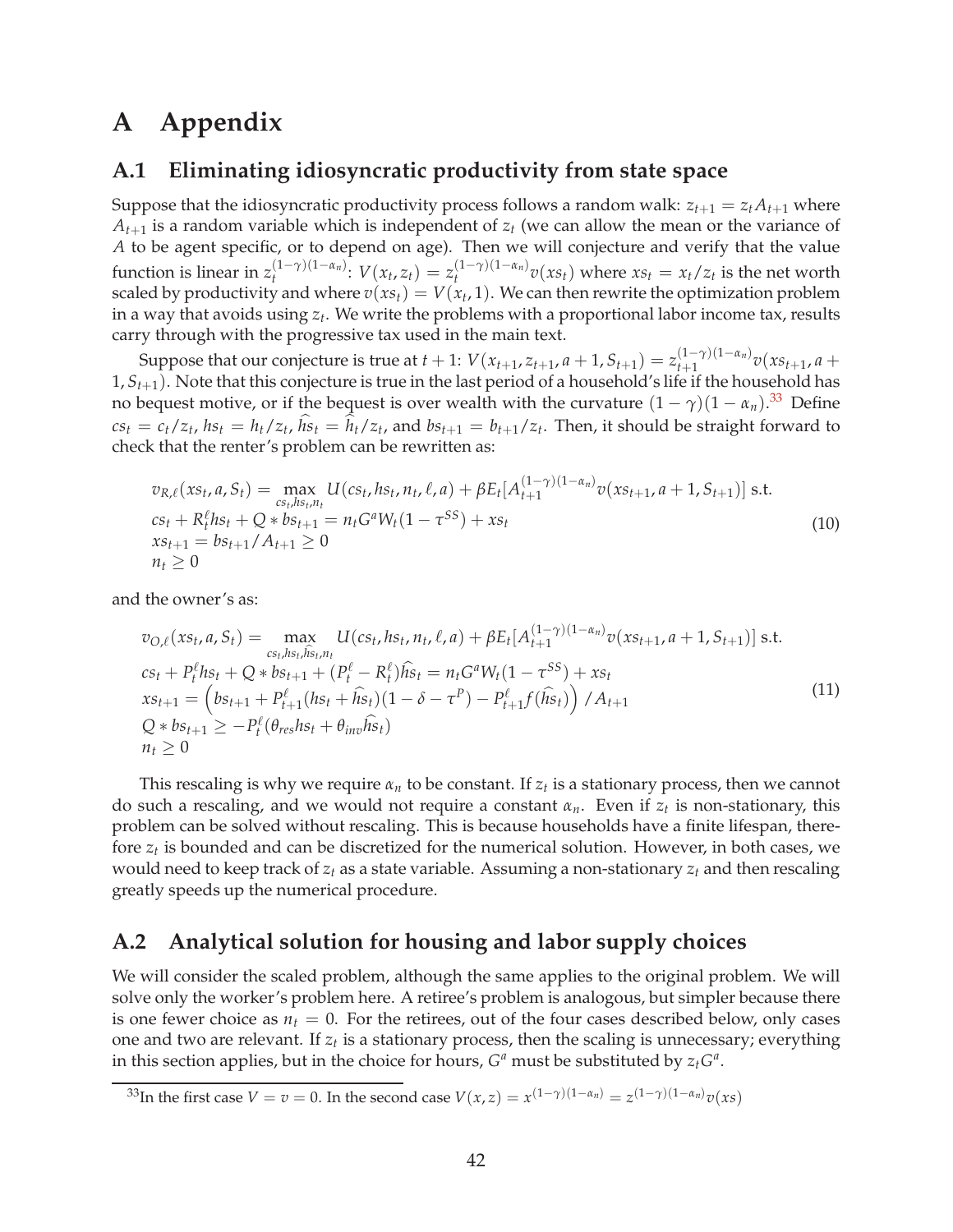## **A Appendix**

#### **A.1 Eliminating idiosyncratic productivity from state space**

Suppose that the idiosyncratic productivity process follows a random walk:  $z_{t+1} = z_t A_{t+1}$  where  $A_{t+1}$  is a random variable which is independent of  $z_t$  (we can allow the mean or the variance of *A* to be agent specific, or to depend on age). Then we will conjecture and verify that the value function is linear in  $z_t^{(1-\gamma)(1-\alpha_n)}$  $V(t^{(1-\gamma)(1-\alpha_n)}: V(x_t, z_t) = z_t^{(1-\gamma)(1-\alpha_n)}$  $\int_t^{(1-\gamma)(1-\alpha_n)} v(xs_t)$  where  $xs_t = x_t/z_t$  is the net worth scaled by productivity and where  $v(xs_t) = V(x_t, 1)$ . We can then rewrite the optimization problem in a way that avoids using *z<sup>t</sup>* . We write the problems with a proportional labor income tax, results carry through with the progressive tax used in the main text.

Suppose that our conjecture is true at  $t + 1$ :  $V(x_{t+1}, z_{t+1}, a+1, S_{t+1}) = z_{t+1}^{(1-\gamma)(1-\alpha_n)}$  $\int_{t+1}^{(1-\gamma)(1-\alpha_n)} v(xs_{t+1}, a +$ 1, *St*+1). Note that this conjecture is true in the last period of a household's life if the household has no bequest motive, or if the bequest is over wealth with the curvature  $(1 - \gamma)(1 - \alpha_n).^{33}$  $(1 - \gamma)(1 - \alpha_n).^{33}$  $(1 - \gamma)(1 - \alpha_n).^{33}$  Define  $cs_t = c_t/z_t$ ,  $hs_t = h_t/z_t$ ,  $hs_t = h_t/z_t$ , and  $bs_{t+1} = b_{t+1}/z_t$ . Then, it should be straight forward to check that the renter's problem can be rewritten as:

$$
v_{R,\ell}(xs_t, a, S_t) = \max_{\substack{cs_t, hs_t, n_t \\ cs_t + R_t^\ell hs_t + Q \ast bs_{t+1} = n_t G^a W_t (1 - \tau^{SS}) + xs_t}} U(cs_t, hs_t, n_t, \ell, a) + \beta E_t [A_{t+1}^{(1-\gamma)(1-\alpha_n)} v(xs_{t+1}, a+1, S_{t+1})] \text{ s.t. }
$$
  
\n
$$
cs_t + R_t^\ell hs_t + Q \ast bs_{t+1} = n_t G^a W_t (1 - \tau^{SS}) + xs_t
$$
  
\n
$$
xs_{t+1} = bs_{t+1} / A_{t+1} \ge 0
$$
\n(10)

and the owner's as:

$$
v_{O,\ell}(xs_t, a, S_t) = \max_{cs_t, hs_t, \hat{u}_{st, n_t}} U(cs_t, hs_t, n_t, \ell, a) + \beta E_t[A_{t+1}^{(1-\gamma)(1-\alpha_n)} v(xs_{t+1}, a+1, S_{t+1})] \text{ s.t.}
$$
  
\n
$$
cs_t + P_t^{\ell}hs_t + Q * bs_{t+1} + (P_t^{\ell} - R_t^{\ell})\hat{h}_{st} = n_t G^a W_t (1 - \tau^{SS}) + xs_t
$$
  
\n
$$
xs_{t+1} = (bs_{t+1} + P_{t+1}^{\ell}(hs_t + \hat{h}_{st})(1 - \delta - \tau^P) - P_{t+1}^{\ell} f(\hat{h}_{st})) / A_{t+1}
$$
  
\n
$$
Q * bs_{t+1} \ge -P_t^{\ell}(\theta_{res}hs_t + \theta_{inv}\hat{h}_{st})
$$
  
\n
$$
n_t \ge 0
$$
\n(11)

This rescaling is why we require *α<sup>n</sup>* to be constant. If *z<sup>t</sup>* is a stationary process, then we cannot do such a rescaling, and we would not require a constant *αn*. Even if *z<sup>t</sup>* is non-stationary, this problem can be solved without rescaling. This is because households have a finite lifespan, therefore *z<sup>t</sup>* is bounded and can be discretized for the numerical solution. However, in both cases, we would need to keep track of *z<sup>t</sup>* as a state variable. Assuming a non-stationary *z<sup>t</sup>* and then rescaling greatly speeds up the numerical procedure.

### **A.2 Analytical solution for housing and labor supply choices**

We will consider the scaled problem, although the same applies to the original problem. We will solve only the worker's problem here. A retiree's problem is analogous, but simpler because there is one fewer choice as  $n_t = 0$ . For the retirees, out of the four cases described below, only cases one and two are relevant. If *z<sup>t</sup>* is a stationary process, then the scaling is unnecessary; everything in this section applies, but in the choice for hours,  $G^a$  must be substituted by  $z_t G^a$ .

<span id="page-42-0"></span> $^{33}$ In the first case  $V=v=0.$  In the second case  $V(x,z)=x^{(1-\gamma)(1-\alpha_n)}=z^{(1-\gamma)(1-\alpha_n)}v(xs)$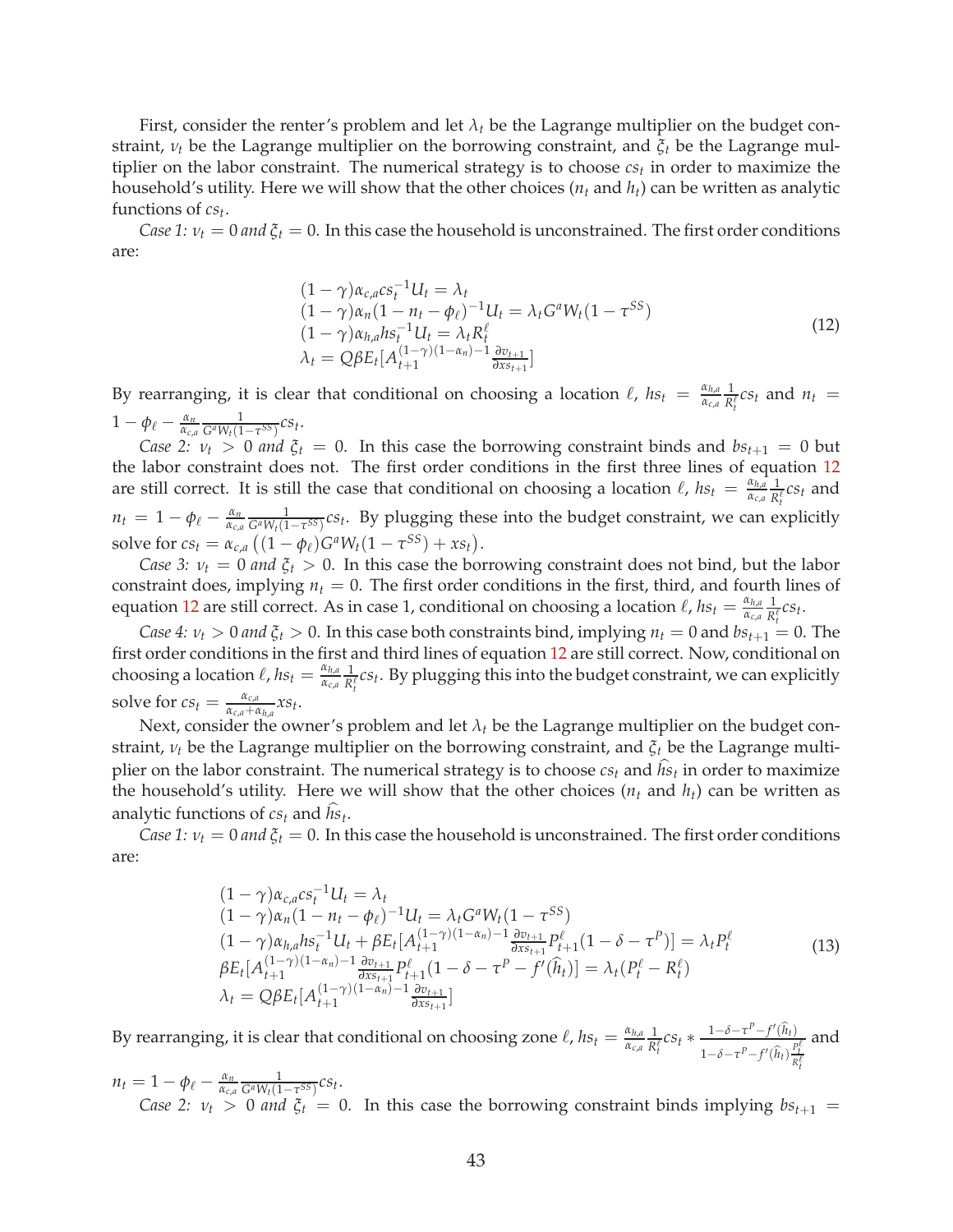First, consider the renter's problem and let  $\lambda_t$  be the Lagrange multiplier on the budget constraint, *ν<sup>t</sup>* be the Lagrange multiplier on the borrowing constraint, and *ξ<sup>t</sup>* be the Lagrange multiplier on the labor constraint. The numerical strategy is to choose *cs<sup>t</sup>* in order to maximize the household's utility. Here we will show that the other choices (*n<sup>t</sup>* and *ht*) can be written as analytic functions of *cs<sup>t</sup>* .

*Case 1:*  $v_t = 0$  *and*  $\xi_t = 0$ . In this case the household is unconstrained. The first order conditions are:

<span id="page-43-0"></span>
$$
(1 - \gamma)\alpha_{c,a}cs_t^{-1}U_t = \lambda_t (1 - \gamma)\alpha_n(1 - n_t - \phi_\ell)^{-1}U_t = \lambda_t G^a W_t (1 - \tau^{SS}) (1 - \gamma)\alpha_{h,a}hs_t^{-1}U_t = \lambda_t R_t^{\ell} \lambda_t = Q\beta E_t[A_{t+1}^{(1-\gamma)(1-\alpha_n)-1}\frac{\partial v_{t+1}}{\partial x_{s+1}}]
$$
\n(12)

By rearranging, it is clear that conditional on choosing a location  $\ell$ ,  $hs_t = \frac{\alpha_{h,a}}{\alpha_{h,a}}$ *αc*,*<sup>a</sup>* 1  $\frac{1}{R_t^{\ell}} c s_t$  and  $n_t =$  $1 - \phi_\ell - \frac{\alpha_n}{\alpha_{\ell,n}} \frac{1}{C^a W_\ell (1 - \tau^{SS})} \mathcal{C} s_t.$  $\frac{\alpha_n}{\alpha_{c,a}} \frac{1}{G^a W_t (1 - \tau^{SS})} C S_t$ .

*Case 2:*  $v_t > 0$  *and*  $\xi_t = 0$ . In this case the borrowing constraint binds and  $bs_{t+1} = 0$  but the labor constraint does not. The first order conditions in the first three lines of equation [12](#page-43-0) are still correct. It is still the case that conditional on choosing a location  $\ell$ ,  $h s_t = \frac{\alpha_{h,d}}{\alpha_{c,d}}$ *αc*,*<sup>a</sup>* 1  $\frac{1}{R_t^\ell} c s_t$  and  $n_t = 1 - \phi_\ell - \frac{\alpha_n}{\alpha_{c\alpha}} \frac{1}{G^a W_i (1 - \tau^{SS})} c s_t$ . By plugging these into the budget constraint, we can expansion  $\frac{\alpha_n}{\alpha_{c,a}} \frac{1}{G^a W_t (1-\tau^{SS})} c s_t$ . By plugging these into the budget constraint, we can explicitly solve for  $cs_t = \alpha_{c,a} ((1 - \phi_\ell)G^a W_t (1 - \tau^{SS}) + xs_t).$ 

*Case 3:*  $v_t = 0$  *and*  $\xi_t > 0$ . In this case the borrowing constraint does not bind, but the labor constraint does, implying  $n_t = 0$ . The first order conditions in the first, third, and fourth lines of equation [12](#page-43-0) are still correct. As in case 1, conditional on choosing a location  $\ell$ ,  $hs_t = \frac{\alpha_{h,a}}{\alpha_{ca}}$ *αc*,*<sup>a</sup>* 1  $\frac{1}{R_t^{\ell}} C S_t$ .

*Case 4:*  $v_t > 0$  *and*  $\zeta_t > 0$ . In this case both constraints bind, implying  $n_t = 0$  and  $bs_{t+1} = 0$ . The first order conditions in the first and third lines of equation [12](#page-43-0) are still correct. Now, conditional on choosing a location  $\ell$ ,  $h s_t = \frac{\alpha_{h,a}}{\alpha_{c,a}}$ *αc*,*<sup>a</sup>* 1  $\frac{1}{R_t^{\ell}} c s_t$ . By plugging this into the budget constraint, we can explicitly solve for  $cs_t = \frac{\alpha_{c,a}}{\alpha_{c,a} + \beta_{c,a}}$  $\frac{\alpha_{c,a}}{\alpha_{c,a}+\alpha_{h,a}}xs_t$ .

Next, consider the owner's problem and let  $\lambda_t$  be the Lagrange multiplier on the budget constraint, *ν<sup>t</sup>* be the Lagrange multiplier on the borrowing constraint, and *ξ<sup>t</sup>* be the Lagrange multiplier on the labor constraint. The numerical strategy is to choose  $c s_t$  and  $\mathit{hs}_t$  in order to maximize the household's utility. Here we will show that the other choices  $(n_t$  and  $h_t$ ) can be written as analytic functions of  $cs_t$  and  $hs_t$ .

*Case 1:*  $v_t = 0$  *and*  $\zeta_t = 0$ . In this case the household is unconstrained. The first order conditions are:

<span id="page-43-1"></span>
$$
(1 - \gamma)\alpha_{c,a}cs_t^{-1}U_t = \lambda_t
$$
  
\n
$$
(1 - \gamma)\alpha_n(1 - n_t - \phi_\ell)^{-1}U_t = \lambda_t G^a W_t (1 - \tau^{SS})
$$
  
\n
$$
(1 - \gamma)\alpha_{h,a}hs_t^{-1}U_t + \beta E_t[A_{t+1}^{(1-\gamma)(1-\alpha_n)-1}\frac{\partial v_{t+1}}{\partial x_{t+1}}P_{t+1}^\ell (1 - \delta - \tau^P)] = \lambda_t P_t^\ell
$$
  
\n
$$
\beta E_t[A_{t+1}^{(1-\gamma)(1-\alpha_n)-1}\frac{\partial v_{t+1}}{\partial x_{t+1}}P_{t+1}^\ell (1 - \delta - \tau^P - f'(\hat{h}_t))] = \lambda_t (P_t^\ell - R_t^\ell)
$$
  
\n
$$
\lambda_t = Q\beta E_t[A_{t+1}^{(1-\gamma)(1-\alpha_n)-1}\frac{\partial v_{t+1}}{\partial x_{t+1}}]
$$
\n(13)

By rearranging, it is clear that conditional on choosing zone  $\ell$ ,  $hs_t = \frac{\alpha_{h,a}}{\alpha_{h,a}}$  $\frac{\alpha_{h,a}}{\alpha_{c,a}} \frac{1}{R_t^{\ell}} C S_t \times \frac{1-\delta-\tau^P-f'(\widehat{h}_t)}{1-\delta-\tau^P-f'(\widehat{h}_t)}$  $1-\delta-\tau^P-f'(\widehat{h}_t)\frac{P_t^{\ell}}{R_t^{\ell}}$ and

 $n_t = 1 - \phi_\ell - \frac{\alpha_n}{\alpha_{c,a}} \frac{1}{G^a W_t (1 - \tau^{SS})} c s_t.$  $\frac{\alpha_n}{\alpha_{c,a}} \frac{1}{G^a W_t (1 - \tau^{SS})} C S_t$ . *Case 2:*  $v_t > 0$  *and*  $\xi_t = 0$ . In this case the borrowing constraint binds implying  $bs_{t+1} =$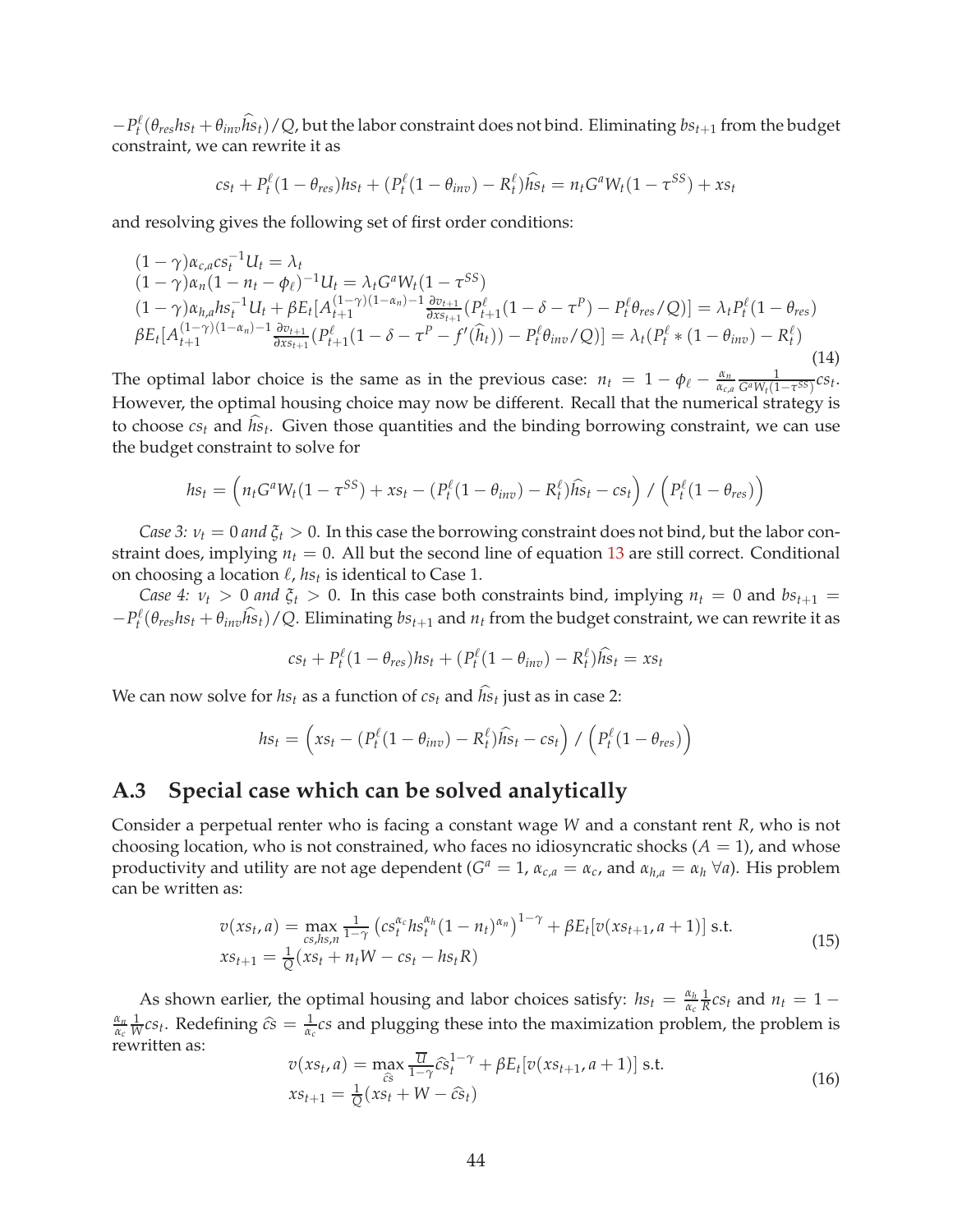$-P_t^{\ell}$  $a_t^{\ell}(\theta_{res}hs_t + \theta_{inv}hs_t)/Q$ , but the labor constraint does not bind. Eliminating  $bs_{t+1}$  from the budget constraint, we can rewrite it as

$$
cs_t + P_t^{\ell} (1 - \theta_{res}) h s_t + (P_t^{\ell} (1 - \theta_{inv}) - R_t^{\ell}) h s_t = n_t G^a W_t (1 - \tau^{SS}) + xs_t
$$

and resolving gives the following set of first order conditions:

$$
(1 - \gamma)\alpha_{c,a}cs_t^{-1}U_t = \lambda_t
$$
  
\n
$$
(1 - \gamma)\alpha_n(1 - n_t - \phi_\ell)^{-1}U_t = \lambda_t G^a W_t (1 - \tau^{SS})
$$
  
\n
$$
(1 - \gamma)\alpha_{h,a}hs_t^{-1}U_t + \beta E_t[A_{t+1}^{(1-\gamma)(1-\alpha_n)-1}\frac{\partial v_{t+1}}{\partial x_{s+1}}(P_{t+1}^\ell(1-\delta-\tau^P) - P_t^\ell\theta_{res}/Q)] = \lambda_t P_t^\ell (1 - \theta_{res})
$$
  
\n
$$
\beta E_t[A_{t+1}^{(1-\gamma)(1-\alpha_n)-1}\frac{\partial v_{t+1}}{\partial x_{s+1}}(P_{t+1}^\ell(1-\delta-\tau^P - f'(\hat{h}_t)) - P_t^\ell\theta_{inv}/Q)] = \lambda_t (P_t^\ell * (1 - \theta_{inv}) - R_t^\ell)
$$
  
\n(14)

The optimal labor choice is the same as in the previous case:  $n_t = 1 - \phi_\ell - \frac{\alpha_n}{\alpha_{\ell}}$  $\frac{\alpha_n}{\alpha_{c,a}} \frac{1}{G^a W_t (1 - \tau^{SS})} C S_t$ . However, the optimal housing choice may now be different. Recall that the numerical strategy is to choose  $cs_t$  and  $hs_t$ . Given those quantities and the binding borrowing constraint, we can use the budget constraint to solve for

$$
hs_t = \left(n_t G^a W_t (1 - \tau^{SS}) + x s_t - (P_t^{\ell} (1 - \theta_{inv}) - R_t^{\ell}) \widehat{hs}_t - cs_t\right) / \left(P_t^{\ell} (1 - \theta_{res})\right)
$$

*Case 3:*  $v_t = 0$  *and*  $\zeta_t > 0$ . In this case the borrowing constraint does not bind, but the labor constraint does, implying  $n_t = 0$ . All but the second line of equation [13](#page-43-1) are still correct. Conditional on choosing a location  $\ell$ ,  $hs_t$  is identical to Case 1.

*Case 4:*  $\nu_t > 0$  *and*  $\xi_t > 0$ . In this case both constraints bind, implying  $n_t = 0$  and  $bs_{t+1} =$  $-P_t^{\ell}$  $b_t^{\ell}(\theta_{res}hs_t + \theta_{inv}hs_t)/Q$ . Eliminating  $bs_{t+1}$  and  $n_t$  from the budget constraint, we can rewrite it as

$$
cs_t + P_t^{\ell} (1 - \theta_{res}) h s_t + (P_t^{\ell} (1 - \theta_{inv}) - R_t^{\ell}) h s_t = xs_t
$$

We can now solve for  $hs_t$  as a function of  $cs_t$  and  $hs_t$  just as in case 2:

$$
hs_t = \left(xs_t - (P_t^{\ell}(1 - \theta_{inv}) - R_t^{\ell})\widehat{hs}_t - cs_t\right) / \left(P_t^{\ell}(1 - \theta_{res})\right)
$$

### **A.3 Special case which can be solved analytically**

Consider a perpetual renter who is facing a constant wage *W* and a constant rent *R*, who is not choosing location, who is not constrained, who faces no idiosyncratic shocks  $(A = 1)$ , and whose productivity and utility are not age dependent ( $G^a = 1$ ,  $\alpha_{c,a} = \alpha_c$ , and  $\alpha_{h,a} = \alpha_h \,\forall a$ ). His problem can be written as:

$$
v(xs_t, a) = \max_{cs, hs, n} \frac{1}{1 - \gamma} \left( cs_t^{\alpha_c} h s_t^{\alpha_h} (1 - n_t)^{\alpha_n} \right)^{1 - \gamma} + \beta E_t[v(xs_{t+1}, a+1)] \text{ s.t.}
$$
  
\n
$$
xs_{t+1} = \frac{1}{Q}(xs_t + n_t W - cs_t - h s_t R)
$$
\n(15)

As shown earlier, the optimal housing and labor choices satisfy:  $hs_t = \frac{\alpha_h}{\alpha_h}$  $\frac{\alpha_h}{\alpha_c} \frac{1}{R} c s_t$  and  $n_t = 1$ *αn*  $\frac{\alpha_n}{\alpha_c} \frac{1}{W} c s_t$ . Redefining  $\hat{c} \hat{s} = \frac{1}{\alpha_c} c s$  and plugging these into the maximization problem, the problem is rewritten as:

$$
v(xs_t, a) = \max_{\widehat{cs}} \frac{\overline{u}}{1 - \gamma} \widehat{cs}_t^{1 - \gamma} + \beta E_t[v(xs_{t+1}, a+1)] \text{ s.t.}
$$
  

$$
xs_{t+1} = \frac{1}{Q}(xs_t + W - \widehat{cs}_t)
$$
 (16)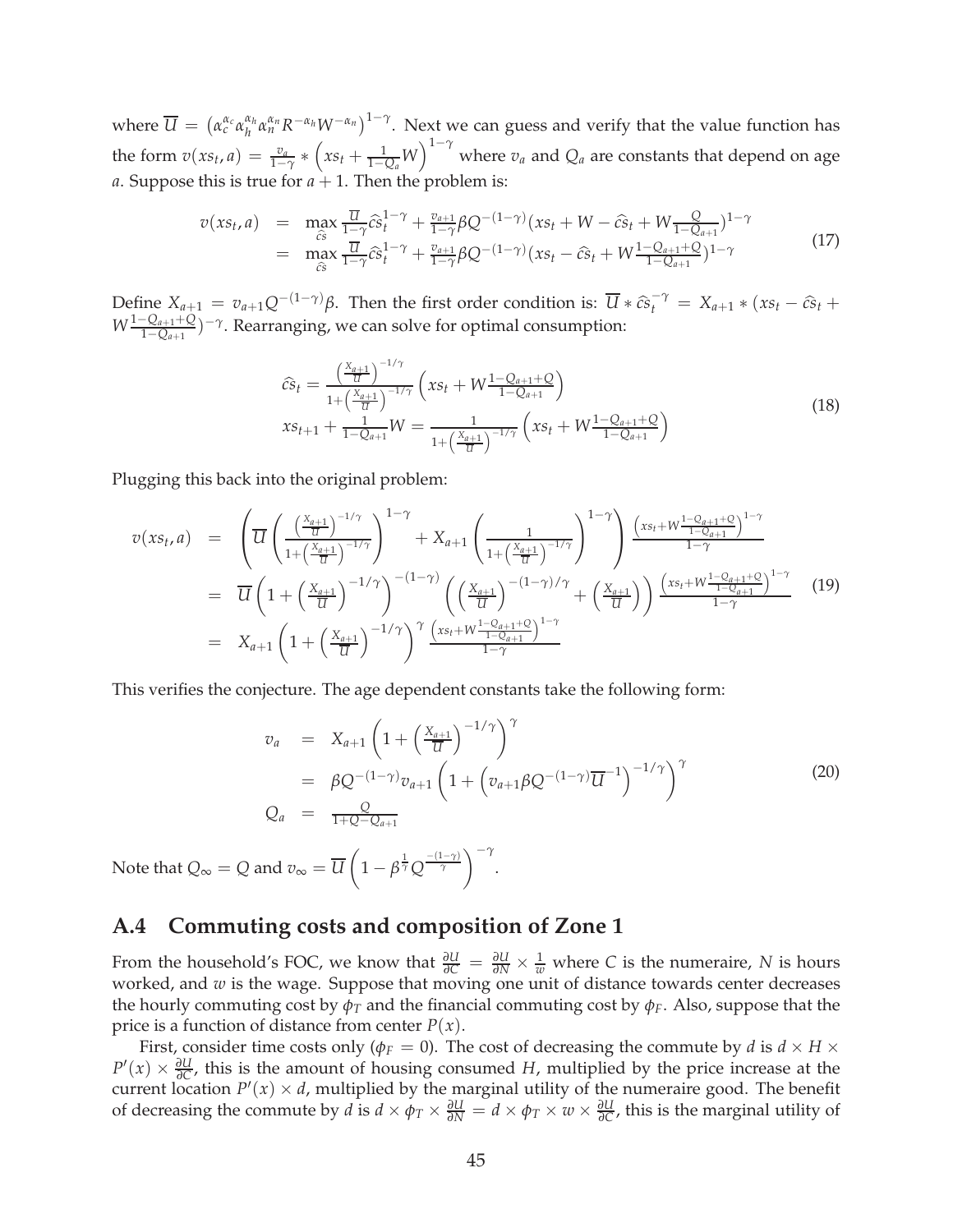where  $\overline{U} = (\alpha_c^{\alpha_c} \alpha_h^{\alpha_h})$  $a_h^{\alpha_h}$ α $a_n^{\alpha_n}$ R<sup>-α</sup>*h*W<sup>-α<sub>*n*</sub></sub>)<sup>1-γ</sup>. Next we can guess and verify that the value function has</sup> the form  $v(xs_t, a) = \frac{v_a}{1-\gamma} * (xs_t + \frac{1}{1-Q_a}W)^{1-\gamma}$  where  $v_a$  and  $Q_a$  are constants that depend on age *a*. Suppose this is true for  $a + 1$ . Then the problem is:

$$
v(xs_t, a) = \max_{\hat{c}s} \frac{\overline{u}}{1 - \gamma} \hat{c} s_t^{1 - \gamma} + \frac{v_{a+1}}{1 - \gamma} \beta Q^{-(1 - \gamma)} (xs_t + W - \hat{c} s_t + W \frac{Q}{1 - Q_{a+1}})^{1 - \gamma}
$$
  
= 
$$
\max_{\hat{c}s} \frac{\overline{u}}{1 - \gamma} \hat{c} s_t^{1 - \gamma} + \frac{v_{a+1}}{1 - \gamma} \beta Q^{-(1 - \gamma)} (xs_t - \hat{c} s_t + W \frac{1 - Q_{a+1} + Q}{1 - Q_{a+1}})^{1 - \gamma}
$$
(17)

Define  $X_{a+1} = v_{a+1}Q^{-(1-\gamma)}\beta$ . Then the first order condition is:  $\overline{U} * \widehat{cs}_t^{-\gamma} = X_{a+1} * (xs_t - \widehat{cs}_t + \frac{1}{2}S_t - \widehat{cs}_t)$  $W$ <sup>1−*Q*<sub>*a*+1</sub>+*Q*</sup> 1−*Qa*+<sup>1</sup> ) −*γ* . Rearranging, we can solve for optimal consumption:

$$
\widehat{cs}_t = \frac{\left(\frac{X_{a+1}}{U}\right)^{-1/\gamma}}{1 + \left(\frac{X_{a+1}}{U}\right)^{-1/\gamma}} \left(xs_t + W \frac{1 - Q_{a+1} + Q}{1 - Q_{a+1}}\right)
$$
\n
$$
xs_{t+1} + \frac{1}{1 - Q_{a+1}} W = \frac{1}{1 + \left(\frac{X_{a+1}}{U}\right)^{-1/\gamma}} \left(xs_t + W \frac{1 - Q_{a+1} + Q}{1 - Q_{a+1}}\right)
$$
\n(18)

Plugging this back into the original problem:

$$
v(xs_t, a) = \left(\overline{U} \left(\frac{\left(\frac{X_{a+1}}{U}\right)^{-1/\gamma}}{1 + \left(\frac{X_{a+1}}{U}\right)^{-1/\gamma}}\right)^{1 - \gamma} + X_{a+1} \left(\frac{1}{1 + \left(\frac{X_{a+1}}{U}\right)^{-1/\gamma}}\right)^{1 - \gamma}\right) \frac{\left(xs_t + W \frac{1 - Q_{a+1} + Q}{1 - Q_{a+1}}\right)^{1 - \gamma}}{1 - \gamma}
$$
  
\n
$$
= \overline{U} \left(1 + \left(\frac{X_{a+1}}{U}\right)^{-1/\gamma}\right)^{-(1 - \gamma)} \left(\left(\frac{X_{a+1}}{U}\right)^{-(1 - \gamma)/\gamma} + \left(\frac{X_{a+1}}{U}\right)\right) \frac{\left(xs_t + W \frac{1 - Q_{a+1} + Q}{1 - Q_{a+1}}\right)^{1 - \gamma}}{1 - \gamma} \right)
$$
(19)  
\n
$$
= X_{a+1} \left(1 + \left(\frac{X_{a+1}}{U}\right)^{-1/\gamma}\right)^{\gamma} \frac{\left(xs_t + W \frac{1 - Q_{a+1} + Q}{1 - Q_{a+1}}\right)^{1 - \gamma}}{1 - \gamma}
$$

This verifies the conjecture. The age dependent constants take the following form:

$$
v_a = X_{a+1} \left( 1 + \left( \frac{X_{a+1}}{\overline{u}} \right)^{-1/\gamma} \right)^{\gamma}
$$
  
=  $\beta Q^{-(1-\gamma)} v_{a+1} \left( 1 + \left( v_{a+1} \beta Q^{-(1-\gamma)} \overline{u}^{-1} \right)^{-1/\gamma} \right)^{\gamma}$   

$$
Q_a = \frac{Q}{1+Q - Q_{a+1}}
$$
 (20)

Note that  $Q_{\infty}=Q$  and  $v_{\infty}=U$  $\sqrt{ }$  $1 - \beta^{\frac{1}{\gamma}} Q^{\frac{-(1-\gamma)}{\gamma}}$ <sup>- $\gamma$ </sup>

### **A.4 Commuting costs and composition of Zone 1**

From the household's FOC, we know that  $\frac{\partial U}{\partial C} = \frac{\partial U}{\partial N} \times \frac{1}{w}$  where *C* is the numeraire, *N* is hours worked, and *w* is the wage. Suppose that moving one unit of distance towards center decreases the hourly commuting cost by  $\phi_T$  and the financial commuting cost by  $\phi_F$ . Also, suppose that the price is a function of distance from center  $P(x)$ .

.

First, consider time costs only ( $\phi_F = 0$ ). The cost of decreasing the commute by *d* is  $d \times H \times$  $P'(x) \times \frac{\partial U}{\partial C}$ , this is the amount of housing consumed *H*, multiplied by the price increase at the current location  $P'(x) \times d$ , multiplied by the marginal utility of the numeraire good. The benefit of decreasing the commute by *d* is  $d \times \phi_T \times \frac{\partial U}{\partial N} = d \times \phi_T \times w \times \frac{\partial U}{\partial C}$ , this is the marginal utility of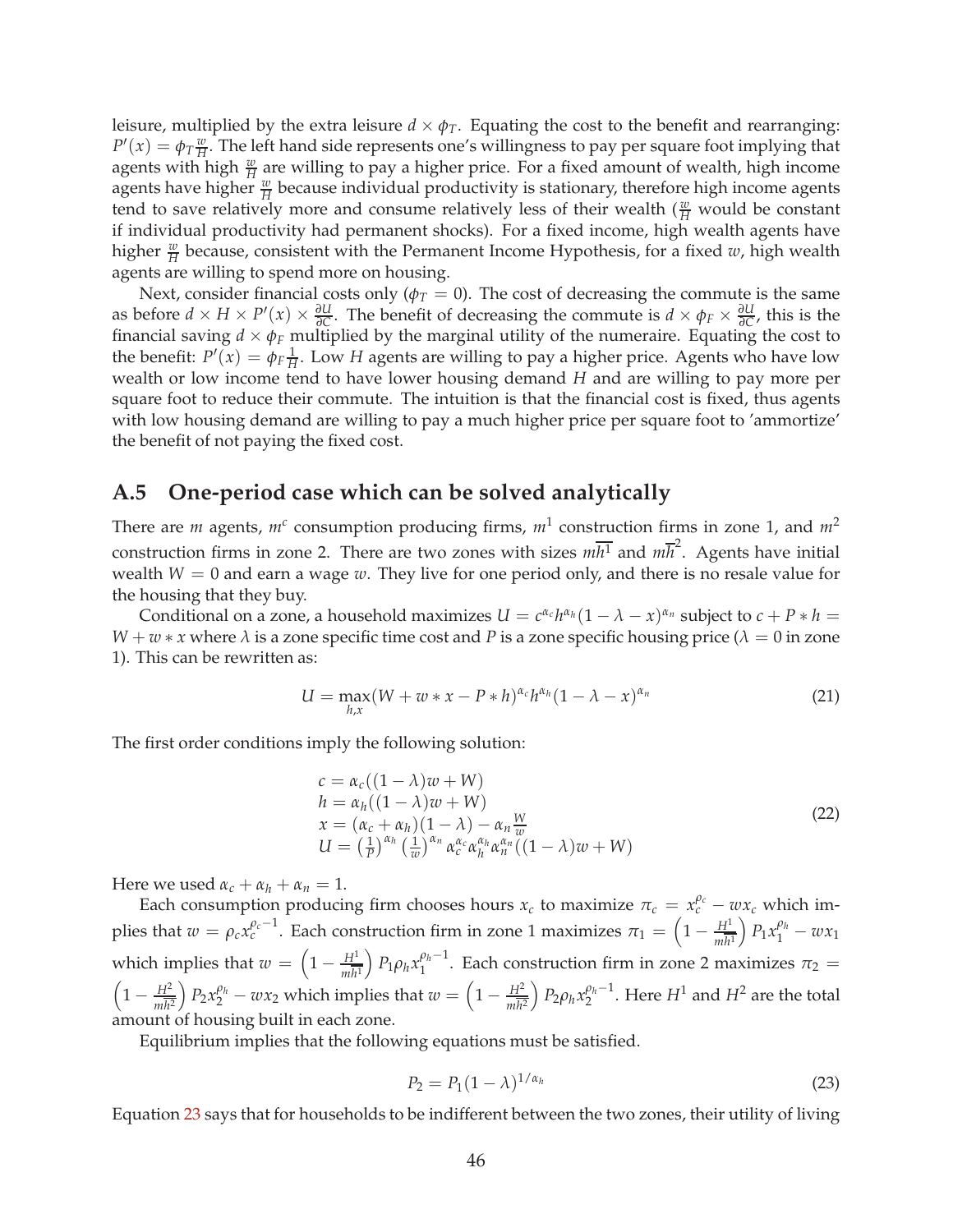leisure, multiplied by the extra leisure  $d \times \phi_T$ . Equating the cost to the benefit and rearranging:  $P'(x) = \phi_T \frac{w}{H}$  $\frac{w}{H}$ . The left hand side represents one's willingness to pay per square foot implying that agents with high  $\frac{w}{H}$  are willing to pay a higher price. For a fixed amount of wealth, high income agents have higher  $\frac{w}{H}$  because individual productivity is stationary, therefore high income agents tend to save relatively more and consume relatively less of their wealth  $(\frac{w}{H}$  would be constant if individual productivity had permanent shocks). For a fixed income, high wealth agents have higher  $\frac{w}{H}$  because, consistent with the Permanent Income Hypothesis, for a fixed *w*, high wealth agents are willing to spend more on housing.

Next, consider financial costs only ( $\phi_T = 0$ ). The cost of decreasing the commute is the same as before  $d \times H \times P'(x) \times \frac{\partial U}{\partial C}$ . The benefit of decreasing the commute is  $d \times \phi_F \times \frac{\partial U}{\partial C}$ , this is the financial saving  $d \times \phi_F$  multiplied by the marginal utility of the numeraire. Equating the cost to the benefit:  $P'(x) = \phi_F \frac{1}{H}$ . Low *H* agents are willing to pay a higher price. Agents who have low wealth or low income tend to have lower housing demand *H* and are willing to pay more per square foot to reduce their commute. The intuition is that the financial cost is fixed, thus agents with low housing demand are willing to pay a much higher price per square foot to 'ammortize' the benefit of not paying the fixed cost.

### **A.5 One-period case which can be solved analytically**

There are *m* agents,  $m^c$  consumption producing firms,  $m^1$  construction firms in zone 1, and  $m^2$ construction firms in zone 2. There are two zones with sizes  $m\overline{h^1}$  and  $m\overline{h}^2$ . Agents have initial wealth  $W = 0$  and earn a wage  $w$ . They live for one period only, and there is no resale value for the housing that they buy.

Conditional on a zone, a household maximizes  $U = c^{\alpha_c}h^{\alpha_h}(1 - \lambda - x)^{\alpha_n}$  subject to  $c + P * h =$  $W + w * x$  where  $\lambda$  is a zone specific time cost and *P* is a zone specific housing price ( $\lambda = 0$  in zone 1). This can be rewritten as:

$$
U = \max_{h,x} (W + w * x - P * h)^{\alpha_c} h^{\alpha_h} (1 - \lambda - x)^{\alpha_n}
$$
 (21)

The first order conditions imply the following solution:

$$
c = \alpha_c((1 - \lambda)w + W)
$$
  
\n
$$
h = \alpha_h((1 - \lambda)w + W)
$$
  
\n
$$
x = (\alpha_c + \alpha_h)(1 - \lambda) - \alpha_n \frac{w}{w}
$$
  
\n
$$
U = \left(\frac{1}{P}\right)^{\alpha_h} \left(\frac{1}{w}\right)^{\alpha_n} \alpha_c^{\alpha_c} \alpha_h^{\alpha_h} \alpha_n^{\alpha_n}((1 - \lambda)w + W)
$$
\n(22)

Here we used  $\alpha_c + \alpha_h + \alpha_n = 1$ .

Each consumption producing firm chooses hours  $x_c$  to maximize  $\pi_c = x_c^{\rho_c} - wx_c$  which implies that  $w = \rho_c x_c^{\rho_c - 1}$ . Each construction firm in zone 1 maximizes  $\pi_1 = \left(1 - \frac{H^1}{m\bar{h}^1}\right)$  $P_1 x_1^{\rho_h} - w x_1$ which implies that  $w = \left(1 - \frac{H^1}{m\overline{h}^1}\right)$  $\left( P_1 \rho_h x_1^{\rho_h-1} \right)$  $\frac{\rho_h-1}{1}$ . Each construction firm in zone 2 maximizes  $\pi_2 =$  $\left(1-\frac{H^2}{m\overline{h^2}}\right)$  $\int P_2 x_2^{\rho_h} - w x_2$  which implies that  $w = \left(1 - \frac{H^2}{m \bar{h}^2}\right)$  $\left( P_2 \rho_h x_2^{\rho_h - 1} \right)$  $\frac{\rho_h-1}{2}$ . Here  $H^1$  and  $H^2$  are the total amount of housing built in each zone.

Equilibrium implies that the following equations must be satisfied.

<span id="page-46-0"></span>
$$
P_2 = P_1 (1 - \lambda)^{1/\alpha_h} \tag{23}
$$

Equation [23](#page-46-0) says that for households to be indifferent between the two zones, their utility of living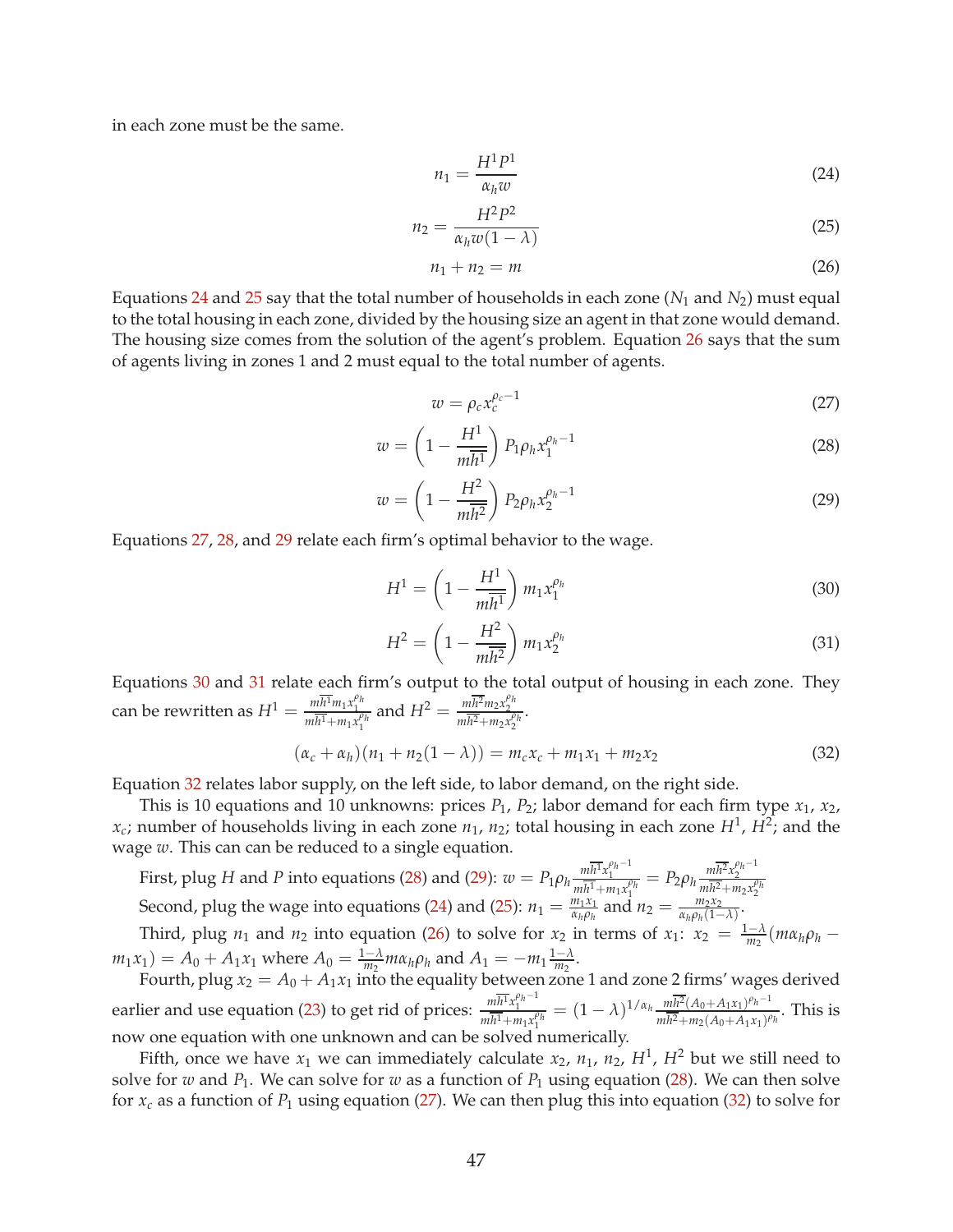in each zone must be the same.

<span id="page-47-0"></span>
$$
n_1 = \frac{H^1 P^1}{\alpha_h w} \tag{24}
$$

<span id="page-47-1"></span>
$$
n_2 = \frac{H^2 P^2}{\alpha_h w (1 - \lambda)}\tag{25}
$$

<span id="page-47-2"></span>
$$
n_1 + n_2 = m \tag{26}
$$

Equations [24](#page-47-0) and [25](#page-47-1) say that the total number of households in each zone  $(N_1$  and  $N_2)$  must equal to the total housing in each zone, divided by the housing size an agent in that zone would demand. The housing size comes from the solution of the agent's problem. Equation [26](#page-47-2) says that the sum of agents living in zones 1 and 2 must equal to the total number of agents.

<span id="page-47-3"></span>
$$
w = \rho_c x_c^{\rho_c - 1} \tag{27}
$$

<span id="page-47-4"></span>
$$
w = \left(1 - \frac{H^1}{m\overline{h^1}}\right) P_1 \rho_h x_1^{\rho_h - 1} \tag{28}
$$

<span id="page-47-5"></span>
$$
w = \left(1 - \frac{H^2}{m\overline{h^2}}\right) P_2 \rho_h x_2^{\rho_h - 1}
$$
 (29)

Equations [27,](#page-47-3) [28,](#page-47-4) and [29](#page-47-5) relate each firm's optimal behavior to the wage.

<span id="page-47-6"></span>
$$
H^{1} = \left(1 - \frac{H^{1}}{m\overline{h^{1}}}\right) m_{1} x_{1}^{\rho_{h}}
$$
\n(30)

<span id="page-47-7"></span>
$$
H^2 = \left(1 - \frac{H^2}{m\overline{h^2}}\right) m_1 x_2^{\rho_h} \tag{31}
$$

Equations [30](#page-47-6) and [31](#page-47-7) relate each firm's output to the total output of housing in each zone. They can be rewritten as  $H^1 = \frac{m\overline{h^1}m_1x_1^{\rho_h}}{m\overline{h^1}+m_1x_1^{\rho_h}}$  and  $H^2 = \frac{m\overline{h^2}m_2x_2^{\rho_h}}{m\overline{h^2}+m_2x_2^{\rho_h}}$ .

<span id="page-47-8"></span>
$$
(\alpha_c + \alpha_h)(n_1 + n_2(1 - \lambda)) = m_c x_c + m_1 x_1 + m_2 x_2
$$
\n(32)

Equation [32](#page-47-8) relates labor supply, on the left side, to labor demand, on the right side.

This is 10 equations and 10 unknowns: prices  $P_1$ ,  $P_2$ ; labor demand for each firm type  $x_1$ ,  $x_2$ ,  $x_c$ ; number of households living in each zone  $n_1$ ,  $n_2$ ; total housing in each zone  $H^1$ ,  $H^2$ ; and the wage *w*. This can can be reduced to a single equation.

First, plug H and P into equations [\(28\)](#page-47-4) and [\(29\)](#page-47-5):  $w = P_1 \rho_h \frac{m \overline{h^1} x_1^{\rho_h - 1}}{m \overline{h^1} + m_1 x_1^{\rho_h}} = P_2 \rho_h \frac{m \overline{h^2} x_2^{\rho_h - 1}}{m \overline{h^2} + m_2 x_2^{\rho_h}}$ Second, plug the wage into equations [\(24\)](#page-47-0) and [\(25\)](#page-47-1):  $n_1 = \frac{m_1 x_1}{\alpha_n \rho_h}$ *α<sub>h</sub>ρ<sub>h</sub>*</sub> and  $n_2 = \frac{m_2 x_2}{\alpha_h \rho_h (1 - 1)}$  $\frac{m_2x_2}{\alpha_h\rho_h(1-\lambda)}$ .

Third, plug *n*<sub>1</sub> and *n*<sub>2</sub> into equation [\(26\)](#page-47-2) to solve for *x*<sub>2</sub> in terms of *x*<sub>1</sub>: *x*<sub>2</sub> =  $\frac{1-\lambda}{m_2}(m\alpha_h\rho_h$  $m_1x_1$ ) =  $A_0 + A_1x_1$  where  $A_0 = \frac{1-\lambda}{m_2} m \alpha_h \rho_h$  and  $A_1 = -m_1 \frac{1-\lambda}{m_2}$  $\frac{-\Lambda}{m_2}$ .

Fourth, plug  $x_2 = A_0 + A_1x_1$  into the equality between zone 1 and zone 2 firms' wages derived earlier and use equation [\(23\)](#page-46-0) to get rid of prices:  $\frac{m\overline{h^1}x_1^{\rho_h-1}}{m\overline{h^1}+m_1x_1^{\rho_h}} = (1-\lambda)^{1/\alpha_h} \frac{m\overline{h^2}(A_0+A_1x_1)^{\rho_h-1}}{m\overline{h^2}+m_2(A_0+A_1x_1)^{\rho_h}}$  $\frac{mn-(A_0+A_1x_1)^n}{m\overline{h^2}+m_2(A_0+A_1x_1)^{p_h}}$ . This is now one equation with one unknown and can be solved numerically.

Fifth, once we have  $x_1$  we can immediately calculate  $x_2$ ,  $n_1$ ,  $n_2$ ,  $H^1$ ,  $H^2$  but we still need to solve for *w* and  $P_1$ . We can solve for *w* as a function of  $P_1$  using equation [\(28\)](#page-47-4). We can then solve for  $x_c$  as a function of  $P_1$  using equation [\(27\)](#page-47-3). We can then plug this into equation [\(32\)](#page-47-8) to solve for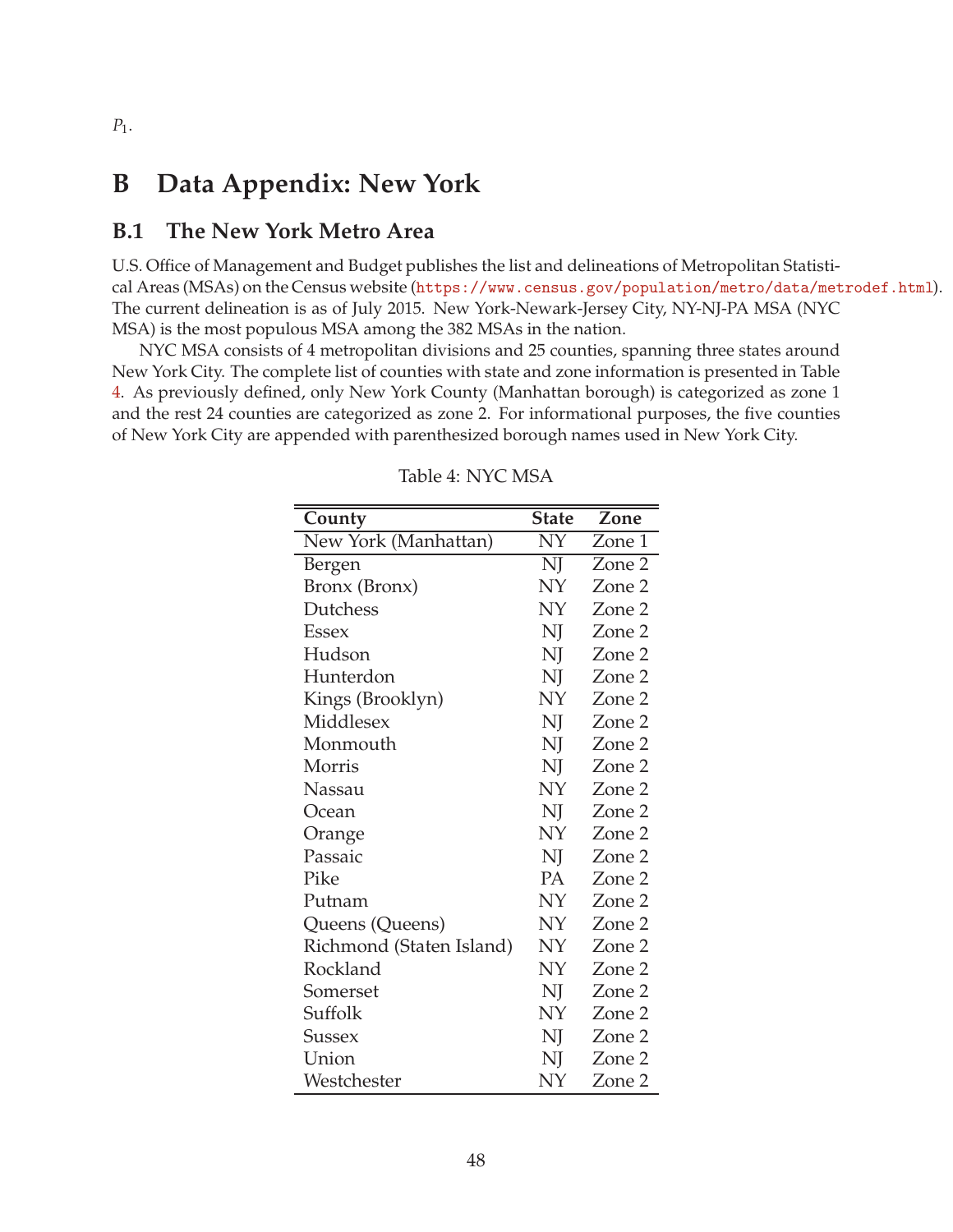## **B Data Appendix: New York**

### **B.1 The New York Metro Area**

U.S. Office of Management and Budget publishes the list and delineations of Metropolitan Statistical Areas (MSAs) on the Census website ([https://www.census.gov/population/metro/data/metrodef.html](https://www.census.gov/population/metro/data/ metrodef.html)). The current delineation is as of July 2015. New York-Newark-Jersey City, NY-NJ-PA MSA (NYC MSA) is the most populous MSA among the 382 MSAs in the nation.

<span id="page-48-0"></span>NYC MSA consists of 4 metropolitan divisions and 25 counties, spanning three states around New York City. The complete list of counties with state and zone information is presented in Table [4.](#page-48-0) As previously defined, only New York County (Manhattan borough) is categorized as zone 1 and the rest 24 counties are categorized as zone 2. For informational purposes, the five counties of New York City are appended with parenthesized borough names used in New York City.

| County                   | <b>State</b>    | Zone   |
|--------------------------|-----------------|--------|
| New York (Manhattan)     | $\overline{NY}$ | Zone 1 |
| Bergen                   | NJ              | Zone 2 |
| Bronx (Bronx)            | NY              | Zone 2 |
| Dutchess                 | NY              | Zone 2 |
| <b>Essex</b>             | NJ              | Zone 2 |
| Hudson                   | NJ              | Zone 2 |
| Hunterdon                | NJ              | Zone 2 |
| Kings (Brooklyn)         | NY              | Zone 2 |
| Middlesex                | NJ              | Zone 2 |
| Monmouth                 | NJ              | Zone 2 |
| Morris                   | NJ              | Zone 2 |
| Nassau                   | NY              | Zone 2 |
| Ocean                    | NJ              | Zone 2 |
| Orange                   | NY              | Zone 2 |
| Passaic                  | NJ              | Zone 2 |
| Pike                     | PA              | Zone 2 |
| Putnam                   | NY              | Zone 2 |
| Queens (Queens)          | NY              | Zone 2 |
| Richmond (Staten Island) | NY              | Zone 2 |
| Rockland                 | NY              | Zone 2 |
| Somerset                 | NJ              | Zone 2 |
| Suffolk                  | NY              | Zone 2 |
| Sussex                   | NJ              | Zone 2 |
| Union                    | NJ              | Zone 2 |
| Westchester              | NΥ              | Zone 2 |

Table 4: NYC MSA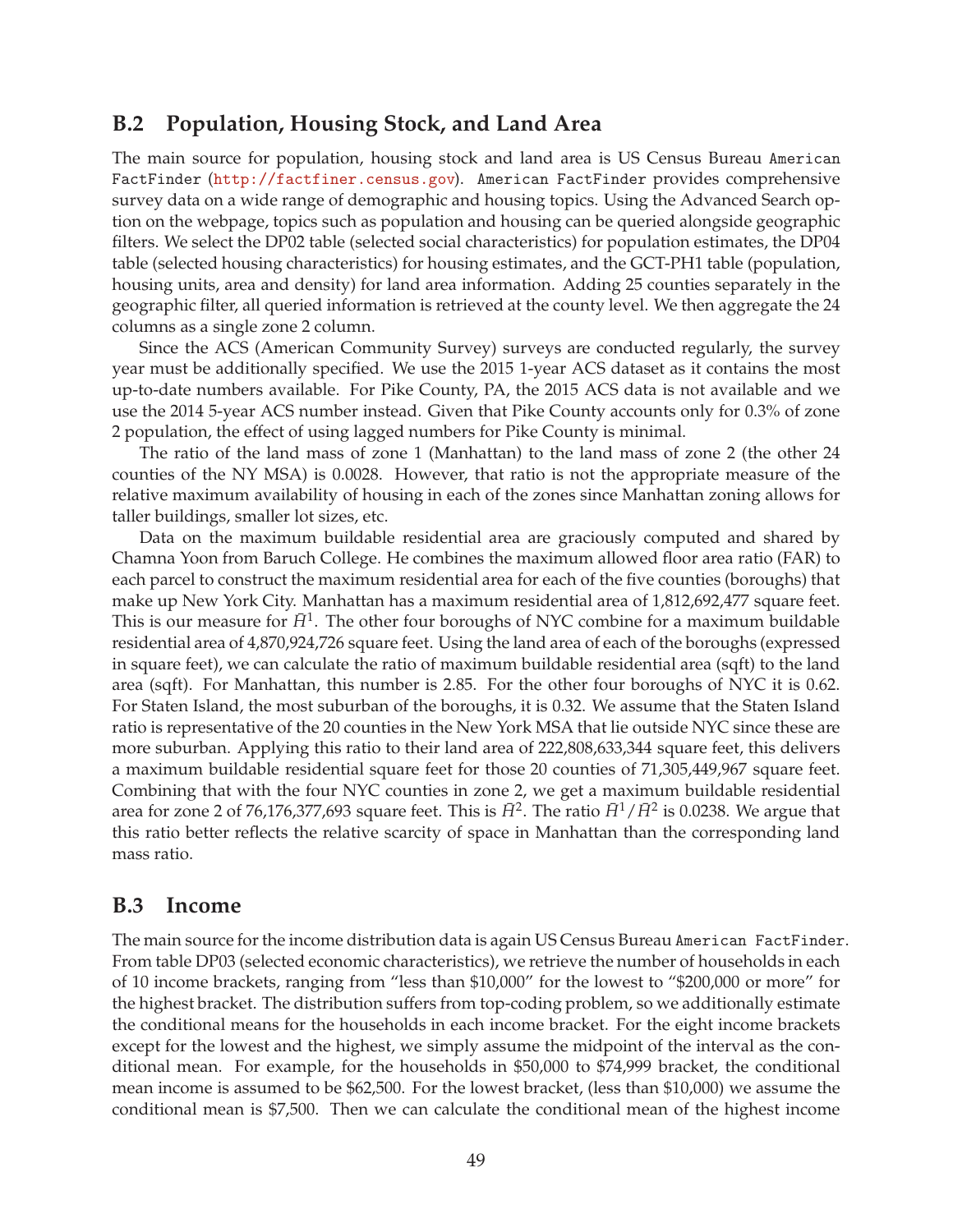### **B.2 Population, Housing Stock, and Land Area**

The main source for population, housing stock and land area is US Census Bureau American FactFinder (<http://factfiner.census.gov>). American FactFinder provides comprehensive survey data on a wide range of demographic and housing topics. Using the Advanced Search option on the webpage, topics such as population and housing can be queried alongside geographic filters. We select the DP02 table (selected social characteristics) for population estimates, the DP04 table (selected housing characteristics) for housing estimates, and the GCT-PH1 table (population, housing units, area and density) for land area information. Adding 25 counties separately in the geographic filter, all queried information is retrieved at the county level. We then aggregate the 24 columns as a single zone 2 column.

Since the ACS (American Community Survey) surveys are conducted regularly, the survey year must be additionally specified. We use the 2015 1-year ACS dataset as it contains the most up-to-date numbers available. For Pike County, PA, the 2015 ACS data is not available and we use the 2014 5-year ACS number instead. Given that Pike County accounts only for 0.3% of zone 2 population, the effect of using lagged numbers for Pike County is minimal.

The ratio of the land mass of zone 1 (Manhattan) to the land mass of zone 2 (the other 24 counties of the NY MSA) is 0.0028. However, that ratio is not the appropriate measure of the relative maximum availability of housing in each of the zones since Manhattan zoning allows for taller buildings, smaller lot sizes, etc.

Data on the maximum buildable residential area are graciously computed and shared by Chamna Yoon from Baruch College. He combines the maximum allowed floor area ratio (FAR) to each parcel to construct the maximum residential area for each of the five counties (boroughs) that make up New York City. Manhattan has a maximum residential area of 1,812,692,477 square feet. This is our measure for  $\bar{H}^1$ . The other four boroughs of NYC combine for a maximum buildable residential area of 4,870,924,726 square feet. Using the land area of each of the boroughs (expressed in square feet), we can calculate the ratio of maximum buildable residential area (sqft) to the land area (sqft). For Manhattan, this number is 2.85. For the other four boroughs of NYC it is 0.62. For Staten Island, the most suburban of the boroughs, it is 0.32. We assume that the Staten Island ratio is representative of the 20 counties in the New York MSA that lie outside NYC since these are more suburban. Applying this ratio to their land area of 222,808,633,344 square feet, this delivers a maximum buildable residential square feet for those 20 counties of 71,305,449,967 square feet. Combining that with the four NYC counties in zone 2, we get a maximum buildable residential area for zone 2 of 76,176,377,693 square feet. This is  $\bar{H}^2$ . The ratio  $\bar{H}^1/\bar{H}^2$  is 0.0238. We argue that this ratio better reflects the relative scarcity of space in Manhattan than the corresponding land mass ratio.

### **B.3 Income**

The main source for the income distribution data is again US Census Bureau American FactFinder. From table DP03 (selected economic characteristics), we retrieve the number of households in each of 10 income brackets, ranging from "less than \$10,000" for the lowest to "\$200,000 or more" for the highest bracket. The distribution suffers from top-coding problem, so we additionally estimate the conditional means for the households in each income bracket. For the eight income brackets except for the lowest and the highest, we simply assume the midpoint of the interval as the conditional mean. For example, for the households in \$50,000 to \$74,999 bracket, the conditional mean income is assumed to be \$62,500. For the lowest bracket, (less than \$10,000) we assume the conditional mean is \$7,500. Then we can calculate the conditional mean of the highest income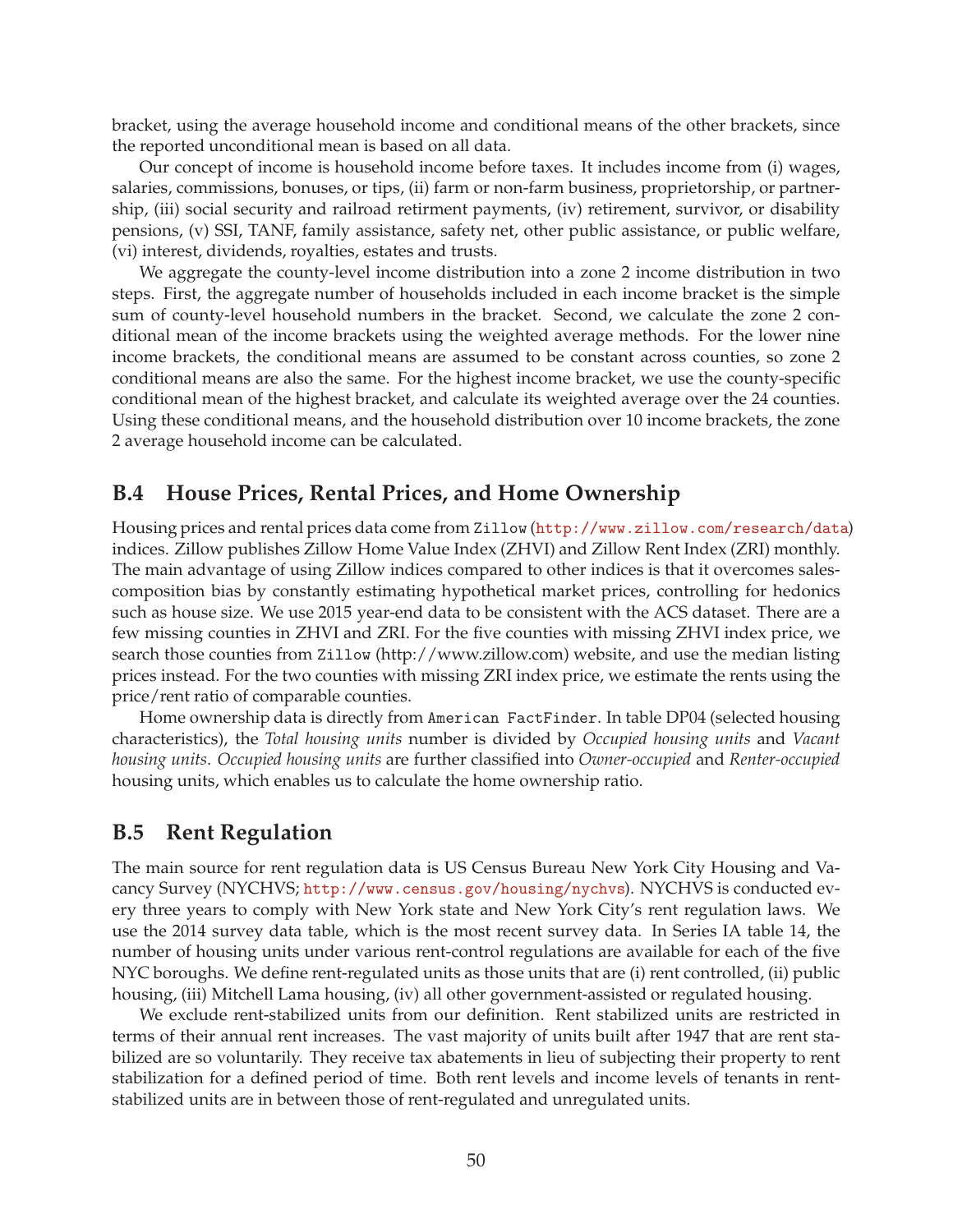bracket, using the average household income and conditional means of the other brackets, since the reported unconditional mean is based on all data.

Our concept of income is household income before taxes. It includes income from (i) wages, salaries, commissions, bonuses, or tips, (ii) farm or non-farm business, proprietorship, or partnership, (iii) social security and railroad retirment payments, (iv) retirement, survivor, or disability pensions, (v) SSI, TANF, family assistance, safety net, other public assistance, or public welfare, (vi) interest, dividends, royalties, estates and trusts.

We aggregate the county-level income distribution into a zone 2 income distribution in two steps. First, the aggregate number of households included in each income bracket is the simple sum of county-level household numbers in the bracket. Second, we calculate the zone 2 conditional mean of the income brackets using the weighted average methods. For the lower nine income brackets, the conditional means are assumed to be constant across counties, so zone 2 conditional means are also the same. For the highest income bracket, we use the county-specific conditional mean of the highest bracket, and calculate its weighted average over the 24 counties. Using these conditional means, and the household distribution over 10 income brackets, the zone 2 average household income can be calculated.

#### **B.4 House Prices, Rental Prices, and Home Ownership**

Housing prices and rental prices data come from Zillow (<http://www.zillow.com/research/data>) indices. Zillow publishes Zillow Home Value Index (ZHVI) and Zillow Rent Index (ZRI) monthly. The main advantage of using Zillow indices compared to other indices is that it overcomes salescomposition bias by constantly estimating hypothetical market prices, controlling for hedonics such as house size. We use 2015 year-end data to be consistent with the ACS dataset. There are a few missing counties in ZHVI and ZRI. For the five counties with missing ZHVI index price, we search those counties from Zillow (http://www.zillow.com) website, and use the median listing prices instead. For the two counties with missing ZRI index price, we estimate the rents using the price/rent ratio of comparable counties.

Home ownership data is directly from American FactFinder. In table DP04 (selected housing characteristics), the *Total housing units* number is divided by *Occupied housing units* and *Vacant housing units*. *Occupied housing units* are further classified into *Owner-occupied* and *Renter-occupied* housing units, which enables us to calculate the home ownership ratio.

### <span id="page-50-0"></span>**B.5 Rent Regulation**

The main source for rent regulation data is US Census Bureau New York City Housing and Vacancy Survey (NYCHVS; <http://www.census.gov/housing/nychvs>). NYCHVS is conducted every three years to comply with New York state and New York City's rent regulation laws. We use the 2014 survey data table, which is the most recent survey data. In Series IA table 14, the number of housing units under various rent-control regulations are available for each of the five NYC boroughs. We define rent-regulated units as those units that are (i) rent controlled, (ii) public housing, (iii) Mitchell Lama housing, (iv) all other government-assisted or regulated housing.

We exclude rent-stabilized units from our definition. Rent stabilized units are restricted in terms of their annual rent increases. The vast majority of units built after 1947 that are rent stabilized are so voluntarily. They receive tax abatements in lieu of subjecting their property to rent stabilization for a defined period of time. Both rent levels and income levels of tenants in rentstabilized units are in between those of rent-regulated and unregulated units.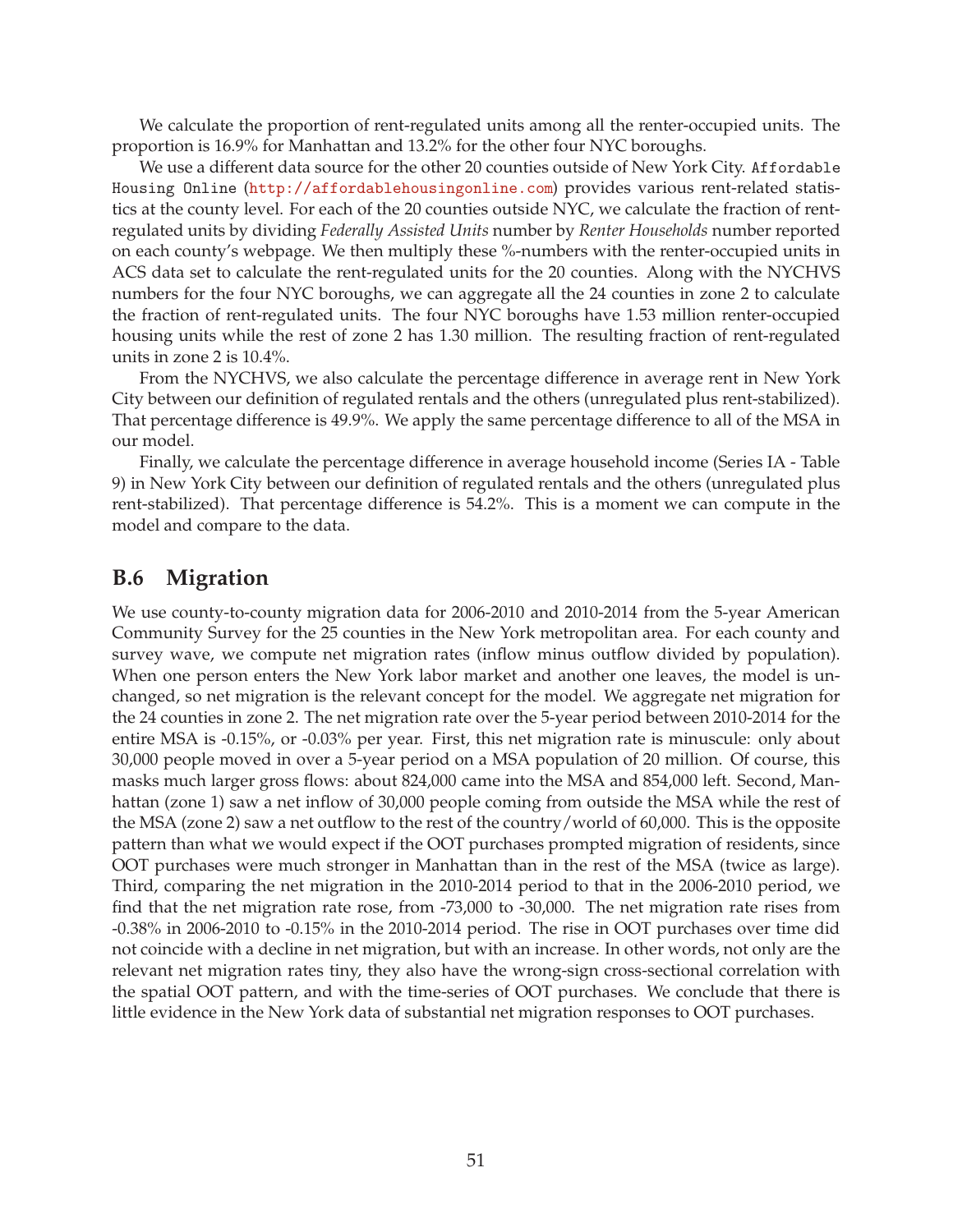We calculate the proportion of rent-regulated units among all the renter-occupied units. The proportion is 16.9% for Manhattan and 13.2% for the other four NYC boroughs.

We use a different data source for the other 20 counties outside of New York City. Affordable Housing Online (<http://affordablehousingonline.com>) provides various rent-related statistics at the county level. For each of the 20 counties outside NYC, we calculate the fraction of rentregulated units by dividing *Federally Assisted Units* number by *Renter Households* number reported on each county's webpage. We then multiply these %-numbers with the renter-occupied units in ACS data set to calculate the rent-regulated units for the 20 counties. Along with the NYCHVS numbers for the four NYC boroughs, we can aggregate all the 24 counties in zone 2 to calculate the fraction of rent-regulated units. The four NYC boroughs have 1.53 million renter-occupied housing units while the rest of zone 2 has 1.30 million. The resulting fraction of rent-regulated units in zone 2 is 10.4%.

From the NYCHVS, we also calculate the percentage difference in average rent in New York City between our definition of regulated rentals and the others (unregulated plus rent-stabilized). That percentage difference is 49.9%. We apply the same percentage difference to all of the MSA in our model.

Finally, we calculate the percentage difference in average household income (Series IA - Table 9) in New York City between our definition of regulated rentals and the others (unregulated plus rent-stabilized). That percentage difference is 54.2%. This is a moment we can compute in the model and compare to the data.

### <span id="page-51-0"></span>**B.6 Migration**

We use county-to-county migration data for 2006-2010 and 2010-2014 from the 5-year American Community Survey for the 25 counties in the New York metropolitan area. For each county and survey wave, we compute net migration rates (inflow minus outflow divided by population). When one person enters the New York labor market and another one leaves, the model is unchanged, so net migration is the relevant concept for the model. We aggregate net migration for the 24 counties in zone 2. The net migration rate over the 5-year period between 2010-2014 for the entire MSA is -0.15%, or -0.03% per year. First, this net migration rate is minuscule: only about 30,000 people moved in over a 5-year period on a MSA population of 20 million. Of course, this masks much larger gross flows: about 824,000 came into the MSA and 854,000 left. Second, Manhattan (zone 1) saw a net inflow of 30,000 people coming from outside the MSA while the rest of the MSA (zone 2) saw a net outflow to the rest of the country/world of 60,000. This is the opposite pattern than what we would expect if the OOT purchases prompted migration of residents, since OOT purchases were much stronger in Manhattan than in the rest of the MSA (twice as large). Third, comparing the net migration in the 2010-2014 period to that in the 2006-2010 period, we find that the net migration rate rose, from -73,000 to -30,000. The net migration rate rises from -0.38% in 2006-2010 to -0.15% in the 2010-2014 period. The rise in OOT purchases over time did not coincide with a decline in net migration, but with an increase. In other words, not only are the relevant net migration rates tiny, they also have the wrong-sign cross-sectional correlation with the spatial OOT pattern, and with the time-series of OOT purchases. We conclude that there is little evidence in the New York data of substantial net migration responses to OOT purchases.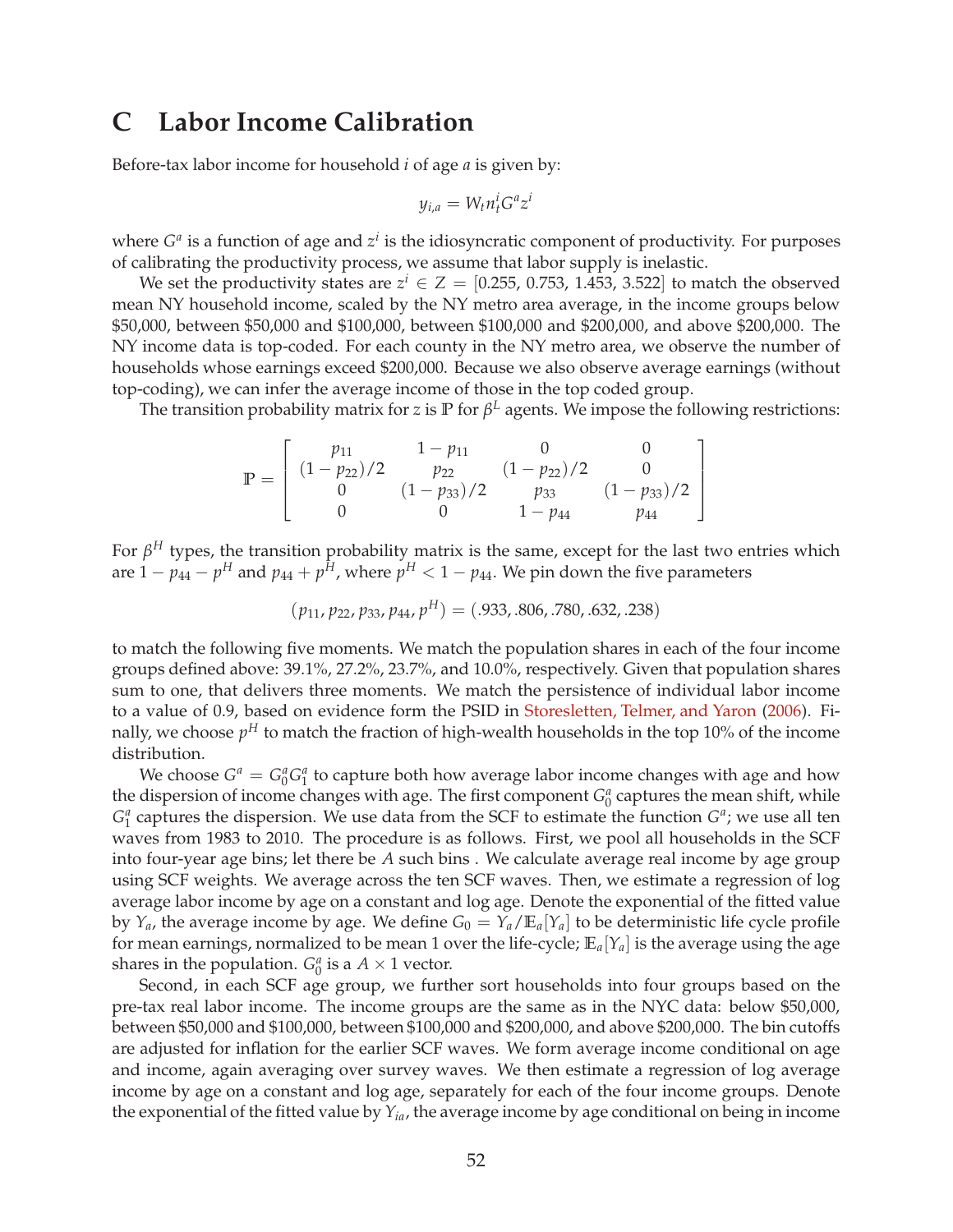### <span id="page-52-0"></span>**C Labor Income Calibration**

Before-tax labor income for household *i* of age *a* is given by:

$$
y_{i,a} = W_t n_t^i G^a z^i
$$

where  $G^a$  is a function of age and  $z^i$  is the idiosyncratic component of productivity. For purposes of calibrating the productivity process, we assume that labor supply is inelastic.

We set the productivity states are  $z^i \in Z = [0.255, 0.753, 1.453, 3.522]$  to match the observed mean NY household income, scaled by the NY metro area average, in the income groups below \$50,000, between \$50,000 and \$100,000, between \$100,000 and \$200,000, and above \$200,000. The NY income data is top-coded. For each county in the NY metro area, we observe the number of households whose earnings exceed \$200,000. Because we also observe average earnings (without top-coding), we can infer the average income of those in the top coded group.

The transition probability matrix for *z* is **P** for *β <sup>L</sup>* agents. We impose the following restrictions:

$$
\mathbb{P} = \left[ \begin{array}{ccc} p_{11} & 1 - p_{11} & 0 & 0 \\ (1 - p_{22})/2 & p_{22} & (1 - p_{22})/2 & 0 \\ 0 & (1 - p_{33})/2 & p_{33} & (1 - p_{33})/2 \\ 0 & 0 & 1 - p_{44} & p_{44} \end{array} \right]
$$

For *β <sup>H</sup>* types, the transition probability matrix is the same, except for the last two entries which are  $1 - p_{44} - p^H$  and  $p_{44} + p^{\bar{H}}$ , where  $p^H < 1 - p_{44}$ . We pin down the five parameters

$$
(p_{11}, p_{22}, p_{33}, p_{44}, p^H) = (.933, .806, .780, .632, .238)
$$

to match the following five moments. We match the population shares in each of the four income groups defined above: 39.1%, 27.2%, 23.7%, and 10.0%, respectively. Given that population shares sum to one, that delivers three moments. We match the persistence of individual labor income to a value of 0.9, based on evidence form the PSID in [Storesletten, Telmer, and Yaron](#page-41-13) [\(2006](#page-41-13)). Finally, we choose  $p^{H}$  to match the fraction of high-wealth households in the top 10% of the income distribution.

We choose  $G^a = G_0^a G_1^a$  to capture both how average labor income changes with age and how the dispersion of income changes with age. The first component  $G_0^a$  captures the mean shift, while  $G_1^a$  captures the dispersion. We use data from the SCF to estimate the function  $G^a$ ; we use all ten waves from 1983 to 2010. The procedure is as follows. First, we pool all households in the SCF into four-year age bins; let there be *A* such bins . We calculate average real income by age group using SCF weights. We average across the ten SCF waves. Then, we estimate a regression of log average labor income by age on a constant and log age. Denote the exponential of the fitted value by  $Y_a$ , the average income by age. We define  $G_0 = Y_a / \mathbb{E}_a[Y_a]$  to be deterministic life cycle profile for mean earnings, normalized to be mean 1 over the life-cycle; **E***a*[*Ya*] is the average using the age shares in the population.  $G_0^a$  is a  $A \times 1$  vector.

Second, in each SCF age group, we further sort households into four groups based on the pre-tax real labor income. The income groups are the same as in the NYC data: below \$50,000, between \$50,000 and \$100,000, between \$100,000 and \$200,000, and above \$200,000. The bin cutoffs are adjusted for inflation for the earlier SCF waves. We form average income conditional on age and income, again averaging over survey waves. We then estimate a regression of log average income by age on a constant and log age, separately for each of the four income groups. Denote the exponential of the fitted value by *Yia*, the average income by age conditional on being in income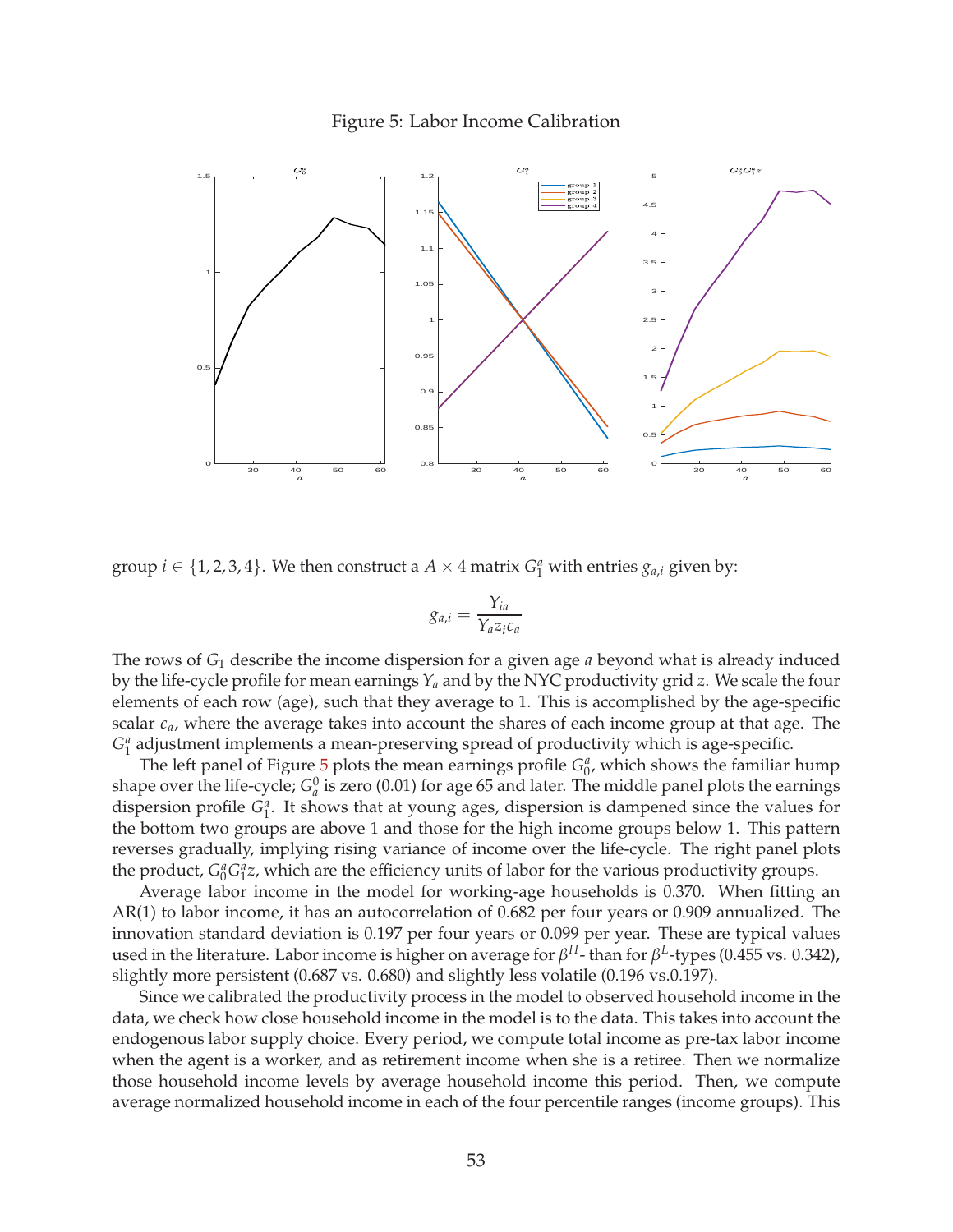#### Figure 5: Labor Income Calibration

<span id="page-53-0"></span>

group  $i \in \{1, 2, 3, 4\}$ . We then construct a  $A \times 4$  matrix  $G_1^a$  with entries  $g_{a,i}$  given by:

$$
g_{a,i} = \frac{Y_{ia}}{Y_a z_i c_a}
$$

The rows of *G*<sup>1</sup> describe the income dispersion for a given age *a* beyond what is already induced by the life-cycle profile for mean earnings *Y<sup>a</sup>* and by the NYC productivity grid *z*. We scale the four elements of each row (age), such that they average to 1. This is accomplished by the age-specific scalar *ca*, where the average takes into account the shares of each income group at that age. The  $G_1^a$  adjustment implements a mean-preserving spread of productivity which is age-specific.

The left panel of Figure  $\frac{1}{2}$  plots the mean earnings profile  $G_0^a$ , which shows the familiar hump shape over the life-cycle;  $G_a^0$  is zero (0.01) for age 65 and later. The middle panel plots the earnings dispersion profile  $G_1^a$ . It shows that at young ages, dispersion is dampened since the values for the bottom two groups are above 1 and those for the high income groups below 1. This pattern reverses gradually, implying rising variance of income over the life-cycle. The right panel plots the product,  $G_0^a G_1^a z$ , which are the efficiency units of labor for the various productivity groups.

Average labor income in the model for working-age households is 0.370. When fitting an AR(1) to labor income, it has an autocorrelation of 0.682 per four years or 0.909 annualized. The innovation standard deviation is 0.197 per four years or 0.099 per year. These are typical values used in the literature. Labor income is higher on average for  $\beta^H$ - than for  $\beta^L$ -types (0.455 vs. 0.342), slightly more persistent (0.687 vs. 0.680) and slightly less volatile (0.196 vs.0.197).

Since we calibrated the productivity process in the model to observed household income in the data, we check how close household income in the model is to the data. This takes into account the endogenous labor supply choice. Every period, we compute total income as pre-tax labor income when the agent is a worker, and as retirement income when she is a retiree. Then we normalize those household income levels by average household income this period. Then, we compute average normalized household income in each of the four percentile ranges (income groups). This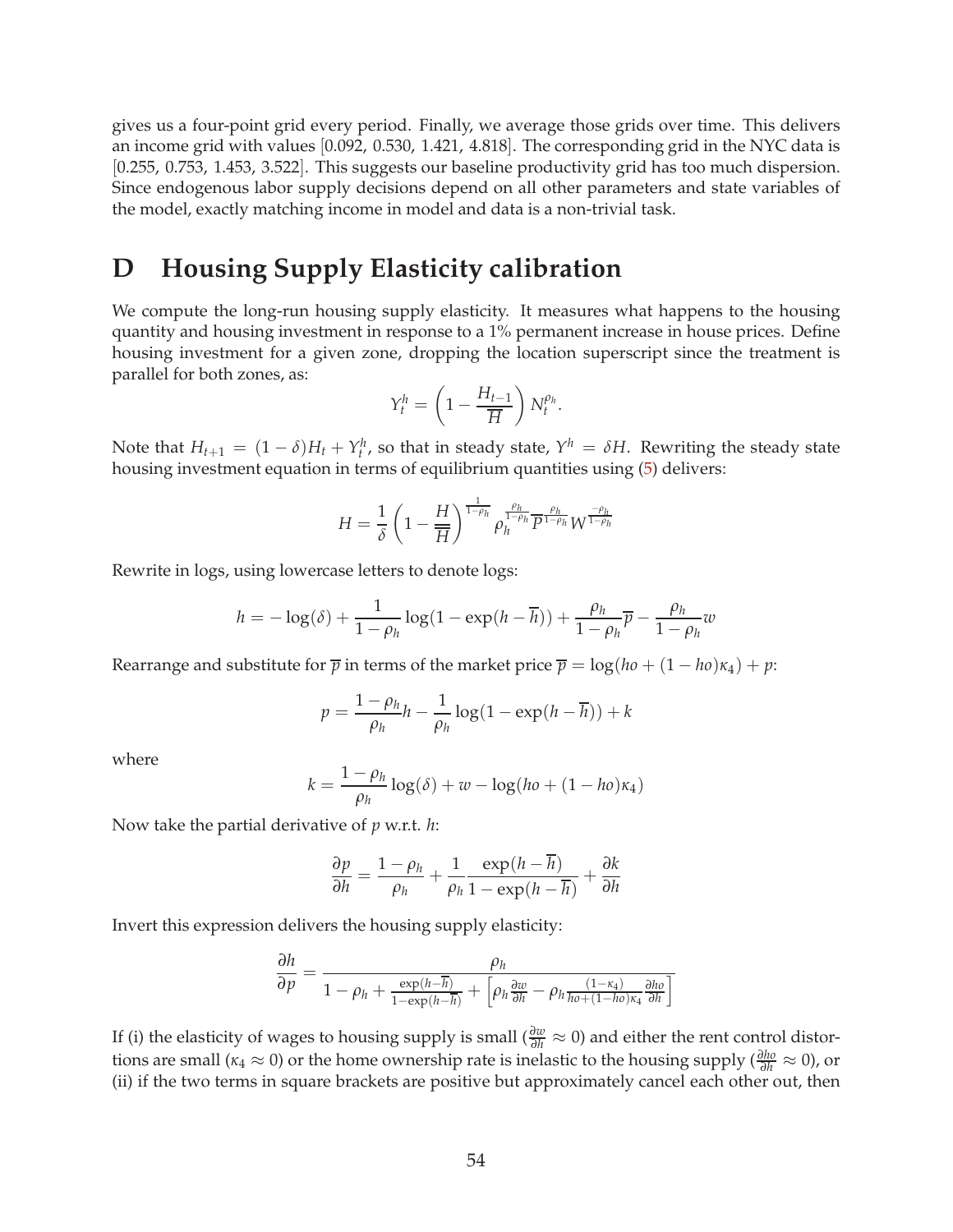gives us a four-point grid every period. Finally, we average those grids over time. This delivers an income grid with values [0.092, 0.530, 1.421, 4.818]. The corresponding grid in the NYC data is [0.255, 0.753, 1.453, 3.522]. This suggests our baseline productivity grid has too much dispersion. Since endogenous labor supply decisions depend on all other parameters and state variables of the model, exactly matching income in model and data is a non-trivial task.

### <span id="page-54-0"></span>**D Housing Supply Elasticity calibration**

We compute the long-run housing supply elasticity. It measures what happens to the housing quantity and housing investment in response to a 1% permanent increase in house prices. Define housing investment for a given zone, dropping the location superscript since the treatment is parallel for both zones, as:

$$
Y_t^h = \left(1 - \frac{H_{t-1}}{\overline{H}}\right) N_t^{\rho_h}.
$$

Note that  $H_{t+1} = (1 - \delta)H_t + Y_t^h$ , so that in steady state,  $Y^h = \delta H$ . Rewriting the steady state housing investment equation in terms of equilibrium quantities using [\(5\)](#page-14-2) delivers:

$$
H = \frac{1}{\delta} \left( 1 - \frac{H}{\overline{H}} \right)^{\frac{1}{1-\rho_h}} \rho_h^{\frac{\rho_h}{1-\rho_h}} \overline{P}^{\frac{\rho_h}{1-\rho_h}} W^{\frac{-\rho_h}{1-\rho_h}}
$$

Rewrite in logs, using lowercase letters to denote logs:

$$
h = -\log(\delta) + \frac{1}{1 - \rho_h} \log(1 - \exp(h - \overline{h})) + \frac{\rho_h}{1 - \rho_h} \overline{p} - \frac{\rho_h}{1 - \rho_h} w
$$

Rearrange and substitute for  $\overline{p}$  in terms of the market price  $\overline{p} = \log(h_0 + (1 - h_0)\kappa_4) + p$ :

$$
p = \frac{1 - \rho_h}{\rho_h} h - \frac{1}{\rho_h} \log(1 - \exp(h - \overline{h})) + k
$$

where

$$
k = \frac{1 - \rho_h}{\rho_h} \log(\delta) + w - \log(ho + (1 - ho)\kappa_4)
$$

Now take the partial derivative of *p* w.r.t. *h*:

$$
\frac{\partial p}{\partial h} = \frac{1 - \rho_h}{\rho_h} + \frac{1}{\rho_h} \frac{\exp(h - \overline{h})}{1 - \exp(h - \overline{h})} + \frac{\partial k}{\partial h}
$$

Invert this expression delivers the housing supply elasticity:

$$
\frac{\partial h}{\partial p} = \frac{\rho_h}{1 - \rho_h + \frac{\exp(h - \overline{h})}{1 - \exp(h - \overline{h})} + \left[\rho_h \frac{\partial w}{\partial h} - \rho_h \frac{(1 - \kappa_4)}{h o + (1 - h o) \kappa_4} \frac{\partial h o}{\partial h}\right]}
$$

If (i) the elasticity of wages to housing supply is small ( $\frac{\partial w}{\partial h} \approx 0$ ) and either the rent control distortions are small ( $\kappa_4 \approx 0$ ) or the home ownership rate is inelastic to the housing supply ( $\frac{\partial h_0}{\partial h} \approx 0$ ), or (ii) if the two terms in square brackets are positive but approximately cancel each other out, then